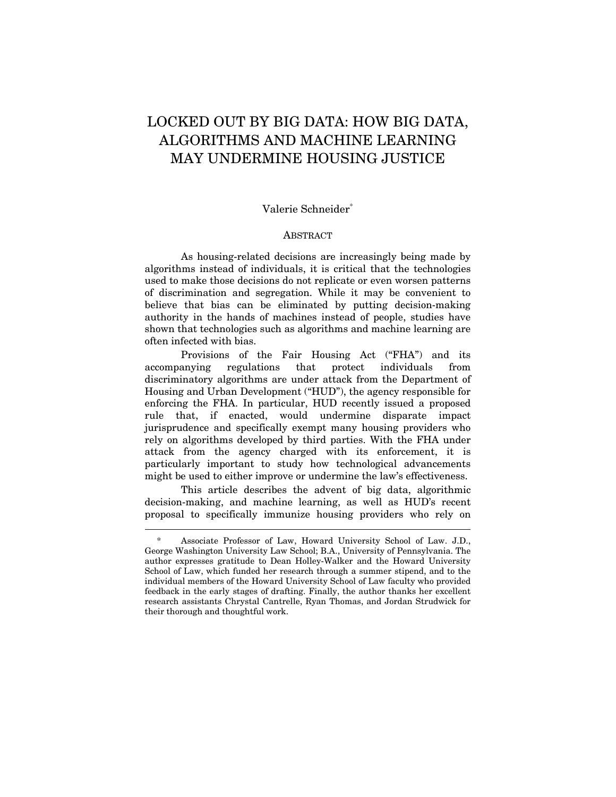# LOCKED OUT BY BIG DATA: HOW BIG DATA, ALGORITHMS AND MACHINE LEARNING MAY UNDERMINE HOUSING JUSTICE

# Valerie Schneider\*

### ABSTRACT

As housing-related decisions are increasingly being made by algorithms instead of individuals, it is critical that the technologies used to make those decisions do not replicate or even worsen patterns of discrimination and segregation. While it may be convenient to believe that bias can be eliminated by putting decision-making authority in the hands of machines instead of people, studies have shown that technologies such as algorithms and machine learning are often infected with bias.

Provisions of the Fair Housing Act ("FHA") and its accompanying regulations that protect individuals from discriminatory algorithms are under attack from the Department of Housing and Urban Development ("HUD"), the agency responsible for enforcing the FHA. In particular, HUD recently issued a proposed rule that, if enacted, would undermine disparate impact jurisprudence and specifically exempt many housing providers who rely on algorithms developed by third parties. With the FHA under attack from the agency charged with its enforcement, it is particularly important to study how technological advancements might be used to either improve or undermine the law's effectiveness.

This article describes the advent of big data, algorithmic decision-making, and machine learning, as well as HUD's recent proposal to specifically immunize housing providers who rely on

<sup>\*</sup> Associate Professor of Law, Howard University School of Law. J.D., George Washington University Law School; B.A., University of Pennsylvania. The author expresses gratitude to Dean Holley-Walker and the Howard University School of Law, which funded her research through a summer stipend, and to the individual members of the Howard University School of Law faculty who provided feedback in the early stages of drafting. Finally, the author thanks her excellent research assistants Chrystal Cantrelle, Ryan Thomas, and Jordan Strudwick for their thorough and thoughtful work.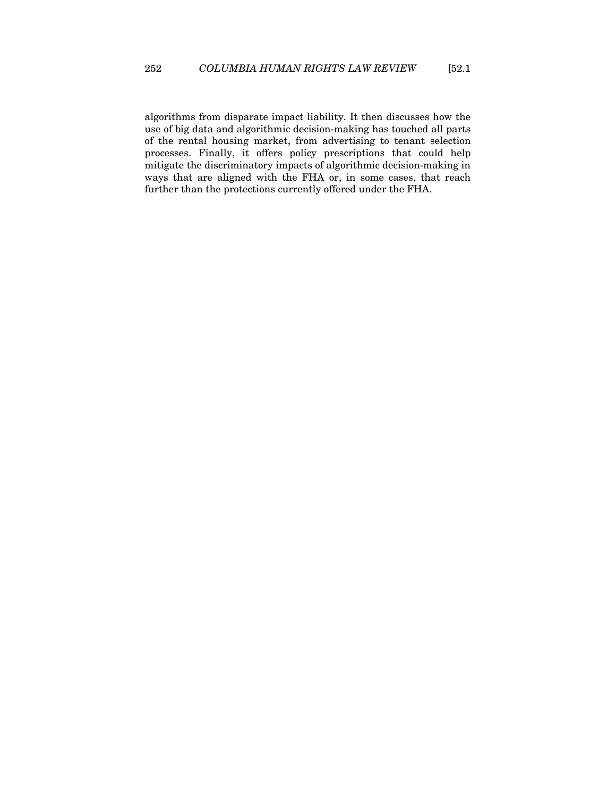algorithms from disparate impact liability. It then discusses how the use of big data and algorithmic decision-making has touched all parts of the rental housing market, from advertising to tenant selection processes. Finally, it offers policy prescriptions that could help mitigate the discriminatory impacts of algorithmic decision-making in ways that are aligned with the FHA or, in some cases, that reach further than the protections currently offered under the FHA.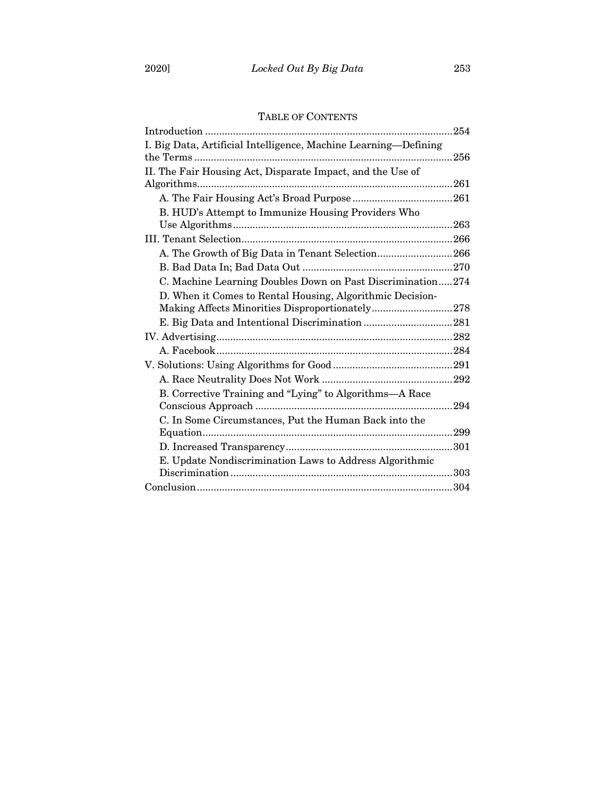# TABLE OF CONTENTS

|                                                                 | .254 |
|-----------------------------------------------------------------|------|
| I. Big Data, Artificial Intelligence, Machine Learning-Defining | 256  |
| II. The Fair Housing Act, Disparate Impact, and the Use of      |      |
| Algorithms                                                      | 261  |
|                                                                 |      |
| B. HUD's Attempt to Immunize Housing Providers Who              |      |
|                                                                 |      |
|                                                                 |      |
| A. The Growth of Big Data in Tenant Selection266                |      |
|                                                                 |      |
| C. Machine Learning Doubles Down on Past Discrimination274      |      |
| D. When it Comes to Rental Housing, Algorithmic Decision-       |      |
| Making Affects Minorities Disproportionately278                 |      |
|                                                                 |      |
|                                                                 |      |
|                                                                 |      |
|                                                                 |      |
|                                                                 |      |
| B. Corrective Training and "Lying" to Algorithms—A Race         |      |
|                                                                 | 294  |
| C. In Some Circumstances, Put the Human Back into the           |      |
|                                                                 |      |
|                                                                 |      |
| E. Update Nondiscrimination Laws to Address Algorithmic         |      |
|                                                                 |      |
|                                                                 |      |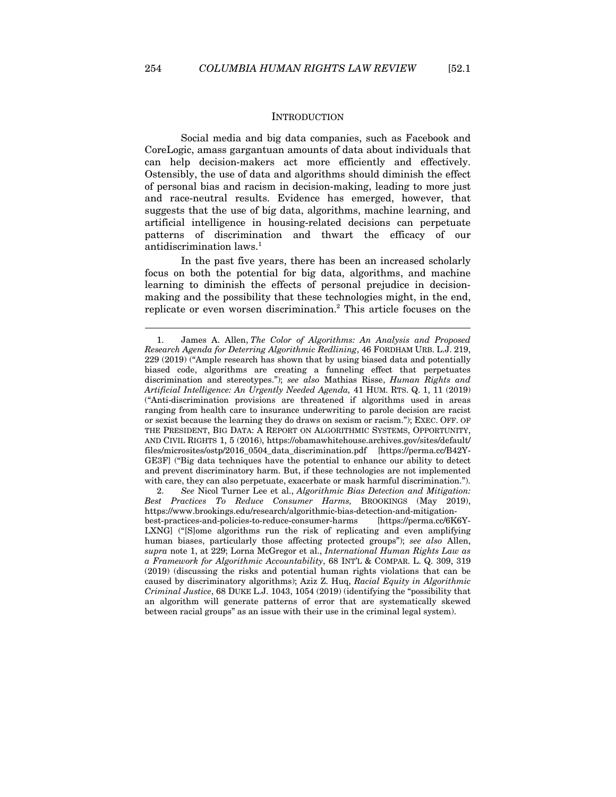$\overline{a}$ 

#### **INTRODUCTION**

Social media and big data companies, such as Facebook and CoreLogic, amass gargantuan amounts of data about individuals that can help decision-makers act more efficiently and effectively. Ostensibly, the use of data and algorithms should diminish the effect of personal bias and racism in decision-making, leading to more just and race-neutral results. Evidence has emerged, however, that suggests that the use of big data, algorithms, machine learning, and artificial intelligence in housing-related decisions can perpetuate patterns of discrimination and thwart the efficacy of our antidiscrimination laws.<sup>1</sup>

In the past five years, there has been an increased scholarly focus on both the potential for big data, algorithms, and machine learning to diminish the effects of personal prejudice in decisionmaking and the possibility that these technologies might, in the end, replicate or even worsen discrimination.<sup>2</sup> This article focuses on the

2. *See* Nicol Turner Lee et al., *Algorithmic Bias Detection and Mitigation: Best Practices To Reduce Consumer Harms,* BROOKINGS (May 2019), https://www.brookings.edu/research/algorithmic-bias-detection-and-mitigationbest-practices-and-policies-to-reduce-consumer-harms [https://perma.cc/6K6Y-LXNG] ("[S]ome algorithms run the risk of replicating and even amplifying human biases, particularly those affecting protected groups"); *see also* Allen, *supra* note 1, at 229; Lorna McGregor et al., *International Human Rights Law as a Framework for Algorithmic Accountability*, 68 INT'L & COMPAR. L. Q. 309, 319 (2019) (discussing the risks and potential human rights violations that can be caused by discriminatory algorithms); Aziz Z. Huq, *Racial Equity in Algorithmic Criminal Justice*, 68 DUKE L.J. 1043, 1054 (2019) (identifying the "possibility that an algorithm will generate patterns of error that are systematically skewed between racial groups" as an issue with their use in the criminal legal system).

<sup>1.</sup> James A. Allen, *The Color of Algorithms: An Analysis and Proposed Research Agenda for Deterring Algorithmic Redlining*, 46 FORDHAM URB. L.J. 219, 229 (2019) ("Ample research has shown that by using biased data and potentially biased code, algorithms are creating a funneling effect that perpetuates discrimination and stereotypes."); *see also* Mathias Risse, *Human Rights and Artificial Intelligence: An Urgently Needed Agenda,* 41 HUM. RTS. Q. 1, 11 (2019) ("Anti-discrimination provisions are threatened if algorithms used in areas ranging from health care to insurance underwriting to parole decision are racist or sexist because the learning they do draws on sexism or racism."); EXEC. OFF. OF THE PRESIDENT, BIG DATA: A REPORT ON ALGORITHMIC SYSTEMS, OPPORTUNITY, AND CIVIL RIGHTS 1, 5 (2016), https://obamawhitehouse.archives.gov/sites/default/ files/microsites/ostp/2016\_0504\_data\_discrimination.pdf [https://perma.cc/B42Y-GE3F] ("Big data techniques have the potential to enhance our ability to detect and prevent discriminatory harm. But, if these technologies are not implemented with care, they can also perpetuate, exacerbate or mask harmful discrimination.").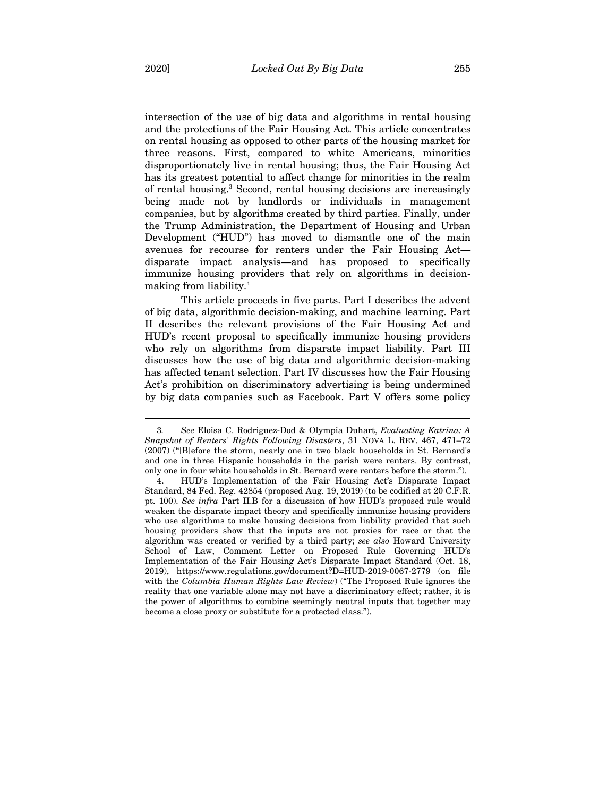intersection of the use of big data and algorithms in rental housing and the protections of the Fair Housing Act. This article concentrates on rental housing as opposed to other parts of the housing market for three reasons. First, compared to white Americans, minorities disproportionately live in rental housing; thus, the Fair Housing Act has its greatest potential to affect change for minorities in the realm of rental housing.<sup>3</sup> Second, rental housing decisions are increasingly being made not by landlords or individuals in management companies, but by algorithms created by third parties. Finally, under the Trump Administration, the Department of Housing and Urban Development ("HUD") has moved to dismantle one of the main avenues for recourse for renters under the Fair Housing Act disparate impact analysis—and has proposed to specifically immunize housing providers that rely on algorithms in decisionmaking from liability.4

This article proceeds in five parts. Part I describes the advent of big data, algorithmic decision-making, and machine learning. Part II describes the relevant provisions of the Fair Housing Act and HUD's recent proposal to specifically immunize housing providers who rely on algorithms from disparate impact liability. Part III discusses how the use of big data and algorithmic decision-making has affected tenant selection. Part IV discusses how the Fair Housing Act's prohibition on discriminatory advertising is being undermined by big data companies such as Facebook. Part V offers some policy

<sup>3</sup>*. See* Eloisa C. Rodriguez-Dod & Olympia Duhart, *Evaluating Katrina: A Snapshot of Renters' Rights Following Disasters*, 31 NOVA L. REV. 467, 471–72 (2007) ("[B]efore the storm, nearly one in two black households in St. Bernard's and one in three Hispanic households in the parish were renters. By contrast, only one in four white households in St. Bernard were renters before the storm.").

<sup>4.</sup> HUD's Implementation of the Fair Housing Act's Disparate Impact Standard, 84 Fed. Reg. 42854 (proposed Aug. 19, 2019) (to be codified at 20 C.F.R. pt. 100). *See infra* Part II.B for a discussion of how HUD's proposed rule would weaken the disparate impact theory and specifically immunize housing providers who use algorithms to make housing decisions from liability provided that such housing providers show that the inputs are not proxies for race or that the algorithm was created or verified by a third party; *see also* Howard University School of Law, Comment Letter on Proposed Rule Governing HUD's Implementation of the Fair Housing Act's Disparate Impact Standard (Oct. 18, 2019), https://www.regulations.gov/document?D=HUD-2019-0067-2779 (on file with the *Columbia Human Rights Law Review*) ("The Proposed Rule ignores the reality that one variable alone may not have a discriminatory effect; rather, it is the power of algorithms to combine seemingly neutral inputs that together may become a close proxy or substitute for a protected class.").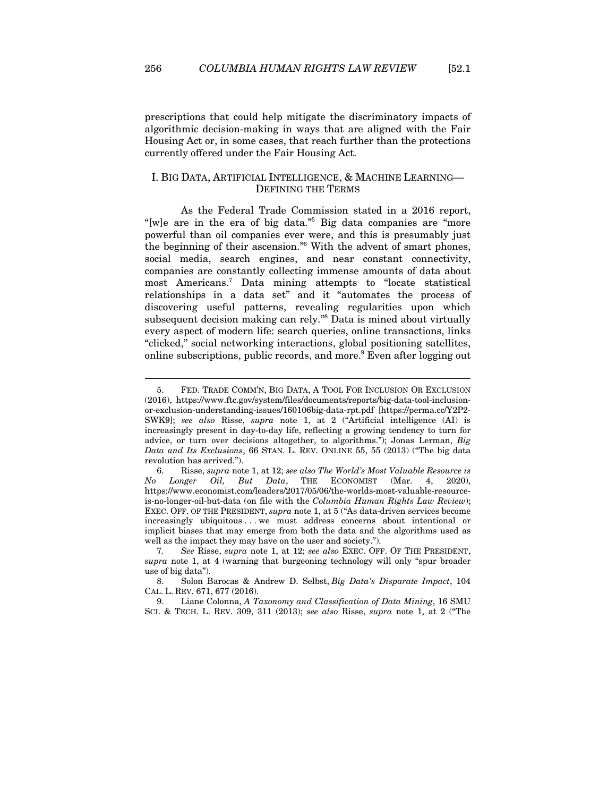$\overline{a}$ 

prescriptions that could help mitigate the discriminatory impacts of algorithmic decision-making in ways that are aligned with the Fair Housing Act or, in some cases, that reach further than the protections currently offered under the Fair Housing Act.

## I. BIG DATA, ARTIFICIAL INTELLIGENCE, & MACHINE LEARNING— DEFINING THE TERMS

As the Federal Trade Commission stated in a 2016 report, "[w]e are in the era of big data."<sup>5</sup> Big data companies are "more" powerful than oil companies ever were, and this is presumably just the beginning of their ascension."6 With the advent of smart phones, social media, search engines, and near constant connectivity, companies are constantly collecting immense amounts of data about most Americans.7 Data mining attempts to "locate statistical relationships in a data set" and it "automates the process of discovering useful patterns, revealing regularities upon which subsequent decision making can rely."8 Data is mined about virtually every aspect of modern life: search queries, online transactions, links "clicked," social networking interactions, global positioning satellites, online subscriptions, public records, and more.<sup>9</sup> Even after logging out

<sup>5.</sup> FED. TRADE COMM'N, BIG DATA, A TOOL FOR INCLUSION OR EXCLUSION (2016), https://www.ftc.gov/system/files/documents/reports/big-data-tool-inclusionor-exclusion-understanding-issues/160106big-data-rpt.pdf [https://perma.cc/Y2P2- SWK9]; *see also* Risse, *supra* note 1, at 2 ("Artificial intelligence (AI) is increasingly present in day-to-day life, reflecting a growing tendency to turn for advice, or turn over decisions altogether, to algorithms."); Jonas Lerman, *Big Data and Its Exclusions*, 66 STAN. L. REV. ONLINE 55, 55 (2013) ("The big data revolution has arrived.").

<sup>6.</sup> Risse, *supra* note 1, at 12; *see also The World's Most Valuable Resource is No Longer Oil, But Data*, THE ECONOMIST (Mar. 4, 2020), https://www.economist.com/leaders/2017/05/06/the-worlds-most-valuable-resourceis-no-longer-oil-but-data (on file with the *Columbia Human Rights Law Review*); EXEC. OFF. OF THE PRESIDENT, *supra* note 1, at 5 ("As data-driven services become increasingly ubiquitous . . . we must address concerns about intentional or implicit biases that may emerge from both the data and the algorithms used as well as the impact they may have on the user and society.").

<sup>7</sup>*. See* Risse, *supra* note 1, at 12; *see also* EXEC. OFF. OF THE PRESIDENT, *supra* note 1, at 4 (warning that burgeoning technology will only "spur broader use of big data").

<sup>8.</sup> Solon Barocas & Andrew D. Selbst, *Big Data's Disparate Impact*, 104 CAL. L. REV. 671, 677 (2016).

<sup>9.</sup> Liane Colonna, *A Taxonomy and Classification of Data Mining*, 16 SMU SCI. & TECH. L. REV. 309, 311 (2013); *see also* Risse, *supra* note 1, at 2 ("The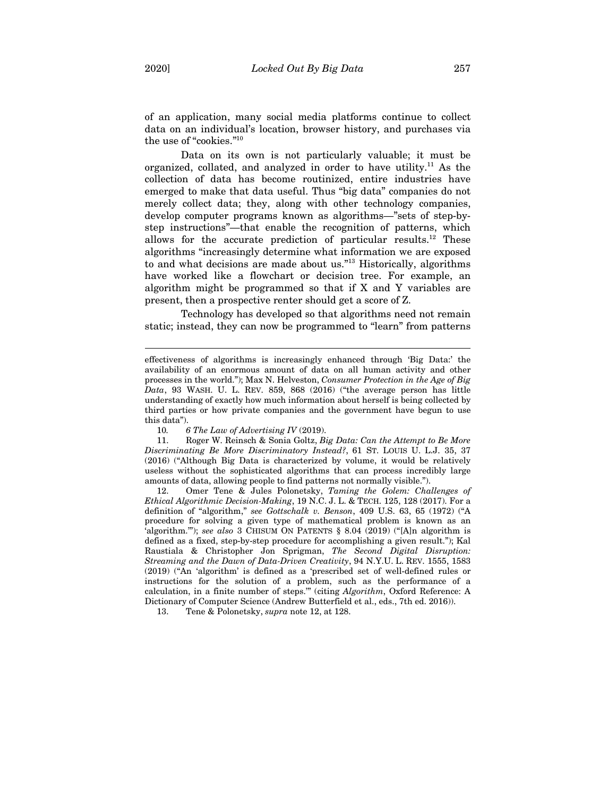of an application, many social media platforms continue to collect data on an individual's location, browser history, and purchases via the use of "cookies."10

Data on its own is not particularly valuable; it must be organized, collated, and analyzed in order to have utility.<sup>11</sup> As the collection of data has become routinized, entire industries have emerged to make that data useful. Thus "big data" companies do not merely collect data; they, along with other technology companies, develop computer programs known as algorithms—"sets of step-bystep instructions"—that enable the recognition of patterns, which allows for the accurate prediction of particular results.12 These algorithms "increasingly determine what information we are exposed to and what decisions are made about us."13 Historically, algorithms have worked like a flowchart or decision tree. For example, an algorithm might be programmed so that if X and Y variables are present, then a prospective renter should get a score of Z.

Technology has developed so that algorithms need not remain static; instead, they can now be programmed to "learn" from patterns

11. Roger W. Reinsch & Sonia Goltz, *Big Data: Can the Attempt to Be More Discriminating Be More Discriminatory Instead?*, 61 ST. LOUIS U. L.J. 35, 37 (2016) ("Although Big Data is characterized by volume, it would be relatively useless without the sophisticated algorithms that can process incredibly large amounts of data, allowing people to find patterns not normally visible.").

12. Omer Tene & Jules Polonetsky, *Taming the Golem: Challenges of Ethical Algorithmic Decision-Making*, 19 N.C. J. L. & TECH. 125, 128 (2017). For a definition of "algorithm," *see Gottschalk v. Benson*, 409 U.S. 63, 65 (1972) ("A procedure for solving a given type of mathematical problem is known as an 'algorithm.'"); *see also* 3 CHISUM ON PATENTS § 8.04 (2019) ("[A]n algorithm is defined as a fixed, step-by-step procedure for accomplishing a given result."); Kal Raustiala & Christopher Jon Sprigman, *The Second Digital Disruption: Streaming and the Dawn of Data-Driven Creativity*, 94 N.Y.U. L. REV. 1555, 1583 (2019) ("An 'algorithm' is defined as a 'prescribed set of well-defined rules or instructions for the solution of a problem, such as the performance of a calculation, in a finite number of steps.'" (citing *Algorithm*, Oxford Reference: A Dictionary of Computer Science (Andrew Butterfield et al., eds., 7th ed. 2016)).

13. Tene & Polonetsky, *supra* note 12, at 128.

effectiveness of algorithms is increasingly enhanced through 'Big Data:' the availability of an enormous amount of data on all human activity and other processes in the world."); Max N. Helveston, *Consumer Protection in the Age of Big Data*, 93 WASH. U. L. REV. 859, 868 (2016) ("the average person has little understanding of exactly how much information about herself is being collected by third parties or how private companies and the government have begun to use this data").

<sup>10</sup>*. 6 The Law of Advertising IV* (2019).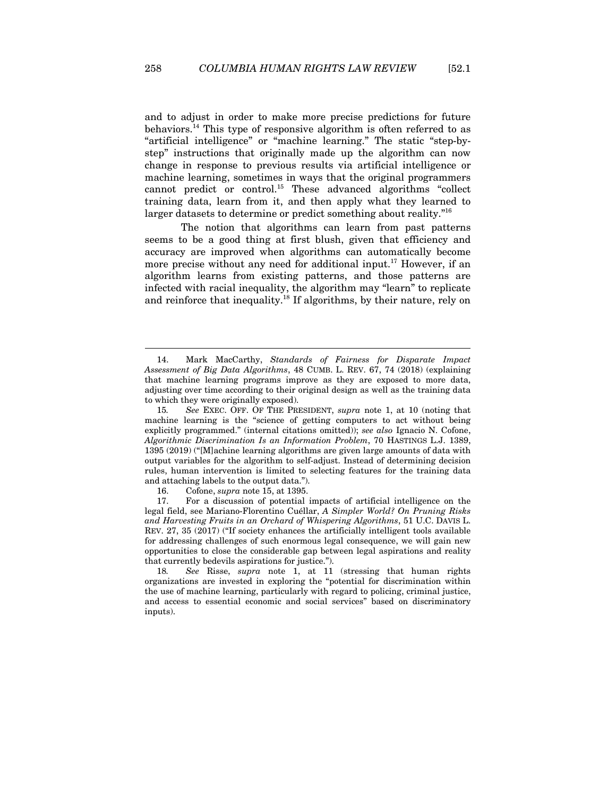and to adjust in order to make more precise predictions for future behaviors.<sup>14</sup> This type of responsive algorithm is often referred to as "artificial intelligence" or "machine learning." The static "step-bystep" instructions that originally made up the algorithm can now change in response to previous results via artificial intelligence or machine learning, sometimes in ways that the original programmers cannot predict or control.15 These advanced algorithms "collect training data, learn from it, and then apply what they learned to larger datasets to determine or predict something about reality."<sup>16</sup>

The notion that algorithms can learn from past patterns seems to be a good thing at first blush, given that efficiency and accuracy are improved when algorithms can automatically become more precise without any need for additional input.17 However, if an algorithm learns from existing patterns, and those patterns are infected with racial inequality, the algorithm may "learn" to replicate and reinforce that inequality.18 If algorithms, by their nature, rely on

<sup>14.</sup> Mark MacCarthy, *Standards of Fairness for Disparate Impact Assessment of Big Data Algorithms*, 48 CUMB. L. REV. 67, 74 (2018) (explaining that machine learning programs improve as they are exposed to more data, adjusting over time according to their original design as well as the training data to which they were originally exposed).

<sup>15</sup>*. See* EXEC. OFF. OF THE PRESIDENT, *supra* note 1, at 10 (noting that machine learning is the "science of getting computers to act without being explicitly programmed." (internal citations omitted)); *see also* Ignacio N. Cofone, *Algorithmic Discrimination Is an Information Problem*, 70 HASTINGS L.J. 1389, 1395 (2019) ("[M]achine learning algorithms are given large amounts of data with output variables for the algorithm to self-adjust. Instead of determining decision rules, human intervention is limited to selecting features for the training data and attaching labels to the output data.").

<sup>16.</sup> Cofone, *supra* note 15, at 1395.

<sup>17.</sup> For a discussion of potential impacts of artificial intelligence on the legal field, see Mariano-Florentino Cuéllar, *A Simpler World? On Pruning Risks and Harvesting Fruits in an Orchard of Whispering Algorithms*, 51 U.C. DAVIS L. REV. 27, 35 (2017) ("If society enhances the artificially intelligent tools available for addressing challenges of such enormous legal consequence, we will gain new opportunities to close the considerable gap between legal aspirations and reality that currently bedevils aspirations for justice.").

<sup>18</sup>*. See* Risse, *supra* note 1, at 11 (stressing that human rights organizations are invested in exploring the "potential for discrimination within the use of machine learning, particularly with regard to policing, criminal justice, and access to essential economic and social services" based on discriminatory inputs).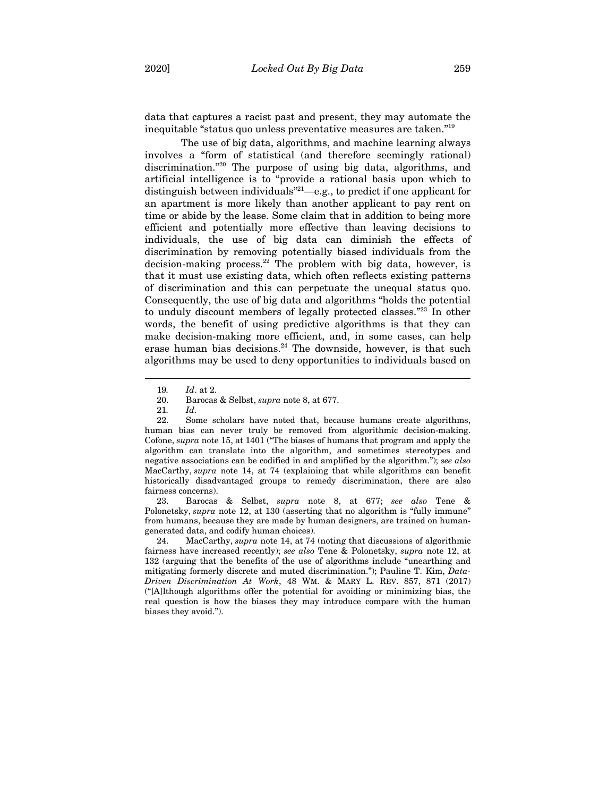data that captures a racist past and present, they may automate the inequitable "status quo unless preventative measures are taken."19

The use of big data, algorithms, and machine learning always involves a "form of statistical (and therefore seemingly rational) discrimination."20 The purpose of using big data, algorithms, and artificial intelligence is to "provide a rational basis upon which to distinguish between individuals"21—e.g., to predict if one applicant for an apartment is more likely than another applicant to pay rent on time or abide by the lease. Some claim that in addition to being more efficient and potentially more effective than leaving decisions to individuals, the use of big data can diminish the effects of discrimination by removing potentially biased individuals from the decision-making process.<sup>22</sup> The problem with big data, however, is that it must use existing data, which often reflects existing patterns of discrimination and this can perpetuate the unequal status quo. Consequently, the use of big data and algorithms "holds the potential to unduly discount members of legally protected classes."23 In other words, the benefit of using predictive algorithms is that they can make decision-making more efficient, and, in some cases, can help erase human bias decisions. $24$  The downside, however, is that such algorithms may be used to deny opportunities to individuals based on

 $\overline{a}$ 

23. Barocas & Selbst, *supra* note 8, at 677; *see also* Tene & Polonetsky, *supra* note 12, at 130 (asserting that no algorithm is "fully immune" from humans, because they are made by human designers, are trained on humangenerated data, and codify human choices).

24. MacCarthy, *supra* note 14, at 74 (noting that discussions of algorithmic fairness have increased recently); *see also* Tene & Polonetsky, *supra* note 12, at 132 (arguing that the benefits of the use of algorithms include "unearthing and mitigating formerly discrete and muted discrimination."); Pauline T. Kim, *Data-Driven Discrimination At Work*, 48 WM. & MARY L. REV. 857, 871 (2017) ("[A]lthough algorithms offer the potential for avoiding or minimizing bias, the real question is how the biases they may introduce compare with the human biases they avoid.").

<sup>19</sup>*. Id*. at 2.

<sup>20.</sup> Barocas & Selbst, *supra* note 8, at 677.

<sup>21</sup>*. Id.*

<sup>22.</sup> Some scholars have noted that, because humans create algorithms, human bias can never truly be removed from algorithmic decision-making. Cofone, *supra* note 15, at 1401 ("The biases of humans that program and apply the algorithm can translate into the algorithm, and sometimes stereotypes and negative associations can be codified in and amplified by the algorithm."); *see also* MacCarthy, *supra* note 14, at 74 (explaining that while algorithms can benefit historically disadvantaged groups to remedy discrimination, there are also fairness concerns).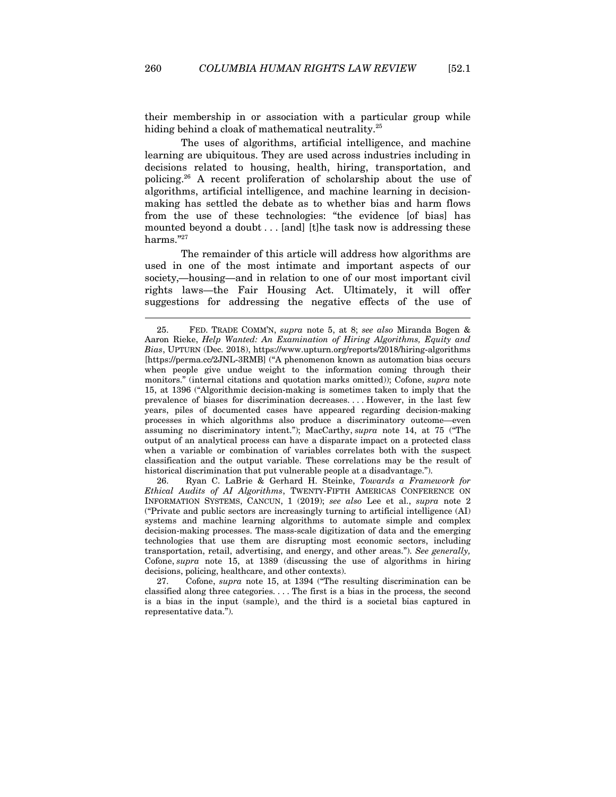their membership in or association with a particular group while hiding behind a cloak of mathematical neutrality.<sup>25</sup>

The uses of algorithms, artificial intelligence, and machine learning are ubiquitous. They are used across industries including in decisions related to housing, health, hiring, transportation, and policing.26 A recent proliferation of scholarship about the use of algorithms, artificial intelligence, and machine learning in decisionmaking has settled the debate as to whether bias and harm flows from the use of these technologies: "the evidence [of bias] has mounted beyond a doubt . . . [and] [t]he task now is addressing these harms."27

The remainder of this article will address how algorithms are used in one of the most intimate and important aspects of our society,—housing—and in relation to one of our most important civil rights laws—the Fair Housing Act. Ultimately, it will offer suggestions for addressing the negative effects of the use of

26. Ryan C. LaBrie & Gerhard H. Steinke, *Towards a Framework for Ethical Audits of AI Algorithms*, TWENTY-FIFTH AMERICAS CONFERENCE ON INFORMATION SYSTEMS, CANCUN, 1 (2019); *see also* Lee et al., *supra* note 2 ("Private and public sectors are increasingly turning to artificial intelligence (AI) systems and machine learning algorithms to automate simple and complex decision-making processes. The mass-scale digitization of data and the emerging technologies that use them are disrupting most economic sectors, including transportation, retail, advertising, and energy, and other areas."). *See generally,* Cofone, *supra* note 15, at 1389 (discussing the use of algorithms in hiring decisions, policing, healthcare, and other contexts).

27. Cofone, *supra* note 15, at 1394 ("The resulting discrimination can be classified along three categories. . . . The first is a bias in the process, the second is a bias in the input (sample), and the third is a societal bias captured in representative data.").

<sup>25.</sup> FED. TRADE COMM'N, *supra* note 5, at 8; *see also* Miranda Bogen & Aaron Rieke, *Help Wanted: An Examination of Hiring Algorithms, Equity and Bias*, UPTURN (Dec. 2018), https://www.upturn.org/reports/2018/hiring-algorithms [https://perma.cc/2JNL-3RMB] ("A phenomenon known as automation bias occurs when people give undue weight to the information coming through their monitors." (internal citations and quotation marks omitted)); Cofone, *supra* note 15, at 1396 ("Algorithmic decision-making is sometimes taken to imply that the prevalence of biases for discrimination decreases. . . . However, in the last few years, piles of documented cases have appeared regarding decision-making processes in which algorithms also produce a discriminatory outcome—even assuming no discriminatory intent."); MacCarthy, *supra* note 14, at 75 ("The output of an analytical process can have a disparate impact on a protected class when a variable or combination of variables correlates both with the suspect classification and the output variable. These correlations may be the result of historical discrimination that put vulnerable people at a disadvantage.").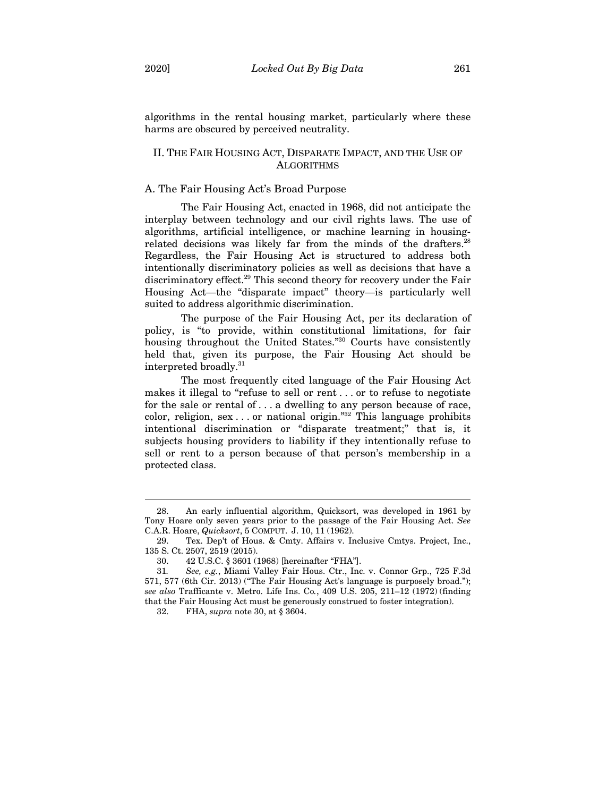algorithms in the rental housing market, particularly where these harms are obscured by perceived neutrality.

## II. THE FAIR HOUSING ACT, DISPARATE IMPACT, AND THE USE OF **ALGORITHMS**

# A. The Fair Housing Act's Broad Purpose

The Fair Housing Act, enacted in 1968, did not anticipate the interplay between technology and our civil rights laws. The use of algorithms, artificial intelligence, or machine learning in housingrelated decisions was likely far from the minds of the drafters.<sup>28</sup> Regardless, the Fair Housing Act is structured to address both intentionally discriminatory policies as well as decisions that have a discriminatory effect.<sup>29</sup> This second theory for recovery under the Fair Housing Act—the "disparate impact" theory—is particularly well suited to address algorithmic discrimination.

The purpose of the Fair Housing Act, per its declaration of policy, is "to provide, within constitutional limitations, for fair housing throughout the United States."30 Courts have consistently held that, given its purpose, the Fair Housing Act should be interpreted broadly.31

The most frequently cited language of the Fair Housing Act makes it illegal to "refuse to sell or rent . . . or to refuse to negotiate for the sale or rental of . . . a dwelling to any person because of race, color, religion, sex . . . or national origin."<sup>32</sup> This language prohibits intentional discrimination or "disparate treatment;" that is, it subjects housing providers to liability if they intentionally refuse to sell or rent to a person because of that person's membership in a protected class.

<sup>28.</sup> An early influential algorithm, Quicksort, was developed in 1961 by Tony Hoare only seven years prior to the passage of the Fair Housing Act. *See*  C.A.R. Hoare, *Quicksort*, 5 COMPUT. J. 10, 11 (1962).

<sup>29.</sup> Tex. Dep't of Hous. & Cmty. Affairs v. Inclusive Cmtys. Project, Inc., 135 S. Ct. 2507, 2519 (2015).

<sup>30. 42</sup> U.S.C. § 3601 (1968) [hereinafter "FHA"].

<sup>31</sup>*. See, e.g.*, Miami Valley Fair Hous. Ctr., Inc. v. Connor Grp., 725 F.3d 571, 577 (6th Cir. 2013) ("The Fair Housing Act's language is purposely broad."); *see also* Trafficante v. Metro. Life Ins. Co*.*, 409 U.S. 205, 211–12 (1972) (finding that the Fair Housing Act must be generously construed to foster integration).

<sup>32.</sup> FHA, *supra* note 30, at § 3604.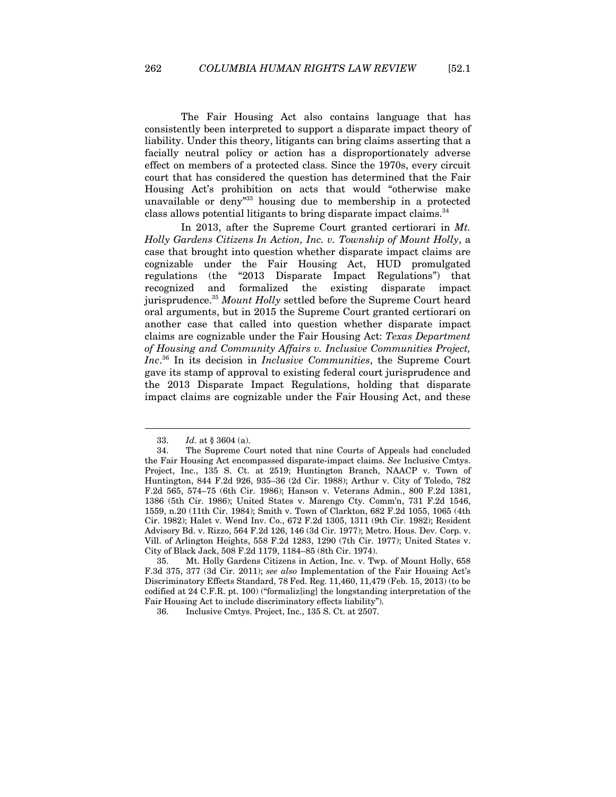The Fair Housing Act also contains language that has consistently been interpreted to support a disparate impact theory of liability. Under this theory, litigants can bring claims asserting that a facially neutral policy or action has a disproportionately adverse effect on members of a protected class. Since the 1970s, every circuit court that has considered the question has determined that the Fair Housing Act's prohibition on acts that would "otherwise make unavailable or deny"33 housing due to membership in a protected class allows potential litigants to bring disparate impact claims.<sup>34</sup>

In 2013, after the Supreme Court granted certiorari in *Mt. Holly Gardens Citizens In Action, Inc. v. Township of Mount Holly*, a case that brought into question whether disparate impact claims are cognizable under the Fair Housing Act, HUD promulgated regulations (the "2013 Disparate Impact Regulations") that recognized and formalized the existing disparate impact jurisprudence.35 *Mount Holly* settled before the Supreme Court heard oral arguments, but in 2015 the Supreme Court granted certiorari on another case that called into question whether disparate impact claims are cognizable under the Fair Housing Act: *Texas Department of Housing and Community Affairs v. Inclusive Communities Project, Inc*. 36 In its decision in *Inclusive Communities*, the Supreme Court gave its stamp of approval to existing federal court jurisprudence and the 2013 Disparate Impact Regulations, holding that disparate impact claims are cognizable under the Fair Housing Act, and these

<sup>33.</sup> *Id.* at § 3604 (a).

<sup>34.</sup> The Supreme Court noted that nine Courts of Appeals had concluded the Fair Housing Act encompassed disparate-impact claims. *See* Inclusive Cmtys. Project, Inc., 135 S. Ct. at 2519; Huntington Branch, NAACP v. Town of Huntington, 844 F.2d 926, 935–36 (2d Cir. 1988); Arthur v. City of Toledo, 782 F.2d 565, 574–75 (6th Cir. 1986); Hanson v. Veterans Admin., 800 F.2d 1381, 1386 (5th Cir. 1986); United States v. Marengo Cty. Comm'n, 731 F.2d 1546, 1559, n.20 (11th Cir. 1984); Smith v. Town of Clarkton, 682 F.2d 1055, 1065 (4th Cir. 1982); Halet v. Wend Inv. Co., 672 F.2d 1305, 1311 (9th Cir. 1982); Resident Advisory Bd. v. Rizzo, 564 F.2d 126, 146 (3d Cir. 1977); Metro. Hous. Dev. Corp. v. Vill. of Arlington Heights, 558 F.2d 1283, 1290 (7th Cir. 1977); United States v. City of Black Jack, 508 F.2d 1179, 1184–85 (8th Cir. 1974).

<sup>35.</sup> Mt. Holly Gardens Citizens in Action, Inc. v. Twp. of Mount Holly, 658 F.3d 375, 377 (3d Cir. 2011); *see also* Implementation of the Fair Housing Act's Discriminatory Effects Standard, 78 Fed. Reg. 11,460, 11,479 (Feb. 15, 2013) (to be codified at 24 C.F.R. pt. 100) ("formaliz[ing] the longstanding interpretation of the Fair Housing Act to include discriminatory effects liability").

<sup>36.</sup> Inclusive Cmtys. Project, Inc., 135 S. Ct. at 2507.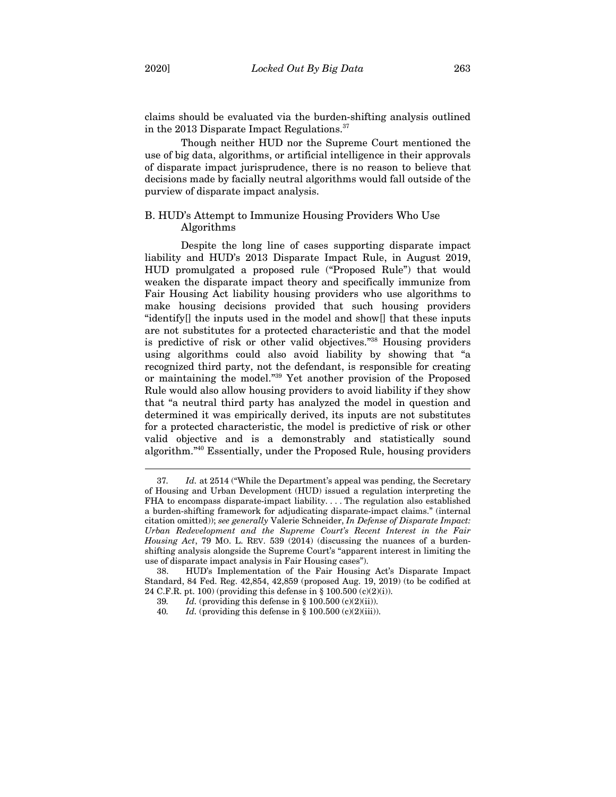claims should be evaluated via the burden-shifting analysis outlined in the 2013 Disparate Impact Regulations.<sup>37</sup>

Though neither HUD nor the Supreme Court mentioned the use of big data, algorithms, or artificial intelligence in their approvals of disparate impact jurisprudence, there is no reason to believe that decisions made by facially neutral algorithms would fall outside of the purview of disparate impact analysis.

# B. HUD's Attempt to Immunize Housing Providers Who Use Algorithms

Despite the long line of cases supporting disparate impact liability and HUD's 2013 Disparate Impact Rule, in August 2019, HUD promulgated a proposed rule ("Proposed Rule") that would weaken the disparate impact theory and specifically immunize from Fair Housing Act liability housing providers who use algorithms to make housing decisions provided that such housing providers "identify[] the inputs used in the model and show[] that these inputs are not substitutes for a protected characteristic and that the model is predictive of risk or other valid objectives."38 Housing providers using algorithms could also avoid liability by showing that "a recognized third party, not the defendant, is responsible for creating or maintaining the model."39 Yet another provision of the Proposed Rule would also allow housing providers to avoid liability if they show that "a neutral third party has analyzed the model in question and determined it was empirically derived, its inputs are not substitutes for a protected characteristic, the model is predictive of risk or other valid objective and is a demonstrably and statistically sound algorithm."40 Essentially, under the Proposed Rule, housing providers

<sup>37</sup>*. Id.* at 2514 ("While the Department's appeal was pending, the Secretary of Housing and Urban Development (HUD) issued a regulation interpreting the FHA to encompass disparate-impact liability. . . . The regulation also established a burden-shifting framework for adjudicating disparate-impact claims." (internal citation omitted)); *see generally* Valerie Schneider, *In Defense of Disparate Impact: Urban Redevelopment and the Supreme Court's Recent Interest in the Fair Housing Act*, 79 MO. L. REV. 539 (2014) (discussing the nuances of a burdenshifting analysis alongside the Supreme Court's "apparent interest in limiting the use of disparate impact analysis in Fair Housing cases").

<sup>38.</sup> HUD's Implementation of the Fair Housing Act's Disparate Impact Standard, 84 Fed. Reg. 42,854, 42,859 (proposed Aug. 19, 2019) (to be codified at 24 C.F.R. pt. 100) (providing this defense in § 100.500 (c)(2)(i)).

<sup>39</sup>*. Id.* (providing this defense in § 100.500 (c)(2)(ii)).

<sup>40.</sup> Id. (providing this defense in  $\S 100.500$  (c)(2)(iii)).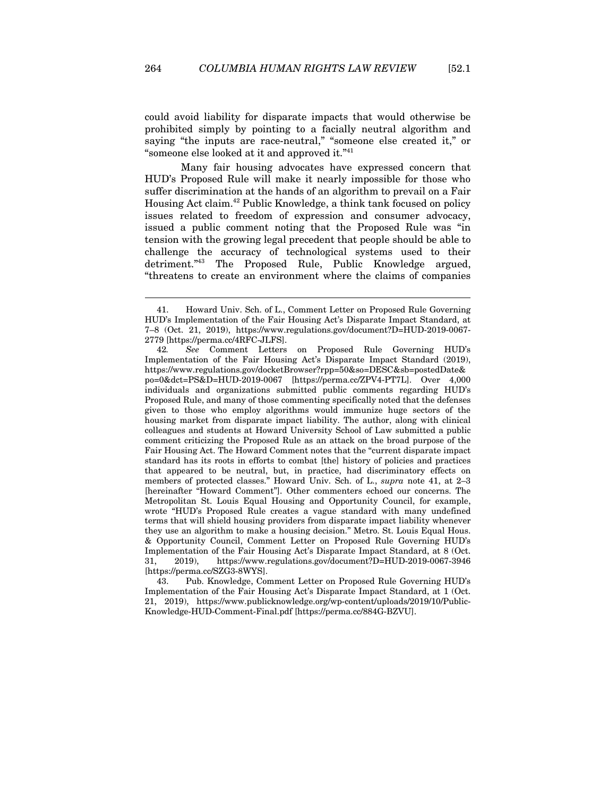could avoid liability for disparate impacts that would otherwise be prohibited simply by pointing to a facially neutral algorithm and saying "the inputs are race-neutral," "someone else created it," or "someone else looked at it and approved it."41

Many fair housing advocates have expressed concern that HUD's Proposed Rule will make it nearly impossible for those who suffer discrimination at the hands of an algorithm to prevail on a Fair Housing Act claim.42 Public Knowledge, a think tank focused on policy issues related to freedom of expression and consumer advocacy, issued a public comment noting that the Proposed Rule was "in tension with the growing legal precedent that people should be able to challenge the accuracy of technological systems used to their detriment."43 The Proposed Rule, Public Knowledge argued, "threatens to create an environment where the claims of companies

43. Pub. Knowledge, Comment Letter on Proposed Rule Governing HUD's Implementation of the Fair Housing Act's Disparate Impact Standard, at 1 (Oct. 21, 2019), https://www.publicknowledge.org/wp-content/uploads/2019/10/Public-Knowledge-HUD-Comment-Final.pdf [https://perma.cc/884G-BZVU].

<sup>41.</sup> Howard Univ. Sch. of L., Comment Letter on Proposed Rule Governing HUD's Implementation of the Fair Housing Act's Disparate Impact Standard, at 7–8 (Oct. 21, 2019), https://www.regulations.gov/document?D=HUD-2019-0067- 2779 [https://perma.cc/4RFC-JLFS].

<sup>42</sup>*. See* Comment Letters on Proposed Rule Governing HUD's Implementation of the Fair Housing Act's Disparate Impact Standard (2019), https://www.regulations.gov/docketBrowser?rpp=50&so=DESC&sb=postedDate& po=0&dct=PS&D=HUD-2019-0067 [https://perma.cc/ZPV4-PT7L]. Over 4,000 individuals and organizations submitted public comments regarding HUD's Proposed Rule, and many of those commenting specifically noted that the defenses given to those who employ algorithms would immunize huge sectors of the housing market from disparate impact liability. The author, along with clinical colleagues and students at Howard University School of Law submitted a public comment criticizing the Proposed Rule as an attack on the broad purpose of the Fair Housing Act. The Howard Comment notes that the "current disparate impact standard has its roots in efforts to combat [the] history of policies and practices that appeared to be neutral, but, in practice, had discriminatory effects on members of protected classes." Howard Univ. Sch. of L., *supra* note 41, at 2–3 [hereinafter "Howard Comment"]. Other commenters echoed our concerns. The Metropolitan St. Louis Equal Housing and Opportunity Council, for example, wrote "HUD's Proposed Rule creates a vague standard with many undefined terms that will shield housing providers from disparate impact liability whenever they use an algorithm to make a housing decision." Metro. St. Louis Equal Hous. & Opportunity Council, Comment Letter on Proposed Rule Governing HUD's Implementation of the Fair Housing Act's Disparate Impact Standard, at 8 (Oct. 31, 2019), https://www.regulations.gov/document?D=HUD-2019-0067-3946 [https://perma.cc/SZG3-8WYS].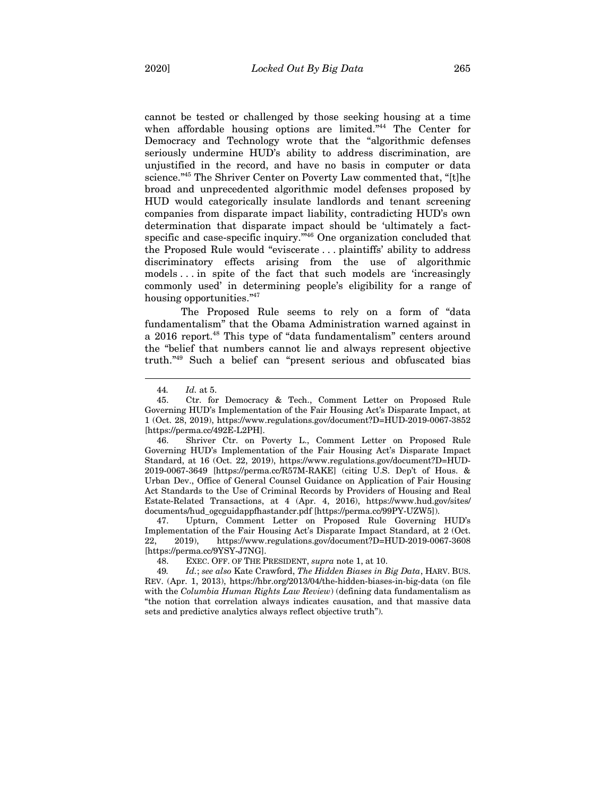cannot be tested or challenged by those seeking housing at a time when affordable housing options are limited."<sup>44</sup> The Center for Democracy and Technology wrote that the "algorithmic defenses seriously undermine HUD's ability to address discrimination, are unjustified in the record, and have no basis in computer or data science."45 The Shriver Center on Poverty Law commented that, "[t]he broad and unprecedented algorithmic model defenses proposed by HUD would categorically insulate landlords and tenant screening companies from disparate impact liability, contradicting HUD's own determination that disparate impact should be 'ultimately a factspecific and case-specific inquiry.<sup>"46</sup> One organization concluded that the Proposed Rule would "eviscerate . . . plaintiffs' ability to address discriminatory effects arising from the use of algorithmic models . . . in spite of the fact that such models are 'increasingly commonly used' in determining people's eligibility for a range of housing opportunities."<sup>47</sup>

The Proposed Rule seems to rely on a form of "data fundamentalism" that the Obama Administration warned against in a 2016 report.<sup>48</sup> This type of "data fundamentalism" centers around the "belief that numbers cannot lie and always represent objective truth."49 Such a belief can "present serious and obfuscated bias

 $\overline{a}$ 

46. Shriver Ctr. on Poverty L., Comment Letter on Proposed Rule Governing HUD's Implementation of the Fair Housing Act's Disparate Impact Standard, at 16 (Oct. 22, 2019), https://www.regulations.gov/document?D=HUD-2019-0067-3649 [https://perma.cc/R57M-RAKE] (citing U.S. Dep't of Hous. & Urban Dev., Office of General Counsel Guidance on Application of Fair Housing Act Standards to the Use of Criminal Records by Providers of Housing and Real Estate-Related Transactions, at 4 (Apr. 4, 2016), https://www.hud.gov/sites/ documents/hud\_ogcguidappfhastandcr.pdf [https://perma.cc/99PY-UZW5]).

47. Upturn, Comment Letter on Proposed Rule Governing HUD's Implementation of the Fair Housing Act's Disparate Impact Standard, at 2 (Oct. 22, 2019), https://www.regulations.gov/document?D=HUD-2019-0067-3608 [https://perma.cc/9YSY-J7NG].

48. EXEC. OFF. OF THE PRESIDENT, *supra* note 1, at 10.

49*. Id.*; *see also* Kate Crawford, *The Hidden Biases in Big Data*, HARV. BUS. REV. (Apr. 1, 2013), https://hbr.org/2013/04/the-hidden-biases-in-big-data (on file with the *Columbia Human Rights Law Review*) (defining data fundamentalism as "the notion that correlation always indicates causation, and that massive data sets and predictive analytics always reflect objective truth").

<sup>44</sup>*. Id.* at 5.

<sup>45.</sup> Ctr. for Democracy & Tech., Comment Letter on Proposed Rule Governing HUD's Implementation of the Fair Housing Act's Disparate Impact, at 1 (Oct. 28, 2019), https://www.regulations.gov/document?D=HUD-2019-0067-3852 [https://perma.cc/492E-L2PH].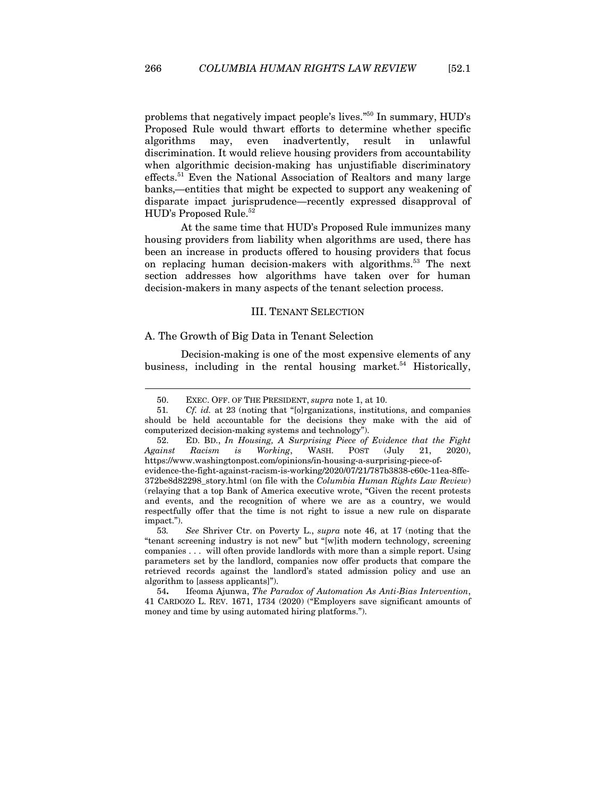problems that negatively impact people's lives."50 In summary, HUD's Proposed Rule would thwart efforts to determine whether specific algorithms may, even inadvertently, result in unlawful discrimination. It would relieve housing providers from accountability when algorithmic decision-making has unjustifiable discriminatory effects.<sup>51</sup> Even the National Association of Realtors and many large banks,—entities that might be expected to support any weakening of disparate impact jurisprudence—recently expressed disapproval of HUD's Proposed Rule.<sup>52</sup>

At the same time that HUD's Proposed Rule immunizes many housing providers from liability when algorithms are used, there has been an increase in products offered to housing providers that focus on replacing human decision-makers with algorithms.<sup>53</sup> The next section addresses how algorithms have taken over for human decision-makers in many aspects of the tenant selection process.

### III. TENANT SELECTION

#### A. The Growth of Big Data in Tenant Selection

Decision-making is one of the most expensive elements of any business, including in the rental housing market.<sup>54</sup> Historically,

<sup>50.</sup> EXEC. OFF. OF THE PRESIDENT, *supra* note 1, at 10.

<sup>51</sup>*. Cf. id.* at 23 (noting that "[o]rganizations, institutions, and companies should be held accountable for the decisions they make with the aid of computerized decision-making systems and technology").

<sup>52.</sup> ED. BD., *In Housing, A Surprising Piece of Evidence that the Fight Against Racism is Working*, WASH. POST (July 21, 2020), https://www.washingtonpost.com/opinions/in-housing-a-surprising-piece-of-

evidence-the-fight-against-racism-is-working/2020/07/21/787b3838-c60c-11ea-8ffe-372be8d82298\_story.html (on file with the *Columbia Human Rights Law Review*) (relaying that a top Bank of America executive wrote, "Given the recent protests and events, and the recognition of where we are as a country, we would respectfully offer that the time is not right to issue a new rule on disparate impact.").

<sup>53</sup>*. See* Shriver Ctr. on Poverty L., *supra* note 46, at 17 (noting that the "tenant screening industry is not new" but "[w]ith modern technology, screening companies . . . will often provide landlords with more than a simple report. Using parameters set by the landlord, companies now offer products that compare the retrieved records against the landlord's stated admission policy and use an algorithm to [assess applicants]").

<sup>54</sup>**.** Ifeoma Ajunwa, *The Paradox of Automation As Anti-Bias Intervention*, 41 CARDOZO L. REV. 1671, 1734 (2020) ("Employers save significant amounts of money and time by using automated hiring platforms.").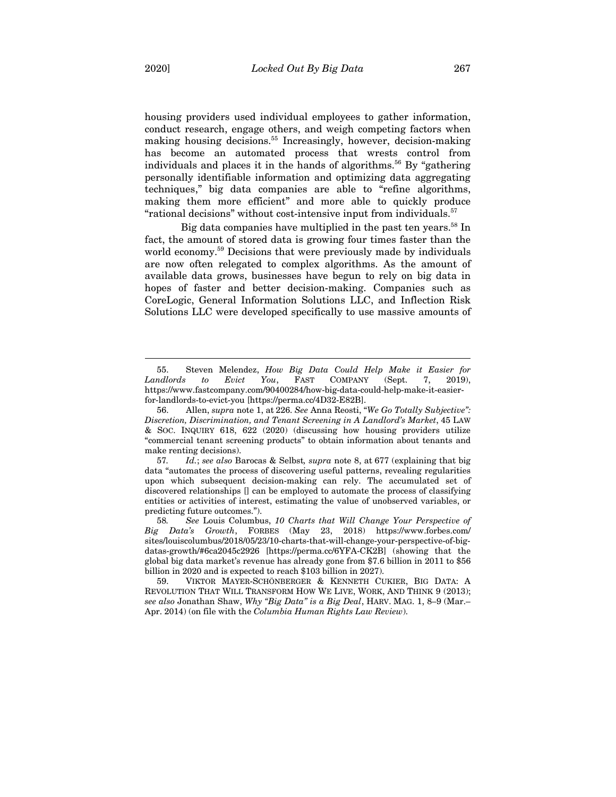housing providers used individual employees to gather information, conduct research, engage others, and weigh competing factors when making housing decisions.55 Increasingly, however, decision-making has become an automated process that wrests control from individuals and places it in the hands of algorithms.<sup>56</sup> By "gathering personally identifiable information and optimizing data aggregating techniques," big data companies are able to "refine algorithms, making them more efficient" and more able to quickly produce "rational decisions" without cost-intensive input from individuals.57

Big data companies have multiplied in the past ten years.<sup>58</sup> In fact, the amount of stored data is growing four times faster than the world economy.<sup>59</sup> Decisions that were previously made by individuals are now often relegated to complex algorithms. As the amount of available data grows, businesses have begun to rely on big data in hopes of faster and better decision-making. Companies such as CoreLogic, General Information Solutions LLC, and Inflection Risk Solutions LLC were developed specifically to use massive amounts of

<sup>55.</sup> Steven Melendez, *How Big Data Could Help Make it Easier for Landlords to Evict You*, FAST COMPANY (Sept. 7, 2019), https://www.fastcompany.com/90400284/how-big-data-could-help-make-it-easierfor-landlords-to-evict-you [https://perma.cc/4D32-E82B].

<sup>56.</sup> Allen, *supra* note 1, at 226. *See* Anna Reosti, "*We Go Totally Subjective": Discretion, Discrimination, and Tenant Screening in A Landlord's Market*, 45 LAW & SOC. INQUIRY 618, 622 (2020) (discussing how housing providers utilize "commercial tenant screening products" to obtain information about tenants and make renting decisions).

<sup>57</sup>*. Id.*; *see also* Barocas & Selbst*, supra* note 8, at 677 (explaining that big data "automates the process of discovering useful patterns, revealing regularities upon which subsequent decision-making can rely. The accumulated set of discovered relationships [] can be employed to automate the process of classifying entities or activities of interest, estimating the value of unobserved variables, or predicting future outcomes.").

<sup>58</sup>*. See* Louis Columbus, *10 Charts that Will Change Your Perspective of Big Data's Growth*, FORBES (May 23, 2018) https://www.forbes.com/ sites/louiscolumbus/2018/05/23/10-charts-that-will-change-your-perspective-of-bigdatas-growth/#6ca2045c2926 [https://perma.cc/6YFA-CK2B] (showing that the global big data market's revenue has already gone from \$7.6 billion in 2011 to \$56 billion in 2020 and is expected to reach \$103 billion in 2027).

<sup>59.</sup> VIKTOR MAYER-SCHÖNBERGER & KENNETH CUKIER, BIG DATA: A REVOLUTION THAT WILL TRANSFORM HOW WE LIVE, WORK, AND THINK 9 (2013); *see also* Jonathan Shaw, *Why "Big Data" is a Big Deal*, HARV. MAG. 1, 8–9 (Mar.– Apr. 2014) (on file with the *Columbia Human Rights Law Review*).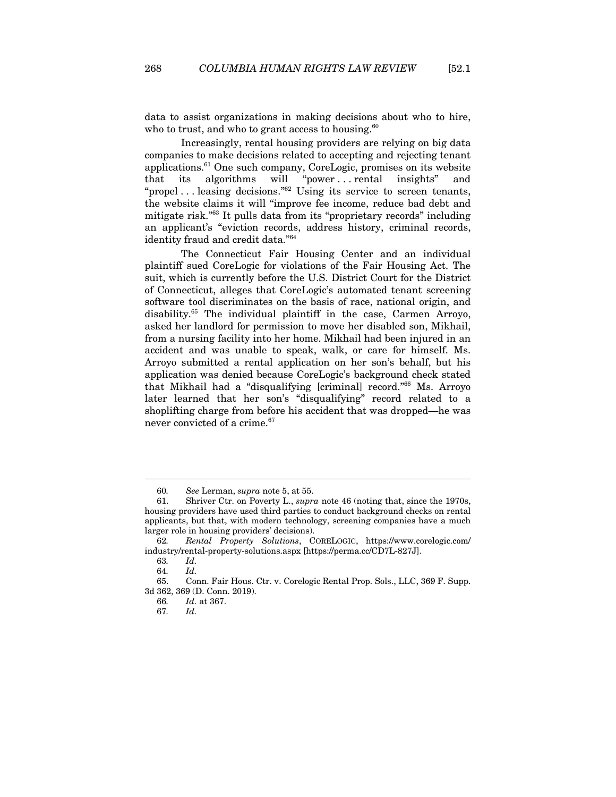data to assist organizations in making decisions about who to hire, who to trust, and who to grant access to housing. $60$ 

Increasingly, rental housing providers are relying on big data companies to make decisions related to accepting and rejecting tenant applications. $61$  One such company, CoreLogic, promises on its website that its algorithms will "power . . . rental insights" and "propel . . . leasing decisions."62 Using its service to screen tenants, the website claims it will "improve fee income, reduce bad debt and mitigate risk."63 It pulls data from its "proprietary records" including an applicant's "eviction records, address history, criminal records, identity fraud and credit data."64

The Connecticut Fair Housing Center and an individual plaintiff sued CoreLogic for violations of the Fair Housing Act. The suit, which is currently before the U.S. District Court for the District of Connecticut, alleges that CoreLogic's automated tenant screening software tool discriminates on the basis of race, national origin, and disability.<sup>65</sup> The individual plaintiff in the case, Carmen Arroyo, asked her landlord for permission to move her disabled son, Mikhail, from a nursing facility into her home. Mikhail had been injured in an accident and was unable to speak, walk, or care for himself. Ms. Arroyo submitted a rental application on her son's behalf, but his application was denied because CoreLogic's background check stated that Mikhail had a "disqualifying [criminal] record."66 Ms. Arroyo later learned that her son's "disqualifying" record related to a shoplifting charge from before his accident that was dropped—he was never convicted of a crime.<sup>67</sup>

<sup>60</sup>*. See* Lerman, *supra* note 5, at 55.

<sup>61.</sup> Shriver Ctr. on Poverty L., *supra* note 46 (noting that, since the 1970s, housing providers have used third parties to conduct background checks on rental applicants, but that, with modern technology, screening companies have a much larger role in housing providers' decisions).

<sup>62</sup>*. Rental Property Solutions*, CORELOGIC, https://www.corelogic.com/ industry/rental-property-solutions.aspx [https://perma.cc/CD7L-827J].

<sup>63</sup>*. Id.* 

<sup>64</sup>*. Id.*

<sup>65.</sup> Conn. Fair Hous. Ctr. v. Corelogic Rental Prop. Sols., LLC, 369 F. Supp. 3d 362, 369 (D. Conn. 2019).

<sup>66</sup>*. Id.* at 367.

<sup>67</sup>*. Id.*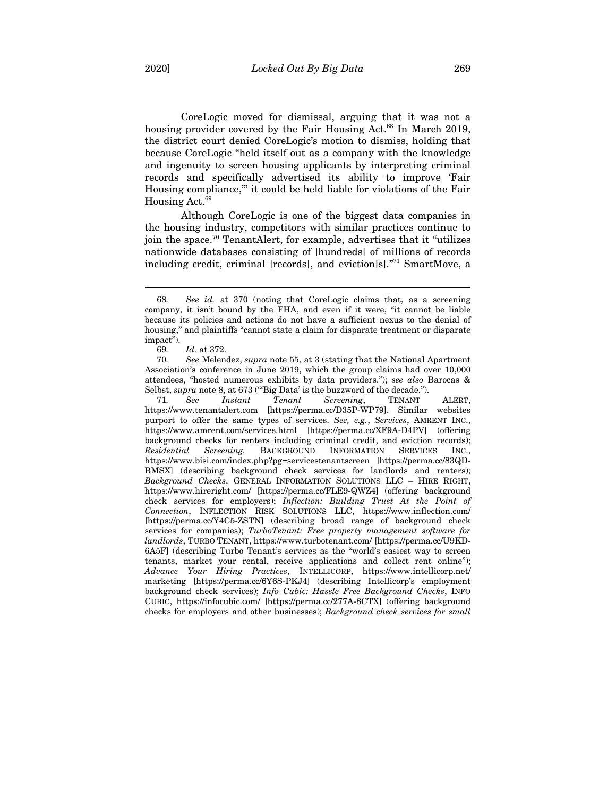CoreLogic moved for dismissal, arguing that it was not a housing provider covered by the Fair Housing Act.<sup>68</sup> In March 2019, the district court denied CoreLogic's motion to dismiss, holding that because CoreLogic "held itself out as a company with the knowledge and ingenuity to screen housing applicants by interpreting criminal records and specifically advertised its ability to improve 'Fair Housing compliance,'" it could be held liable for violations of the Fair Housing Act. $69$ 

Although CoreLogic is one of the biggest data companies in the housing industry, competitors with similar practices continue to join the space.70 TenantAlert, for example, advertises that it "utilizes nationwide databases consisting of [hundreds] of millions of records including credit, criminal [records], and eviction[s]."71 SmartMove, a

 $\overline{a}$ 

71*. See Instant Tenant Screening*, TENANT ALERT, https://www.tenantalert.com [https://perma.cc/D35P-WP79]. Similar websites purport to offer the same types of services. *See, e.g.*, *Services*, AMRENT INC., https://www.amrent.com/services.html [https://perma.cc/XF9A-D4PV] (offering background checks for renters including criminal credit, and eviction records); *Residential Screening,* BACKGROUND INFORMATION SERVICES INC., https://www.bisi.com/index.php?pg=servicestenantscreen [https://perma.cc/83QD-BMSX] (describing background check services for landlords and renters); *Background Checks*, GENERAL INFORMATION SOLUTIONS LLC – HIRE RIGHT, https://www.hireright.com/ [https://perma.cc/FLE9-QWZ4] (offering background check services for employers); *Inflection: Building Trust At the Point of Connection*, INFLECTION RISK SOLUTIONS LLC, https://www.inflection.com/ [https://perma.cc/Y4C5-ZSTN] (describing broad range of background check services for companies); *TurboTenant: Free property management software for landlords*, TURBO TENANT, https://www.turbotenant.com/ [https://perma.cc/U9KD-6A5F] (describing Turbo Tenant's services as the "world's easiest way to screen tenants, market your rental, receive applications and collect rent online"); *Advance Your Hiring Practices*, INTELLICORP, https://www.intellicorp.net/ marketing [https://perma.cc/6Y6S-PKJ4] (describing Intellicorp's employment background check services); *Info Cubic: Hassle Free Background Checks*, INFO CUBIC, https://infocubic.com/ [https://perma.cc/277A-8CTX] (offering background checks for employers and other businesses); *Background check services for small* 

<sup>68</sup>*. See id.* at 370 (noting that CoreLogic claims that, as a screening company, it isn't bound by the FHA, and even if it were, "it cannot be liable because its policies and actions do not have a sufficient nexus to the denial of housing," and plaintiffs "cannot state a claim for disparate treatment or disparate impact").

<sup>69</sup>*. Id.* at 372.

<sup>70</sup>*. See* Melendez, *supra* note 55, at 3 (stating that the National Apartment Association's conference in June 2019, which the group claims had over 10,000 attendees, "hosted numerous exhibits by data providers."); *see also* Barocas & Selbst, *supra* note 8, at 673 ("Big Data' is the buzzword of the decade.").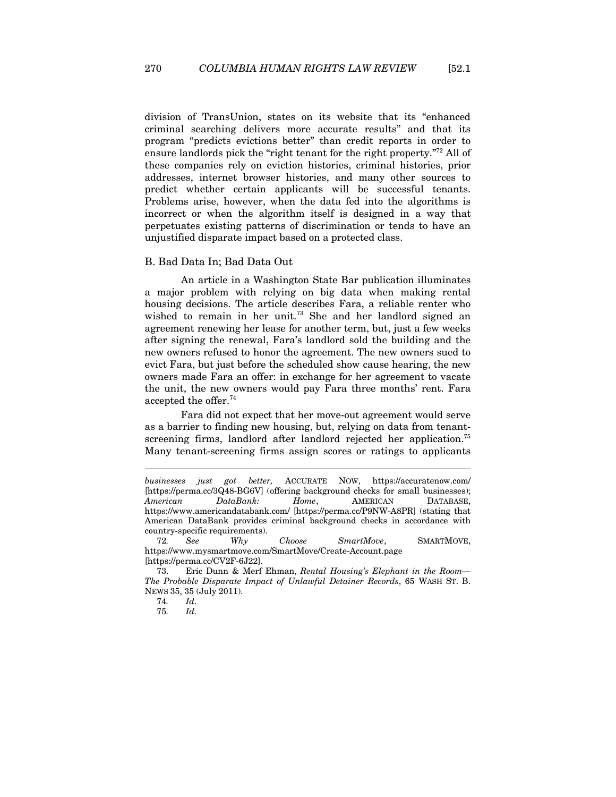division of TransUnion, states on its website that its "enhanced criminal searching delivers more accurate results" and that its program "predicts evictions better" than credit reports in order to ensure landlords pick the "right tenant for the right property."72 All of these companies rely on eviction histories, criminal histories, prior addresses, internet browser histories, and many other sources to predict whether certain applicants will be successful tenants. Problems arise, however, when the data fed into the algorithms is incorrect or when the algorithm itself is designed in a way that perpetuates existing patterns of discrimination or tends to have an unjustified disparate impact based on a protected class.

#### B. Bad Data In; Bad Data Out

An article in a Washington State Bar publication illuminates a major problem with relying on big data when making rental housing decisions. The article describes Fara, a reliable renter who wished to remain in her unit.<sup>73</sup> She and her landlord signed an agreement renewing her lease for another term, but, just a few weeks after signing the renewal, Fara's landlord sold the building and the new owners refused to honor the agreement. The new owners sued to evict Fara, but just before the scheduled show cause hearing, the new owners made Fara an offer: in exchange for her agreement to vacate the unit, the new owners would pay Fara three months' rent. Fara accepted the offer.74

Fara did not expect that her move-out agreement would serve as a barrier to finding new housing, but, relying on data from tenantscreening firms, landlord after landlord rejected her application.<sup>75</sup> Many tenant-screening firms assign scores or ratings to applicants

 $\overline{a}$ 

75*. Id.*

*businesses just got better,* ACCURATE NOW, https://accuratenow.com/ [https://perma.cc/3Q48-BG6V] (offering background checks for small businesses); *American DataBank: Home*, AMERICAN DATABASE, https://www.americandatabank.com/ [https://perma.cc/P9NW-A8PR] (stating that American DataBank provides criminal background checks in accordance with country-specific requirements).

<sup>72</sup>*. See Why Choose SmartMove*, SMARTMOVE, https://www.mysmartmove.com/SmartMove/Create-Account.page [https://perma.cc/CV2F-6J22].

<sup>73.</sup> Eric Dunn & Merf Ehman, *Rental Housing's Elephant in the Room— The Probable Disparate Impact of Unlawful Detainer Records*, 65 WASH ST. B. NEWS 35, 35 (July 2011).

<sup>74</sup>*. Id.*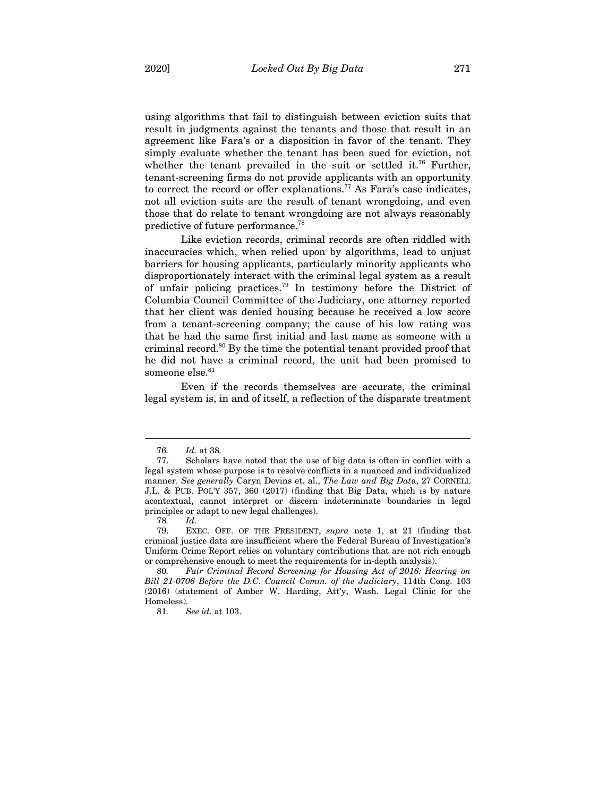using algorithms that fail to distinguish between eviction suits that result in judgments against the tenants and those that result in an agreement like Fara's or a disposition in favor of the tenant. They simply evaluate whether the tenant has been sued for eviction, not whether the tenant prevailed in the suit or settled it.<sup>76</sup> Further, tenant-screening firms do not provide applicants with an opportunity to correct the record or offer explanations.<sup>77</sup> As Fara's case indicates, not all eviction suits are the result of tenant wrongdoing, and even those that do relate to tenant wrongdoing are not always reasonably predictive of future performance.78

Like eviction records, criminal records are often riddled with inaccuracies which, when relied upon by algorithms, lead to unjust barriers for housing applicants, particularly minority applicants who disproportionately interact with the criminal legal system as a result of unfair policing practices.79 In testimony before the District of Columbia Council Committee of the Judiciary, one attorney reported that her client was denied housing because he received a low score from a tenant-screening company; the cause of his low rating was that he had the same first initial and last name as someone with a criminal record.80 By the time the potential tenant provided proof that he did not have a criminal record, the unit had been promised to someone else.<sup>81</sup>

Even if the records themselves are accurate, the criminal legal system is, in and of itself, a reflection of the disparate treatment

<sup>76</sup>*. Id.* at 38*.*

<sup>77.</sup> Scholars have noted that the use of big data is often in conflict with a legal system whose purpose is to resolve conflicts in a nuanced and individualized manner. *See generally* Caryn Devins et. al., *The Law and Big Dat*a, 27 CORNELL J.L. & PUB. POL'Y 357, 360 (2017) (finding that Big Data, which is by nature acontextual, cannot interpret or discern indeterminate boundaries in legal principles or adapt to new legal challenges).

<sup>78</sup>*. Id.*

<sup>79.</sup> EXEC. OFF. OF THE PRESIDENT, *supra* note 1, at 21 (finding that criminal justice data are insufficient where the Federal Bureau of Investigation's Uniform Crime Report relies on voluntary contributions that are not rich enough or comprehensive enough to meet the requirements for in-depth analysis).

<sup>80</sup>*. Fair Criminal Record Screening for Housing Act of 2016: Hearing on Bill 21-0706 Before the D.C. Council Comm. of the Judiciary*, 114th Cong. 103 (2016) (statement of Amber W. Harding, Att'y, Wash. Legal Clinic for the Homeless).

<sup>81</sup>*. See id.* at 103.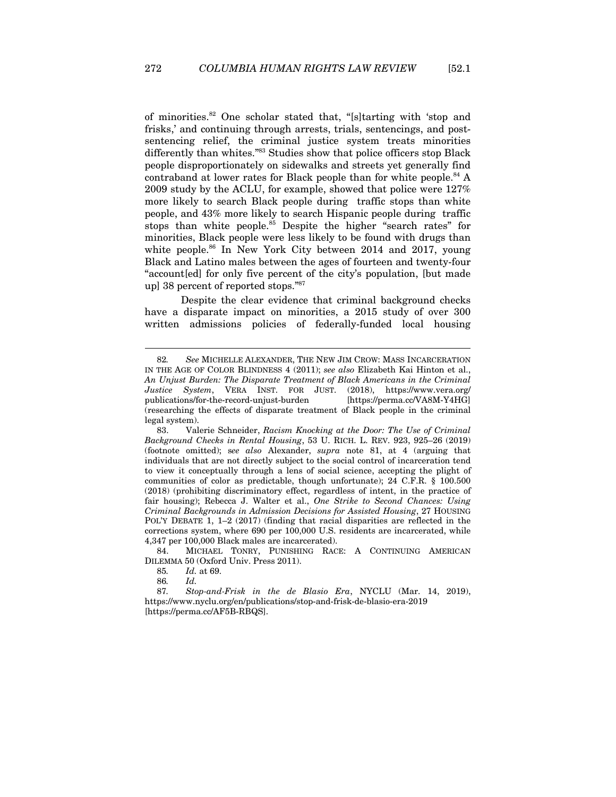of minorities.82 One scholar stated that, "[s]tarting with 'stop and frisks,' and continuing through arrests, trials, sentencings, and postsentencing relief, the criminal justice system treats minorities differently than whites."<sup>83</sup> Studies show that police officers stop Black people disproportionately on sidewalks and streets yet generally find contraband at lower rates for Black people than for white people. $84$  A 2009 study by the ACLU, for example, showed that police were 127% more likely to search Black people during traffic stops than white people, and 43% more likely to search Hispanic people during traffic stops than white people.<sup>85</sup> Despite the higher "search rates" for minorities, Black people were less likely to be found with drugs than white people.<sup>86</sup> In New York City between 2014 and 2017, young Black and Latino males between the ages of fourteen and twenty-four "account[ed] for only five percent of the city's population, [but made up] 38 percent of reported stops."87

Despite the clear evidence that criminal background checks have a disparate impact on minorities, a 2015 study of over 300 written admissions policies of federally-funded local housing

84. MICHAEL TONRY, PUNISHING RACE: A CONTINUING AMERICAN DILEMMA 50 (Oxford Univ. Press 2011).

86*. Id.*

87*. Stop-and-Frisk in the de Blasio Era*, NYCLU (Mar. 14, 2019), https://www.nyclu.org/en/publications/stop-and-frisk-de-blasio-era-2019 [https://perma.cc/AF5B-RBQS].

<sup>82</sup>*. See* MICHELLE ALEXANDER, THE NEW JIM CROW: MASS INCARCERATION IN THE AGE OF COLOR BLINDNESS 4 (2011); *see also* Elizabeth Kai Hinton et al., *An Unjust Burden: The Disparate Treatment of Black Americans in the Criminal Justice System*, VERA INST. FOR JUST. (2018), https://www.vera.org/ publications/for-the-record-unjust-burden [https://perma.cc/VA8M-Y4HG] (researching the effects of disparate treatment of Black people in the criminal legal system).

<sup>83.</sup> Valerie Schneider, *Racism Knocking at the Door: The Use of Criminal Background Checks in Rental Housing*, 53 U. RICH. L. REV. 923, 925–26 (2019) (footnote omitted); s*ee also* Alexander, *supra* note 81, at 4 (arguing that individuals that are not directly subject to the social control of incarceration tend to view it conceptually through a lens of social science, accepting the plight of communities of color as predictable, though unfortunate); 24 C.F.R. § 100.500 (2018) (prohibiting discriminatory effect, regardless of intent, in the practice of fair housing); Rebecca J. Walter et al., *One Strike to Second Chances: Using Criminal Backgrounds in Admission Decisions for Assisted Housing*, 27 HOUSING POL'Y DEBATE 1, 1–2 (2017) (finding that racial disparities are reflected in the corrections system, where 690 per 100,000 U.S. residents are incarcerated, while 4,347 per 100,000 Black males are incarcerated).

<sup>85</sup>*. Id.* at 69.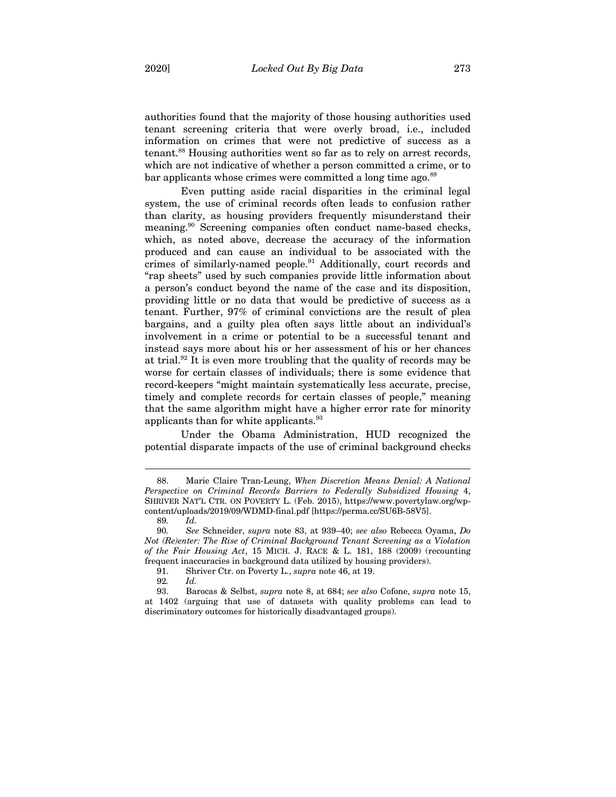authorities found that the majority of those housing authorities used tenant screening criteria that were overly broad, i.e., included information on crimes that were not predictive of success as a tenant.88 Housing authorities went so far as to rely on arrest records, which are not indicative of whether a person committed a crime, or to bar applicants whose crimes were committed a long time ago.<sup>89</sup>

Even putting aside racial disparities in the criminal legal system, the use of criminal records often leads to confusion rather than clarity, as housing providers frequently misunderstand their meaning.90 Screening companies often conduct name-based checks, which, as noted above, decrease the accuracy of the information produced and can cause an individual to be associated with the crimes of similarly-named people.<sup>91</sup> Additionally, court records and "rap sheets" used by such companies provide little information about a person's conduct beyond the name of the case and its disposition, providing little or no data that would be predictive of success as a tenant. Further, 97% of criminal convictions are the result of plea bargains, and a guilty plea often says little about an individual's involvement in a crime or potential to be a successful tenant and instead says more about his or her assessment of his or her chances at trial.92 It is even more troubling that the quality of records may be worse for certain classes of individuals; there is some evidence that record-keepers "might maintain systematically less accurate, precise, timely and complete records for certain classes of people," meaning that the same algorithm might have a higher error rate for minority applicants than for white applicants.<sup>93</sup>

Under the Obama Administration, HUD recognized the potential disparate impacts of the use of criminal background checks

<sup>88.</sup> Marie Claire Tran-Leung, *When Discretion Means Denial: A National Perspective on Criminal Records Barriers to Federally Subsidized Housing* 4, SHRIVER NAT'L CTR. ON POVERTY L. (Feb. 2015), https://www.povertylaw.org/wpcontent/uploads/2019/09/WDMD-final.pdf [https://perma.cc/SU6B-58V5].

<sup>89</sup>*. Id.*

<sup>90</sup>*. See* Schneider, *supra* note 83, at 939–40; *see also* Rebecca Oyama, *Do Not (Re)enter: The Rise of Criminal Background Tenant Screening as a Violation of the Fair Housing Act*, 15 MICH. J. RACE & L. 181, 188 (2009) (recounting frequent inaccuracies in background data utilized by housing providers).

<sup>91.</sup> Shriver Ctr. on Poverty L., *supra* note 46, at 19.

<sup>92</sup>*. Id.*

<sup>93.</sup> Barocas & Selbst, *supra* note 8, at 684; *see also* Cofone, *supra* note 15, at 1402 (arguing that use of datasets with quality problems can lead to discriminatory outcomes for historically disadvantaged groups).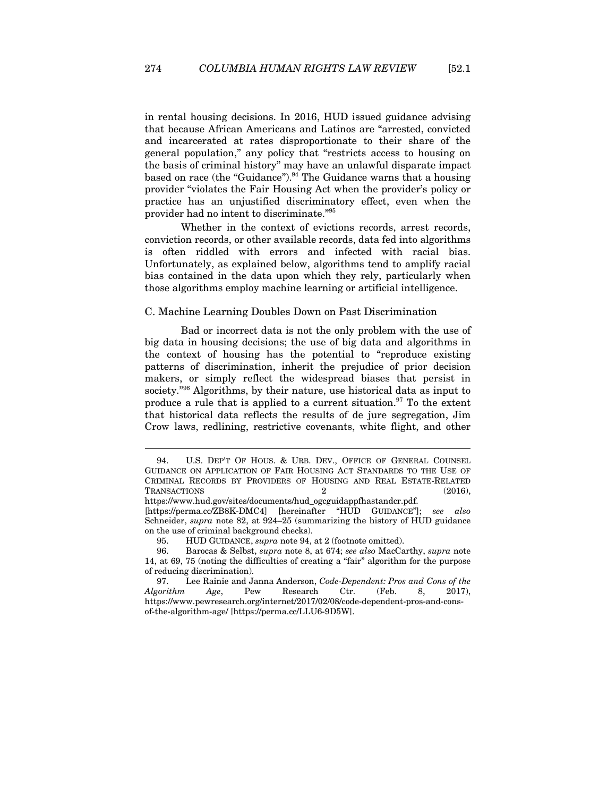in rental housing decisions. In 2016, HUD issued guidance advising that because African Americans and Latinos are "arrested, convicted and incarcerated at rates disproportionate to their share of the general population," any policy that "restricts access to housing on the basis of criminal history" may have an unlawful disparate impact based on race (the "Guidance"). $94$  The Guidance warns that a housing provider "violates the Fair Housing Act when the provider's policy or practice has an unjustified discriminatory effect, even when the provider had no intent to discriminate."95

Whether in the context of evictions records, arrest records, conviction records, or other available records, data fed into algorithms is often riddled with errors and infected with racial bias. Unfortunately, as explained below, algorithms tend to amplify racial bias contained in the data upon which they rely, particularly when those algorithms employ machine learning or artificial intelligence.

## C. Machine Learning Doubles Down on Past Discrimination

Bad or incorrect data is not the only problem with the use of big data in housing decisions; the use of big data and algorithms in the context of housing has the potential to "reproduce existing patterns of discrimination, inherit the prejudice of prior decision makers, or simply reflect the widespread biases that persist in society."96 Algorithms, by their nature, use historical data as input to produce a rule that is applied to a current situation.<sup>97</sup> To the extent that historical data reflects the results of de jure segregation, Jim Crow laws, redlining, restrictive covenants, white flight, and other

<sup>94.</sup> U.S. DEP'T OF HOUS. & URB. DEV., OFFICE OF GENERAL COUNSEL GUIDANCE ON APPLICATION OF FAIR HOUSING ACT STANDARDS TO THE USE OF CRIMINAL RECORDS BY PROVIDERS OF HOUSING AND REAL ESTATE-RELATED TRANSACTIONS 2 (2016),

https://www.hud.gov/sites/documents/hud\_ogcguidappfhastandcr.pdf.

<sup>[</sup>https://perma.cc/ZB8K-DMC4] [hereinafter "HUD GUIDANCE"]; *see also* Schneider, *supra* note 82, at 924–25 (summarizing the history of HUD guidance on the use of criminal background checks).

<sup>95.</sup> HUD GUIDANCE, *supra* note 94, at 2 (footnote omitted).

<sup>96.</sup> Barocas & Selbst, *supra* note 8, at 674; *see also* MacCarthy, *supra* note 14, at 69, 75 (noting the difficulties of creating a "fair" algorithm for the purpose of reducing discrimination).

<sup>97.</sup> Lee Rainie and Janna Anderson, *Code-Dependent: Pros and Cons of the Algorithm Age*, Pew Research Ctr. (Feb. 8, 2017), https://www.pewresearch.org/internet/2017/02/08/code-dependent-pros-and-consof-the-algorithm-age/ [https://perma.cc/LLU6-9D5W].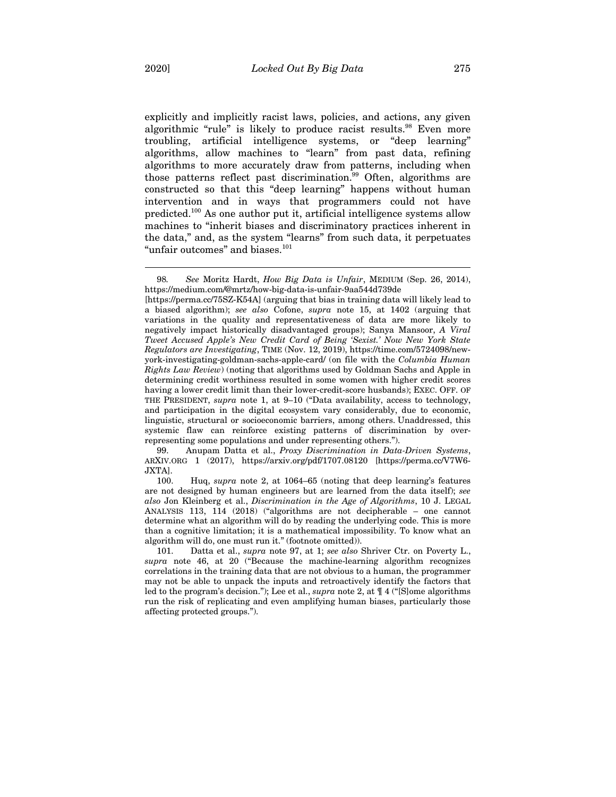explicitly and implicitly racist laws, policies, and actions, any given algorithmic "rule" is likely to produce racist results.<sup>98</sup> Even more troubling, artificial intelligence systems, or "deep learning" algorithms, allow machines to "learn" from past data, refining algorithms to more accurately draw from patterns, including when those patterns reflect past discrimination.<sup>99</sup> Often, algorithms are constructed so that this "deep learning" happens without human intervention and in ways that programmers could not have predicted.100 As one author put it, artificial intelligence systems allow machines to "inherit biases and discriminatory practices inherent in the data," and, as the system "learns" from such data, it perpetuates "unfair outcomes" and biases.<sup>101</sup>

99. Anupam Datta et al., *Proxy Discrimination in Data-Driven Systems*, ARXIV.ORG 1 (2017), https://arxiv.org/pdf/1707.08120 [https://perma.cc/V7W6- JXTA].

100. Huq, *supra* note 2, at 1064–65 (noting that deep learning's features are not designed by human engineers but are learned from the data itself); *see also* Jon Kleinberg et al., *Discrimination in the Age of Algorithms*, 10 J. LEGAL ANALYSIS 113, 114 (2018) ("algorithms are not decipherable – one cannot determine what an algorithm will do by reading the underlying code. This is more than a cognitive limitation; it is a mathematical impossibility. To know what an algorithm will do, one must run it." (footnote omitted)).

101. Datta et al., *supra* note 97, at 1; *see also* Shriver Ctr. on Poverty L., *supra* note 46, at 20 ("Because the machine-learning algorithm recognizes correlations in the training data that are not obvious to a human, the programmer may not be able to unpack the inputs and retroactively identify the factors that led to the program's decision."); Lee et al., *supra* note 2, at ¶ 4 ("[S]ome algorithms run the risk of replicating and even amplifying human biases, particularly those affecting protected groups.").

<sup>98</sup>*. See* Moritz Hardt, *How Big Data is Unfair*, MEDIUM (Sep. 26, 2014), https://medium.com/@mrtz/how-big-data-is-unfair-9aa544d739de

<sup>[</sup>https://perma.cc/75SZ-K54A] (arguing that bias in training data will likely lead to a biased algorithm); *see also* Cofone, *supra* note 15, at 1402 (arguing that variations in the quality and representativeness of data are more likely to negatively impact historically disadvantaged groups); Sanya Mansoor, *A Viral Tweet Accused Apple's New Credit Card of Being 'Sexist.' Now New York State Regulators are Investigating*, TIME (Nov. 12, 2019), https://time.com/5724098/newyork-investigating-goldman-sachs-apple-card/ (on file with the *Columbia Human Rights Law Review*) (noting that algorithms used by Goldman Sachs and Apple in determining credit worthiness resulted in some women with higher credit scores having a lower credit limit than their lower-credit-score husbands); EXEC. OFF. OF THE PRESIDENT, *supra* note 1, at 9–10 ("Data availability, access to technology, and participation in the digital ecosystem vary considerably, due to economic, linguistic, structural or socioeconomic barriers, among others. Unaddressed, this systemic flaw can reinforce existing patterns of discrimination by overrepresenting some populations and under representing others.").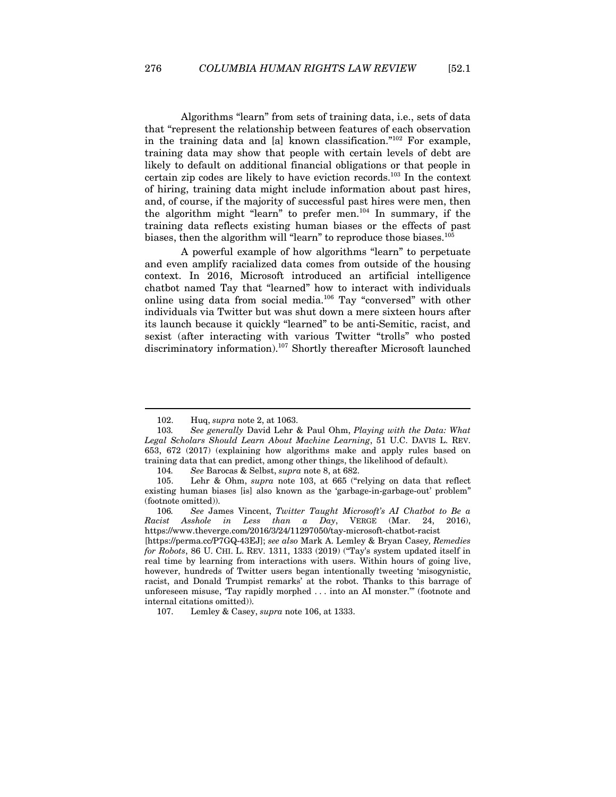Algorithms "learn" from sets of training data, i.e., sets of data that "represent the relationship between features of each observation in the training data and [a] known classification." $102$  For example, training data may show that people with certain levels of debt are likely to default on additional financial obligations or that people in certain zip codes are likely to have eviction records.103 In the context of hiring, training data might include information about past hires, and, of course, if the majority of successful past hires were men, then the algorithm might "learn" to prefer men.<sup>104</sup> In summary, if the training data reflects existing human biases or the effects of past biases, then the algorithm will "learn" to reproduce those biases.<sup>105</sup>

A powerful example of how algorithms "learn" to perpetuate and even amplify racialized data comes from outside of the housing context. In 2016, Microsoft introduced an artificial intelligence chatbot named Tay that "learned" how to interact with individuals online using data from social media.106 Tay "conversed" with other individuals via Twitter but was shut down a mere sixteen hours after its launch because it quickly "learned" to be anti-Semitic, racist, and sexist (after interacting with various Twitter "trolls" who posted discriminatory information).107 Shortly thereafter Microsoft launched

<sup>102.</sup> Huq, *supra* note 2, at 1063.

<sup>103</sup>*. See generally* David Lehr & Paul Ohm, *Playing with the Data: What Legal Scholars Should Learn About Machine Learning*, 51 U.C. DAVIS L. REV. 653, 672 (2017) (explaining how algorithms make and apply rules based on training data that can predict, among other things, the likelihood of default).

<sup>104</sup>*. See* Barocas & Selbst, *supra* note 8, at 682.

<sup>105.</sup> Lehr & Ohm, *supra* note 103, at 665 ("relying on data that reflect existing human biases [is] also known as the 'garbage-in-garbage-out' problem" (footnote omitted)).

<sup>106</sup>*. See* James Vincent, *Twitter Taught Microsoft's AI Chatbot to Be a Racist Asshole in Less than a Day*, VERGE (Mar. 24, 2016), https://www.theverge.com/2016/3/24/11297050/tay-microsoft-chatbot-racist

<sup>[</sup>https://perma.cc/P7GQ-43EJ]; *see also* Mark A. Lemley & Bryan Casey*, Remedies for Robots*, 86 U. CHI. L. REV. 1311, 1333 (2019) ("Tay's system updated itself in real time by learning from interactions with users. Within hours of going live, however, hundreds of Twitter users began intentionally tweeting 'misogynistic, racist, and Donald Trumpist remarks' at the robot. Thanks to this barrage of unforeseen misuse, 'Tay rapidly morphed . . . into an AI monster.'" (footnote and internal citations omitted)).

<sup>107.</sup> Lemley & Casey, *supra* note 106, at 1333.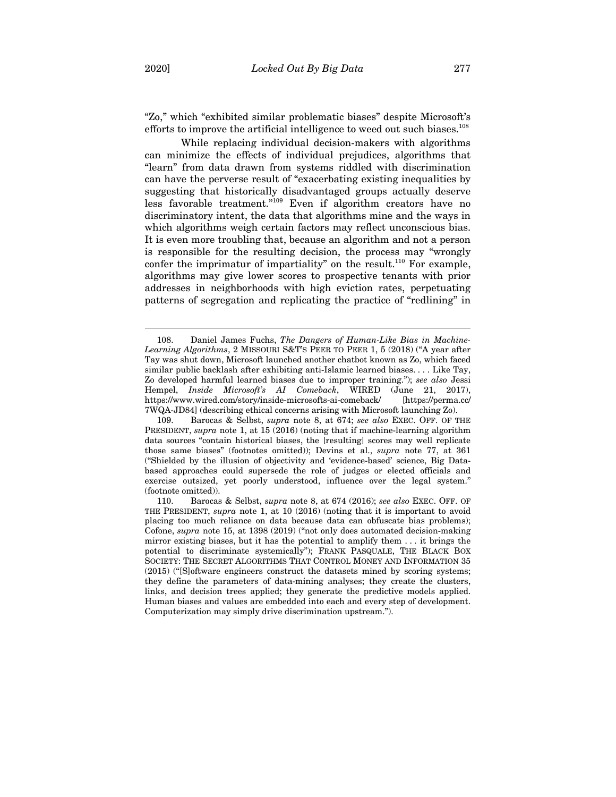$\overline{a}$ 

"Zo," which "exhibited similar problematic biases" despite Microsoft's efforts to improve the artificial intelligence to weed out such biases. $108$ 

While replacing individual decision-makers with algorithms can minimize the effects of individual prejudices, algorithms that "learn" from data drawn from systems riddled with discrimination can have the perverse result of "exacerbating existing inequalities by suggesting that historically disadvantaged groups actually deserve less favorable treatment."109 Even if algorithm creators have no discriminatory intent, the data that algorithms mine and the ways in which algorithms weigh certain factors may reflect unconscious bias. It is even more troubling that, because an algorithm and not a person is responsible for the resulting decision, the process may "wrongly confer the imprimatur of impartiality" on the result.110 For example, algorithms may give lower scores to prospective tenants with prior addresses in neighborhoods with high eviction rates, perpetuating patterns of segregation and replicating the practice of "redlining" in

<sup>108.</sup> Daniel James Fuchs, *The Dangers of Human-Like Bias in Machine-Learning Algorithms*, 2 MISSOURI S&T'S PEER TO PEER 1, 5 (2018) ("A year after Tay was shut down, Microsoft launched another chatbot known as Zo, which faced similar public backlash after exhibiting anti-Islamic learned biases. . . . Like Tay, Zo developed harmful learned biases due to improper training."); *see also* Jessi Hempel, *Inside Microsoft's AI Comeback*, WIRED (June 21, 2017), https://www.wired.com/story/inside-microsofts-ai-comeback/ [https://perma.cc/ 7WQA-JD84] (describing ethical concerns arising with Microsoft launching Zo).

<sup>109.</sup> Barocas & Selbst, *supra* note 8, at 674; *see also* EXEC. OFF. OF THE PRESIDENT, *supra* note 1, at 15 (2016) (noting that if machine-learning algorithm data sources "contain historical biases, the [resulting] scores may well replicate those same biases" (footnotes omitted)); Devins et al., *supra* note 77, at 361 ("Shielded by the illusion of objectivity and 'evidence-based' science, Big Databased approaches could supersede the role of judges or elected officials and exercise outsized, yet poorly understood, influence over the legal system." (footnote omitted)).

<sup>110.</sup> Barocas & Selbst, *supra* note 8, at 674 (2016); *see also* EXEC. OFF. OF THE PRESIDENT, *supra* note 1, at 10 (2016) (noting that it is important to avoid placing too much reliance on data because data can obfuscate bias problems); Cofone, *supra* note 15, at 1398 (2019) ("not only does automated decision-making mirror existing biases, but it has the potential to amplify them . . . it brings the potential to discriminate systemically"); FRANK PASQUALE, THE BLACK BOX SOCIETY: THE SECRET ALGORITHMS THAT CONTROL MONEY AND INFORMATION 35 (2015) ("[S]oftware engineers construct the datasets mined by scoring systems; they define the parameters of data-mining analyses; they create the clusters, links, and decision trees applied; they generate the predictive models applied. Human biases and values are embedded into each and every step of development. Computerization may simply drive discrimination upstream.").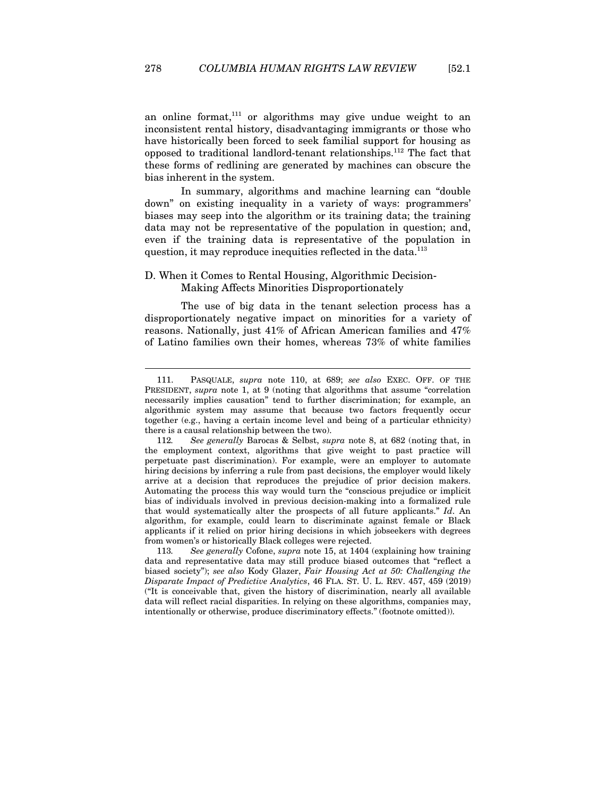an online format, $111$  or algorithms may give undue weight to an inconsistent rental history, disadvantaging immigrants or those who have historically been forced to seek familial support for housing as opposed to traditional landlord-tenant relationships.112 The fact that these forms of redlining are generated by machines can obscure the bias inherent in the system.

In summary, algorithms and machine learning can "double down" on existing inequality in a variety of ways: programmers' biases may seep into the algorithm or its training data; the training data may not be representative of the population in question; and, even if the training data is representative of the population in question, it may reproduce inequities reflected in the data.<sup>113</sup>

# D. When it Comes to Rental Housing, Algorithmic Decision-Making Affects Minorities Disproportionately

 $\overline{a}$ 

The use of big data in the tenant selection process has a disproportionately negative impact on minorities for a variety of reasons. Nationally, just 41% of African American families and 47% of Latino families own their homes, whereas 73% of white families

<sup>111.</sup> PASQUALE, *supra* note 110, at 689; *see also* EXEC. OFF. OF THE PRESIDENT, *supra* note 1, at 9 (noting that algorithms that assume "correlation" necessarily implies causation" tend to further discrimination; for example, an algorithmic system may assume that because two factors frequently occur together (e.g., having a certain income level and being of a particular ethnicity) there is a causal relationship between the two).

<sup>112</sup>*. See generally* Barocas & Selbst, *supra* note 8, at 682 (noting that, in the employment context, algorithms that give weight to past practice will perpetuate past discrimination). For example, were an employer to automate hiring decisions by inferring a rule from past decisions, the employer would likely arrive at a decision that reproduces the prejudice of prior decision makers. Automating the process this way would turn the "conscious prejudice or implicit bias of individuals involved in previous decision-making into a formalized rule that would systematically alter the prospects of all future applicants." *Id*. An algorithm, for example, could learn to discriminate against female or Black applicants if it relied on prior hiring decisions in which jobseekers with degrees from women's or historically Black colleges were rejected.

<sup>113</sup>*. See generally* Cofone, *supra* note 15, at 1404 (explaining how training data and representative data may still produce biased outcomes that "reflect a biased society"); *see also* Kody Glazer, *Fair Housing Act at 50: Challenging the Disparate Impact of Predictive Analytics*, 46 FLA. ST. U. L. REV. 457, 459 (2019) ("It is conceivable that, given the history of discrimination, nearly all available data will reflect racial disparities. In relying on these algorithms, companies may, intentionally or otherwise, produce discriminatory effects." (footnote omitted)).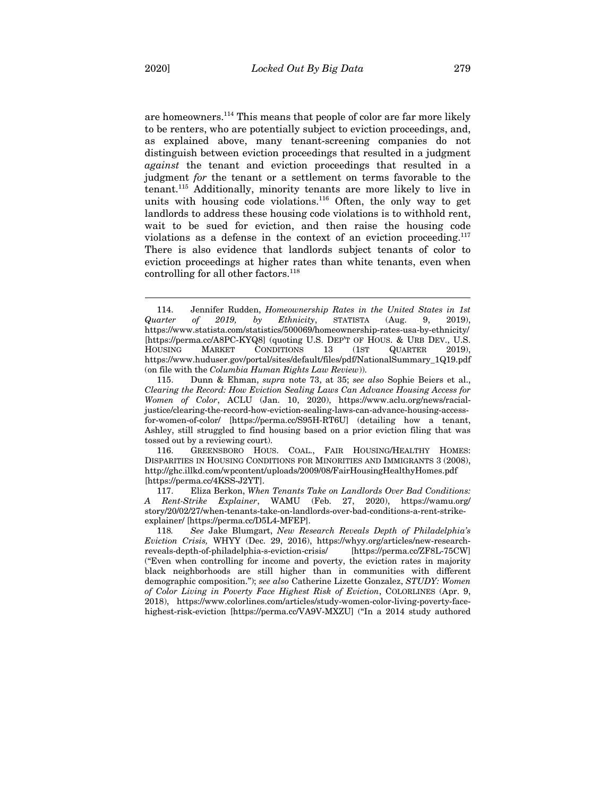are homeowners.<sup>114</sup> This means that people of color are far more likely to be renters, who are potentially subject to eviction proceedings, and, as explained above, many tenant-screening companies do not distinguish between eviction proceedings that resulted in a judgment *against* the tenant and eviction proceedings that resulted in a judgment *for* the tenant or a settlement on terms favorable to the tenant.115 Additionally, minority tenants are more likely to live in units with housing code violations.<sup>116</sup> Often, the only way to get landlords to address these housing code violations is to withhold rent, wait to be sued for eviction, and then raise the housing code violations as a defense in the context of an eviction proceeding. $117$ There is also evidence that landlords subject tenants of color to eviction proceedings at higher rates than white tenants, even when controlling for all other factors.<sup>118</sup>

116. GREENSBORO HOUS. COAL., FAIR HOUSING/HEALTHY HOMES: DISPARITIES IN HOUSING CONDITIONS FOR MINORITIES AND IMMIGRANTS 3 (2008), http://ghc.illkd.com/wpcontent/uploads/2009/08/FairHousingHealthyHomes.pdf [https://perma.cc/4KSS-J2YT].

117. Eliza Berkon, *When Tenants Take on Landlords Over Bad Conditions: A Rent-Strike Explainer*, WAMU (Feb. 27, 2020), https://wamu.org/ story/20/02/27/when-tenants-take-on-landlords-over-bad-conditions-a-rent-strikeexplainer/ [https://perma.cc/D5L4-MFEP].

118*. See* Jake Blumgart, *New Research Reveals Depth of Philadelphia's Eviction Crisis,* WHYY (Dec. 29, 2016), https://whyy.org/articles/new-researchreveals-depth-of-philadelphia-s-eviction-crisis/ [https://perma.cc/ZF8L-75CW] ("Even when controlling for income and poverty, the eviction rates in majority black neighborhoods are still higher than in communities with different demographic composition."); *see also* Catherine Lizette Gonzalez, *STUDY: Women of Color Living in Poverty Face Highest Risk of Eviction*, COLORLINES (Apr. 9, 2018), https://www.colorlines.com/articles/study-women-color-living-poverty-facehighest-risk-eviction [https://perma.cc/VA9V-MXZU] ("In a 2014 study authored

<sup>114.</sup> Jennifer Rudden, *Homeownership Rates in the United States in 1st Quarter of 2019, by Ethnicity*, STATISTA (Aug. 9, 2019), https://www.statista.com/statistics/500069/homeownership-rates-usa-by-ethnicity/ [https://perma.cc/A8PC-KYQ8] (quoting U.S. DEP'T OF HOUS. & URB DEV., U.S. HOUSING MARKET CONDITIONS 13 (1ST QUARTER 2019), https://www.huduser.gov/portal/sites/default/files/pdf/NationalSummary\_1Q19.pdf (on file with the *Columbia Human Rights Law Review*)).

<sup>115.</sup> Dunn & Ehman, *supra* note 73, at 35; *see also* Sophie Beiers et al., *Clearing the Record: How Eviction Sealing Laws Can Advance Housing Access for Women of Color*, ACLU (Jan. 10, 2020), https://www.aclu.org/news/racialjustice/clearing-the-record-how-eviction-sealing-laws-can-advance-housing-accessfor-women-of-color/ [https://perma.cc/S95H-RT6U] (detailing how a tenant, Ashley, still struggled to find housing based on a prior eviction filing that was tossed out by a reviewing court).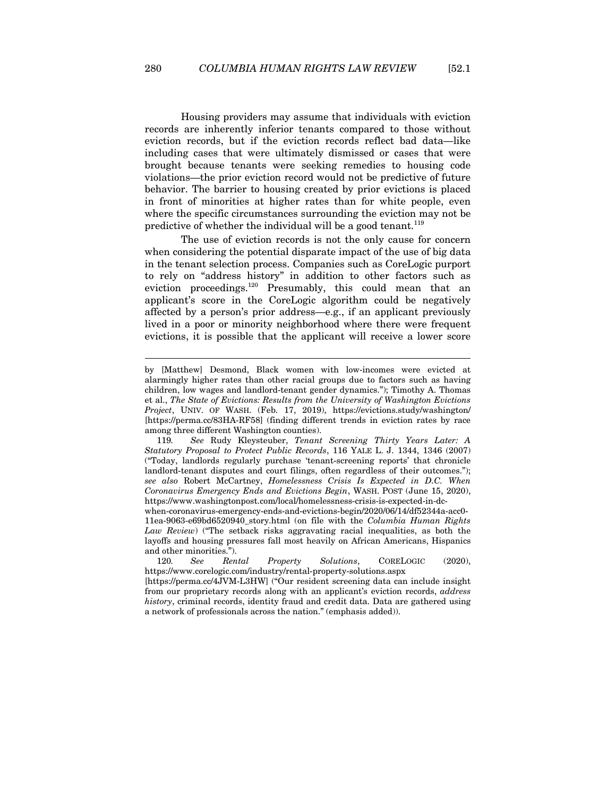Housing providers may assume that individuals with eviction records are inherently inferior tenants compared to those without eviction records, but if the eviction records reflect bad data—like including cases that were ultimately dismissed or cases that were brought because tenants were seeking remedies to housing code violations—the prior eviction record would not be predictive of future behavior. The barrier to housing created by prior evictions is placed in front of minorities at higher rates than for white people, even where the specific circumstances surrounding the eviction may not be predictive of whether the individual will be a good tenant.<sup>119</sup>

The use of eviction records is not the only cause for concern when considering the potential disparate impact of the use of big data in the tenant selection process. Companies such as CoreLogic purport to rely on "address history" in addition to other factors such as eviction proceedings.120 Presumably, this could mean that an applicant's score in the CoreLogic algorithm could be negatively affected by a person's prior address—e.g., if an applicant previously lived in a poor or minority neighborhood where there were frequent evictions, it is possible that the applicant will receive a lower score

when-coronavirus-emergency-ends-and-evictions-begin/2020/06/14/df52344a-acc0- 11ea-9063-e69bd6520940\_story.html (on file with the *Columbia Human Rights Law Review*) ("The setback risks aggravating racial inequalities, as both the layoffs and housing pressures fall most heavily on African Americans, Hispanics and other minorities.").

120*. See Rental Property Solutions*, CORELOGIC (2020), https://www.corelogic.com/industry/rental-property-solutions.aspx [https://perma.cc/4JVM-L3HW] ("Our resident screening data can include insight from our proprietary records along with an applicant's eviction records, *address history*, criminal records, identity fraud and credit data. Data are gathered using a network of professionals across the nation." (emphasis added)).

by [Matthew] Desmond, Black women with low-incomes were evicted at alarmingly higher rates than other racial groups due to factors such as having children, low wages and landlord-tenant gender dynamics."); Timothy A. Thomas et al., *The State of Evictions: Results from the University of Washington Evictions Project*, UNIV. OF WASH. (Feb. 17, 2019), https://evictions.study/washington/ [https://perma.cc/83HA-RF58] (finding different trends in eviction rates by race among three different Washington counties).

<sup>119</sup>*. See* Rudy Kleysteuber, *Tenant Screening Thirty Years Later: A Statutory Proposal to Protect Public Records*, 116 YALE L. J. 1344, 1346 (2007) ("Today, landlords regularly purchase 'tenant-screening reports' that chronicle landlord-tenant disputes and court filings, often regardless of their outcomes."); *see also* Robert McCartney, *Homelessness Crisis Is Expected in D.C. When Coronavirus Emergency Ends and Evictions Begin*, WASH. POST (June 15, 2020), https://www.washingtonpost.com/local/homelessness-crisis-is-expected-in-dc-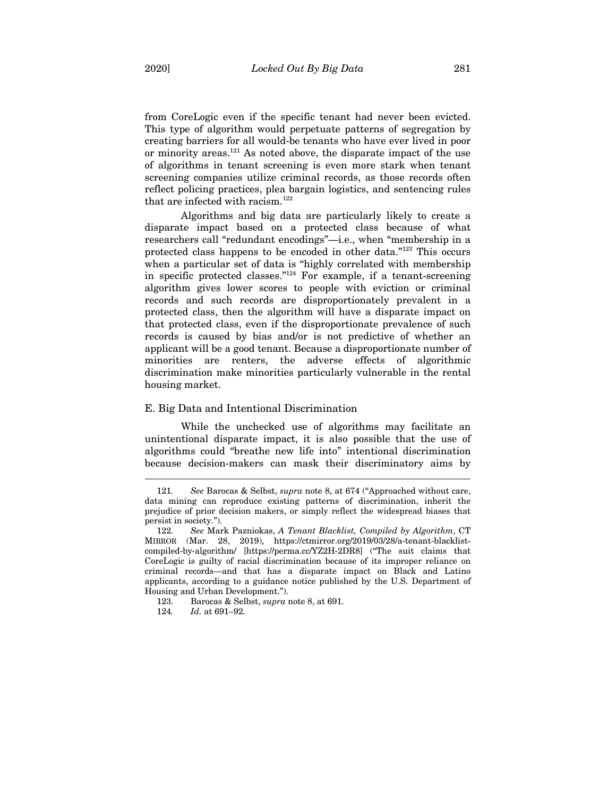from CoreLogic even if the specific tenant had never been evicted. This type of algorithm would perpetuate patterns of segregation by creating barriers for all would-be tenants who have ever lived in poor or minority areas.<sup>121</sup> As noted above, the disparate impact of the use of algorithms in tenant screening is even more stark when tenant screening companies utilize criminal records, as those records often reflect policing practices, plea bargain logistics, and sentencing rules that are infected with racism.<sup>122</sup>

Algorithms and big data are particularly likely to create a disparate impact based on a protected class because of what researchers call "redundant encodings"—i.e., when "membership in a protected class happens to be encoded in other data."123 This occurs when a particular set of data is "highly correlated with membership in specific protected classes."124 For example, if a tenant-screening algorithm gives lower scores to people with eviction or criminal records and such records are disproportionately prevalent in a protected class, then the algorithm will have a disparate impact on that protected class, even if the disproportionate prevalence of such records is caused by bias and/or is not predictive of whether an applicant will be a good tenant. Because a disproportionate number of minorities are renters, the adverse effects of algorithmic discrimination make minorities particularly vulnerable in the rental housing market.

## E. Big Data and Intentional Discrimination

While the unchecked use of algorithms may facilitate an unintentional disparate impact, it is also possible that the use of algorithms could "breathe new life into" intentional discrimination because decision-makers can mask their discriminatory aims by

<sup>121</sup>*. See* Barocas & Selbst, *supra* note 8, at 674 ("Approached without care, data mining can reproduce existing patterns of discrimination, inherit the prejudice of prior decision makers, or simply reflect the widespread biases that persist in society.").

<sup>122</sup>*. See* Mark Pazniokas, *A Tenant Blacklist, Compiled by Algorithm*, CT MIRROR (Mar. 28, 2019), https://ctmirror.org/2019/03/28/a-tenant-blacklistcompiled-by-algorithm/ [https://perma.cc/YZ2H-2DR8] ("The suit claims that CoreLogic is guilty of racial discrimination because of its improper reliance on criminal records—and that has a disparate impact on Black and Latino applicants, according to a guidance notice published by the U.S. Department of Housing and Urban Development.").

<sup>123.</sup> Barocas & Selbst, *supra* note 8, at 691.

<sup>124</sup>*. Id.* at 691–92.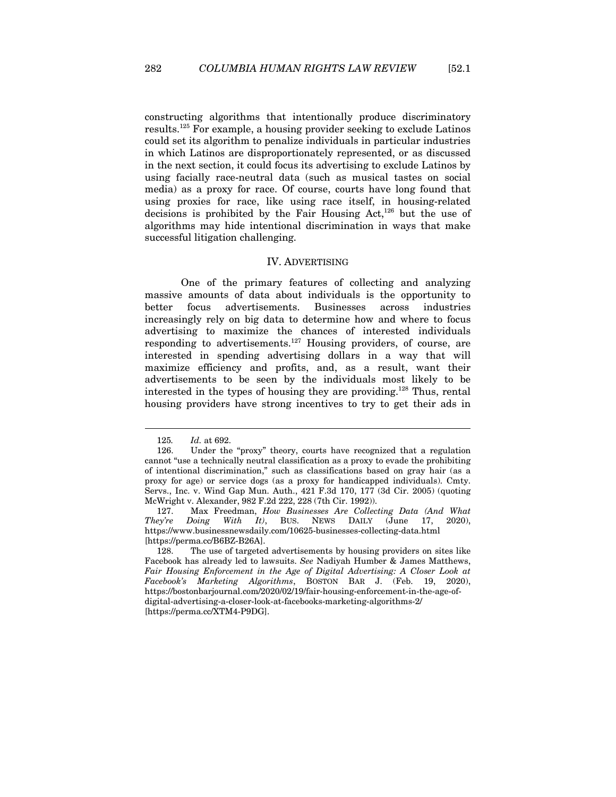constructing algorithms that intentionally produce discriminatory results.125 For example, a housing provider seeking to exclude Latinos could set its algorithm to penalize individuals in particular industries in which Latinos are disproportionately represented, or as discussed in the next section, it could focus its advertising to exclude Latinos by using facially race-neutral data (such as musical tastes on social media) as a proxy for race. Of course, courts have long found that using proxies for race, like using race itself, in housing-related decisions is prohibited by the Fair Housing Act, $^{126}$  but the use of algorithms may hide intentional discrimination in ways that make successful litigation challenging.

## IV. ADVERTISING

One of the primary features of collecting and analyzing massive amounts of data about individuals is the opportunity to better focus advertisements. Businesses across industries increasingly rely on big data to determine how and where to focus advertising to maximize the chances of interested individuals responding to advertisements.<sup>127</sup> Housing providers, of course, are interested in spending advertising dollars in a way that will maximize efficiency and profits, and, as a result, want their advertisements to be seen by the individuals most likely to be interested in the types of housing they are providing.128 Thus, rental housing providers have strong incentives to try to get their ads in

<sup>125</sup>*. Id.* at 692.

<sup>126.</sup> Under the "proxy" theory, courts have recognized that a regulation cannot "use a technically neutral classification as a proxy to evade the prohibiting of intentional discrimination," such as classifications based on gray hair (as a proxy for age) or service dogs (as a proxy for handicapped individuals). Cmty. Servs., Inc. v. Wind Gap Mun. Auth., 421 F.3d 170, 177 (3d Cir. 2005) (quoting McWright v. Alexander, 982 F.2d 222, 228 (7th Cir. 1992)).

<sup>127.</sup> Max Freedman, *How Businesses Are Collecting Data (And What They're Doing With It)*, BUS. NEWS DAILY (June 17, 2020), https://www.businessnewsdaily.com/10625-businesses-collecting-data.html [https://perma.cc/B6BZ-B26A].

<sup>128.</sup> The use of targeted advertisements by housing providers on sites like Facebook has already led to lawsuits. *See* Nadiyah Humber & James Matthews, *Fair Housing Enforcement in the Age of Digital Advertising: A Closer Look at Facebook's Marketing Algorithms*, BOSTON BAR J. (Feb. 19, 2020), https://bostonbarjournal.com/2020/02/19/fair-housing-enforcement-in-the-age-ofdigital-advertising-a-closer-look-at-facebooks-marketing-algorithms-2/ [https://perma.cc/XTM4-P9DG].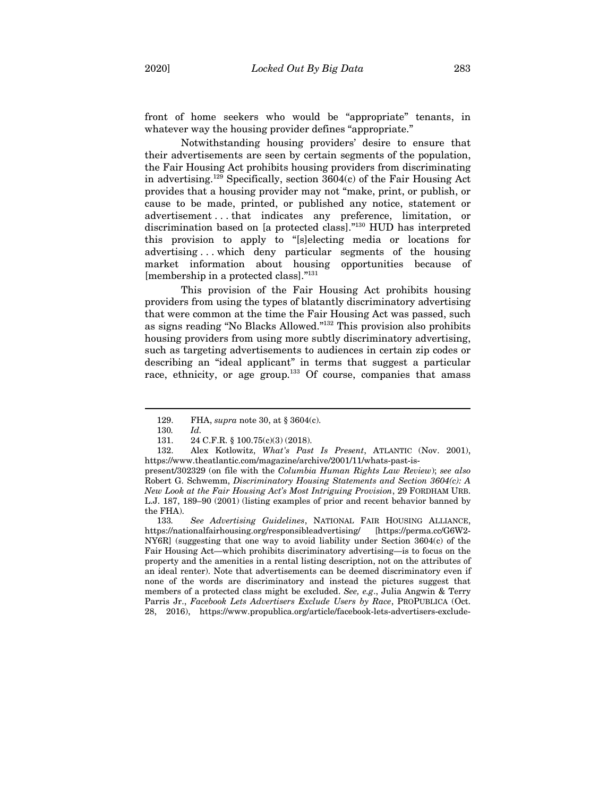front of home seekers who would be "appropriate" tenants, in whatever way the housing provider defines "appropriate."

Notwithstanding housing providers' desire to ensure that their advertisements are seen by certain segments of the population, the Fair Housing Act prohibits housing providers from discriminating in advertising.129 Specifically, section 3604(c) of the Fair Housing Act provides that a housing provider may not "make, print, or publish, or cause to be made, printed, or published any notice, statement or advertisement . . . that indicates any preference, limitation, or discrimination based on [a protected class]."130 HUD has interpreted this provision to apply to "[s]electing media or locations for advertising . . . which deny particular segments of the housing market information about housing opportunities because of [membership in a protected class]."131

This provision of the Fair Housing Act prohibits housing providers from using the types of blatantly discriminatory advertising that were common at the time the Fair Housing Act was passed, such as signs reading "No Blacks Allowed."132 This provision also prohibits housing providers from using more subtly discriminatory advertising, such as targeting advertisements to audiences in certain zip codes or describing an "ideal applicant" in terms that suggest a particular race, ethnicity, or age group.<sup>133</sup> Of course, companies that amass

 $\overline{a}$ 

132. Alex Kotlowitz, *What's Past Is Present*, ATLANTIC (Nov. 2001), https://www.theatlantic.com/magazine/archive/2001/11/whats-past-is-

present/302329 (on file with the *Columbia Human Rights Law Review*); *see also*  Robert G. Schwemm, *Discriminatory Housing Statements and Section 3604(c): A New Look at the Fair Housing Act's Most Intriguing Provision*, 29 FORDHAM URB. L.J. 187, 189–90 (2001) (listing examples of prior and recent behavior banned by the FHA).

133*. See Advertising Guidelines*, NATIONAL FAIR HOUSING ALLIANCE, https://nationalfairhousing.org/responsibleadvertising/ [https://perma.cc/G6W2- NY6R] (suggesting that one way to avoid liability under Section 3604(c) of the Fair Housing Act—which prohibits discriminatory advertising—is to focus on the property and the amenities in a rental listing description, not on the attributes of an ideal renter). Note that advertisements can be deemed discriminatory even if none of the words are discriminatory and instead the pictures suggest that members of a protected class might be excluded. *See, e.g*., Julia Angwin & Terry Parris Jr., *Facebook Lets Advertisers Exclude Users by Race*, PROPUBLICA (Oct. 28, 2016), https://www.propublica.org/article/facebook-lets-advertisers-exclude-

<sup>129.</sup> FHA, *supra* note 30, at § 3604(c).

<sup>130</sup>*. Id.*

<sup>131. 24</sup> C.F.R. § 100.75(c)(3) (2018).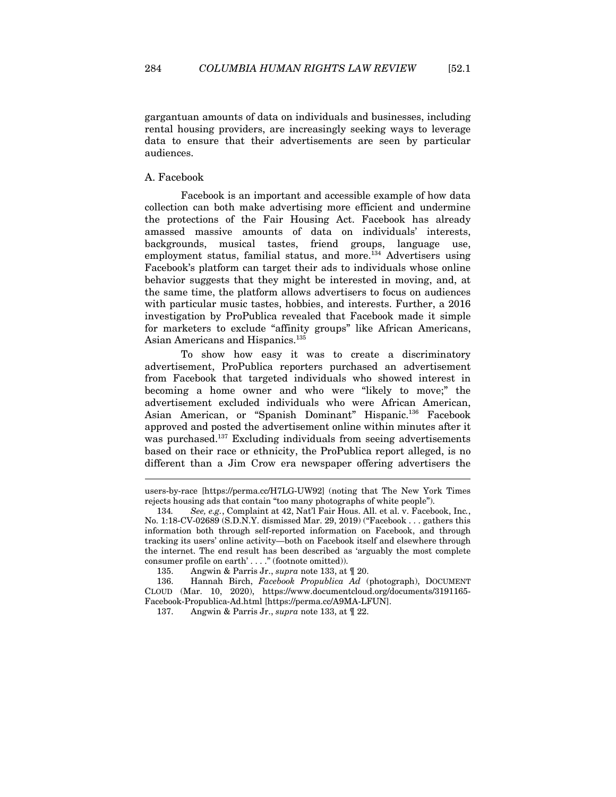gargantuan amounts of data on individuals and businesses, including rental housing providers, are increasingly seeking ways to leverage data to ensure that their advertisements are seen by particular audiences.

## A. Facebook

Facebook is an important and accessible example of how data collection can both make advertising more efficient and undermine the protections of the Fair Housing Act. Facebook has already amassed massive amounts of data on individuals' interests, backgrounds, musical tastes, friend groups, language use, employment status, familial status, and more.<sup>134</sup> Advertisers using Facebook's platform can target their ads to individuals whose online behavior suggests that they might be interested in moving, and, at the same time, the platform allows advertisers to focus on audiences with particular music tastes, hobbies, and interests. Further, a 2016 investigation by ProPublica revealed that Facebook made it simple for marketers to exclude "affinity groups" like African Americans, Asian Americans and Hispanics.<sup>135</sup>

To show how easy it was to create a discriminatory advertisement, ProPublica reporters purchased an advertisement from Facebook that targeted individuals who showed interest in becoming a home owner and who were "likely to move;" the advertisement excluded individuals who were African American, Asian American, or "Spanish Dominant" Hispanic.136 Facebook approved and posted the advertisement online within minutes after it was purchased.<sup>137</sup> Excluding individuals from seeing advertisements based on their race or ethnicity, the ProPublica report alleged, is no different than a Jim Crow era newspaper offering advertisers the

users-by-race [https://perma.cc/H7LG-UW92] (noting that The New York Times rejects housing ads that contain "too many photographs of white people").

<sup>134</sup>*. See, e.g.*, Complaint at 42, Nat'l Fair Hous. All. et al. v. Facebook, Inc*.*, No. 1:18-CV-02689 (S.D.N.Y. dismissed Mar. 29, 2019) ("Facebook . . . gathers this information both through self-reported information on Facebook, and through tracking its users' online activity—both on Facebook itself and elsewhere through the internet. The end result has been described as 'arguably the most complete consumer profile on earth' . . . ." (footnote omitted)).

<sup>135.</sup> Angwin & Parris Jr., *supra* note 133, at ¶ 20.

<sup>136.</sup> Hannah Birch, *Facebook Propublica Ad* (photograph), DOCUMENT CLOUD (Mar. 10, 2020), https://www.documentcloud.org/documents/3191165- Facebook-Propublica-Ad.html [https://perma.cc/A9MA-LFUN].

<sup>137.</sup> Angwin & Parris Jr., *supra* note 133, at ¶ 22.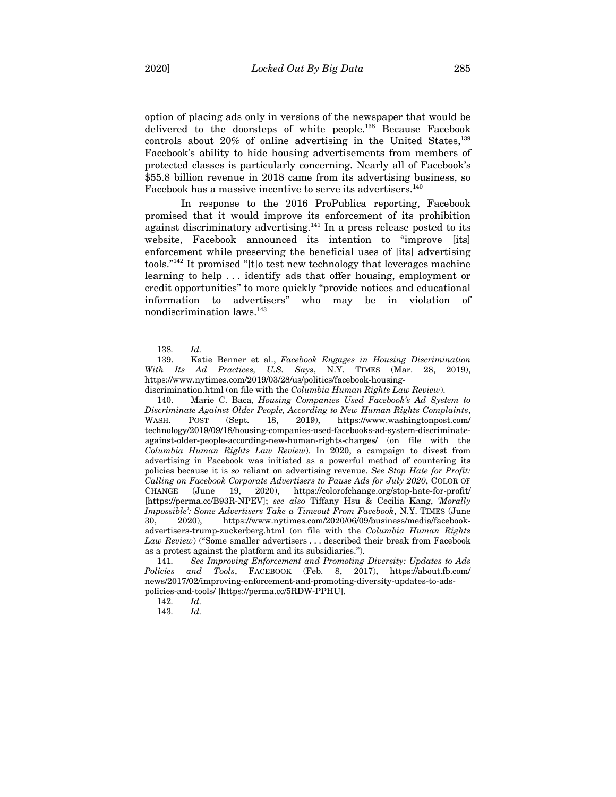option of placing ads only in versions of the newspaper that would be delivered to the doorsteps of white people.138 Because Facebook controls about  $20\%$  of online advertising in the United States,  $^{139}$ Facebook's ability to hide housing advertisements from members of protected classes is particularly concerning. Nearly all of Facebook's \$55.8 billion revenue in 2018 came from its advertising business, so Facebook has a massive incentive to serve its advertisers.<sup>140</sup>

In response to the 2016 ProPublica reporting, Facebook promised that it would improve its enforcement of its prohibition against discriminatory advertising.<sup>141</sup> In a press release posted to its website, Facebook announced its intention to "improve [its] enforcement while preserving the beneficial uses of [its] advertising tools."142 It promised "[t]o test new technology that leverages machine learning to help . . . identify ads that offer housing, employment or credit opportunities" to more quickly "provide notices and educational information to advertisers" who may be in violation of nondiscrimination laws.143

 $\overline{a}$ 

140. Marie C. Baca, *Housing Companies Used Facebook's Ad System to Discriminate Against Older People, According to New Human Rights Complaints*, WASH. POST (Sept. 18, 2019), https://www.washingtonpost.com/ technology/2019/09/18/housing-companies-used-facebooks-ad-system-discriminateagainst-older-people-according-new-human-rights-charges/ (on file with the *Columbia Human Rights Law Review*). In 2020, a campaign to divest from advertising in Facebook was initiated as a powerful method of countering its policies because it is *so* reliant on advertising revenue. *See Stop Hate for Profit: Calling on Facebook Corporate Advertisers to Pause Ads for July 2020*, COLOR OF CHANGE (June 19, 2020), https://colorofchange.org/stop-hate-for-profit/ [https://perma.cc/B93R-NPEV]; *see also* Tiffany Hsu & Cecilia Kang, *'Morally Impossible': Some Advertisers Take a Timeout From Facebook*, N.Y. TIMES (June 30, 2020), https://www.nytimes.com/2020/06/09/business/media/facebookadvertisers-trump-zuckerberg.html (on file with the *Columbia Human Rights Law Review*) ("Some smaller advertisers . . . described their break from Facebook as a protest against the platform and its subsidiaries.").

141*. See Improving Enforcement and Promoting Diversity: Updates to Ads Policies and Tools*, FACEBOOK (Feb. 8, 2017), https://about.fb.com/ news/2017/02/improving-enforcement-and-promoting-diversity-updates-to-adspolicies-and-tools/ [https://perma.cc/5RDW-PPHU].

143*. Id.*

<sup>138</sup>*. Id.*

<sup>139.</sup> Katie Benner et al., *Facebook Engages in Housing Discrimination With Its Ad Practices, U.S. Says*, N.Y. TIMES (Mar. 28, 2019), https://www.nytimes.com/2019/03/28/us/politics/facebook-housing-

discrimination.html (on file with the *Columbia Human Rights Law Review*).

<sup>142</sup>*. Id.*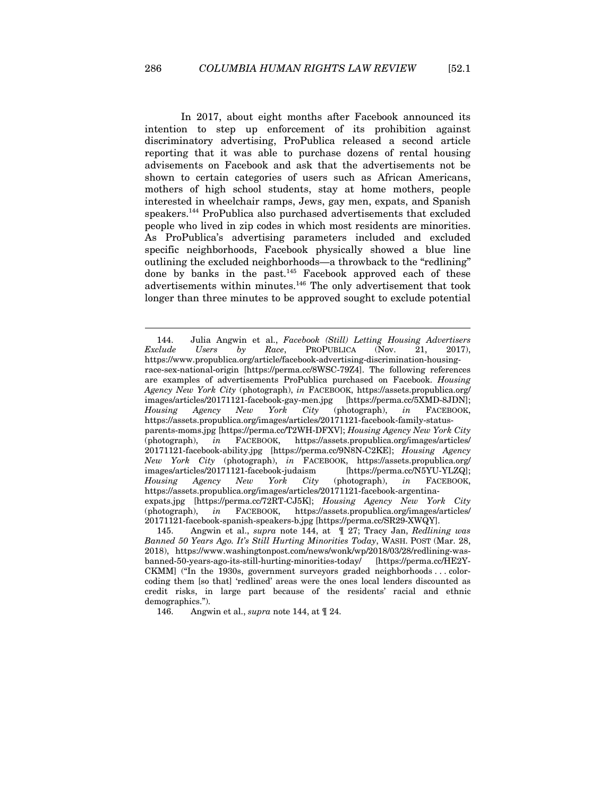In 2017, about eight months after Facebook announced its intention to step up enforcement of its prohibition against discriminatory advertising, ProPublica released a second article reporting that it was able to purchase dozens of rental housing advisements on Facebook and ask that the advertisements not be shown to certain categories of users such as African Americans, mothers of high school students, stay at home mothers, people interested in wheelchair ramps, Jews, gay men, expats, and Spanish speakers.144 ProPublica also purchased advertisements that excluded people who lived in zip codes in which most residents are minorities. As ProPublica's advertising parameters included and excluded specific neighborhoods, Facebook physically showed a blue line outlining the excluded neighborhoods—a throwback to the "redlining" done by banks in the past. $145$  Facebook approved each of these advertisements within minutes.146 The only advertisement that took longer than three minutes to be approved sought to exclude potential

<sup>144.</sup> Julia Angwin et al., *Facebook (Still) Letting Housing Advertisers Exclude Users by Race*, PROPUBLICA (Nov. 21, 2017), https://www.propublica.org/article/facebook-advertising-discrimination-housingrace-sex-national-origin [https://perma.cc/8WSC-79Z4]. The following references are examples of advertisements ProPublica purchased on Facebook. *Housing Agency New York City* (photograph), *in* FACEBOOK, https://assets.propublica.org/ images/articles/20171121-facebook-gay-men.jpg [https://perma.cc/5XMD-8JDN]; *Housing Agency New York City* (photograph), *in* FACEBOOK, https://assets.propublica.org/images/articles/20171121-facebook-family-statusparents-moms.jpg [https://perma.cc/T2WH-DFXV]; *Housing Agency New York City* (photograph), *in* FACEBOOK, https://assets.propublica.org/images/articles/ 20171121-facebook-ability.jpg [https://perma.cc/9N8N-C2KE]; *Housing Agency New York City* (photograph), *in* FACEBOOK, https://assets.propublica.org/ images/articles/20171121-facebook-judaism [https://perma.cc/N5YU-YLZQ]; *Housing Agency New York City* (photograph), *in* FACEBOOK, https://assets.propublica.org/images/articles/20171121-facebook-argentinaexpats.jpg [https://perma.cc/72RT-CJ5K]; *Housing Agency New York City* (photograph), *in* FACEBOOK, https://assets.propublica.org/images/articles/ 20171121-facebook-spanish-speakers-b.jpg [https://perma.cc/SR29-XWQY].

<sup>145.</sup> Angwin et al., *supra* note 144, at ¶ 27; Tracy Jan, *Redlining was Banned 50 Years Ago. It's Still Hurting Minorities Today*, WASH. POST (Mar. 28, 2018), https://www.washingtonpost.com/news/wonk/wp/2018/03/28/redlining-wasbanned-50-years-ago-its-still-hurting-minorities-today/ [https://perma.cc/HE2Y-CKMM] ("In the 1930s, government surveyors graded neighborhoods . . . colorcoding them [so that] 'redlined' areas were the ones local lenders discounted as credit risks, in large part because of the residents' racial and ethnic demographics.").

<sup>146.</sup> Angwin et al., *supra* note 144, at ¶ 24.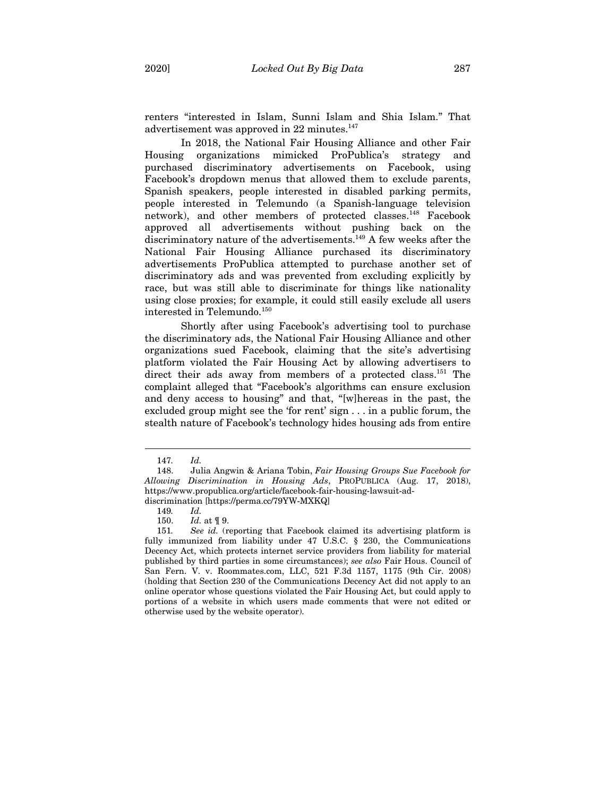renters "interested in Islam, Sunni Islam and Shia Islam." That advertisement was approved in  $22$  minutes.<sup>147</sup>

In 2018, the National Fair Housing Alliance and other Fair Housing organizations mimicked ProPublica's strategy and purchased discriminatory advertisements on Facebook, using Facebook's dropdown menus that allowed them to exclude parents, Spanish speakers, people interested in disabled parking permits, people interested in Telemundo (a Spanish-language television network), and other members of protected classes.148 Facebook approved all advertisements without pushing back on the discriminatory nature of the advertisements.<sup>149</sup> A few weeks after the National Fair Housing Alliance purchased its discriminatory advertisements ProPublica attempted to purchase another set of discriminatory ads and was prevented from excluding explicitly by race, but was still able to discriminate for things like nationality using close proxies; for example, it could still easily exclude all users interested in Telemundo.<sup>150</sup>

Shortly after using Facebook's advertising tool to purchase the discriminatory ads, the National Fair Housing Alliance and other organizations sued Facebook, claiming that the site's advertising platform violated the Fair Housing Act by allowing advertisers to direct their ads away from members of a protected class.<sup>151</sup> The complaint alleged that "Facebook's algorithms can ensure exclusion and deny access to housing" and that, "[w]hereas in the past, the excluded group might see the 'for rent' sign . . . in a public forum, the stealth nature of Facebook's technology hides housing ads from entire

<sup>147</sup>*. Id.*

<sup>148.</sup> Julia Angwin & Ariana Tobin, *Fair Housing Groups Sue Facebook for Allowing Discrimination in Housing Ads*, PROPUBLICA (Aug. 17, 2018), https://www.propublica.org/article/facebook-fair-housing-lawsuit-addiscrimination [https://perma.cc/79YW-MXKQ]

<sup>149</sup>*. Id.*

<sup>150.</sup> *Id.* at ¶ 9.

<sup>151</sup>*. See id.* (reporting that Facebook claimed its advertising platform is fully immunized from liability under 47 U.S.C. § 230, the Communications Decency Act, which protects internet service providers from liability for material published by third parties in some circumstances); *see also* Fair Hous. Council of San Fern. V. v. Roommates.com, LLC, 521 F.3d 1157, 1175 (9th Cir. 2008) (holding that Section 230 of the Communications Decency Act did not apply to an online operator whose questions violated the Fair Housing Act, but could apply to portions of a website in which users made comments that were not edited or otherwise used by the website operator).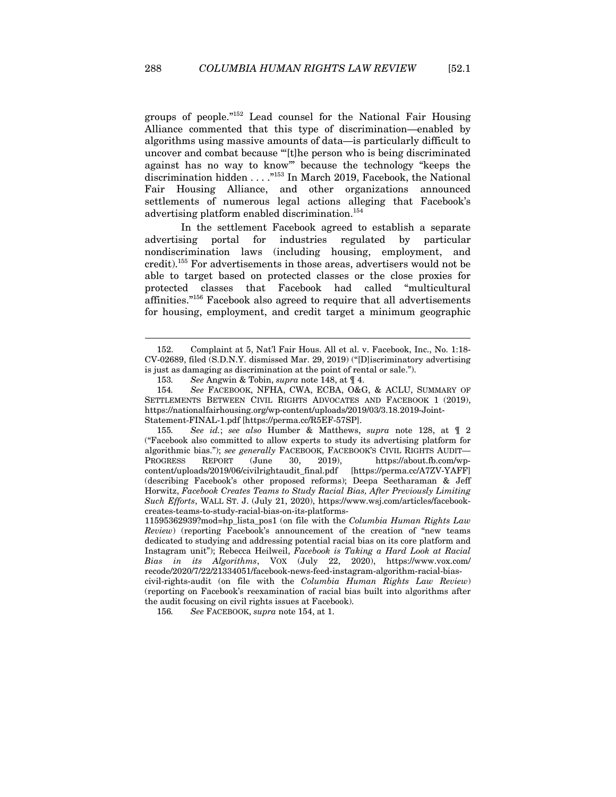groups of people."152 Lead counsel for the National Fair Housing Alliance commented that this type of discrimination—enabled by algorithms using massive amounts of data—is particularly difficult to uncover and combat because "'[t]he person who is being discriminated against has no way to know'" because the technology "keeps the discrimination hidden . . . ."153 In March 2019, Facebook, the National Fair Housing Alliance, and other organizations announced settlements of numerous legal actions alleging that Facebook's advertising platform enabled discrimination.154

In the settlement Facebook agreed to establish a separate advertising portal for industries regulated by particular nondiscrimination laws (including housing, employment, and credit).155 For advertisements in those areas, advertisers would not be able to target based on protected classes or the close proxies for protected classes that Facebook had called "multicultural affinities."156 Facebook also agreed to require that all advertisements for housing, employment, and credit target a minimum geographic

<sup>152.</sup> Complaint at 5, Nat'l Fair Hous. All et al. v. Facebook, Inc., No. 1:18- CV-02689, filed (S.D.N.Y. dismissed Mar. 29, 2019) ("[D]iscriminatory advertising is just as damaging as discrimination at the point of rental or sale.").

<sup>153</sup>*. See* Angwin & Tobin, *supra* note 148, at ¶ 4.

<sup>154</sup>*. See* FACEBOOK, NFHA, CWA, ECBA, O&G, & ACLU, SUMMARY OF SETTLEMENTS BETWEEN CIVIL RIGHTS ADVOCATES AND FACEBOOK 1 (2019), https://nationalfairhousing.org/wp-content/uploads/2019/03/3.18.2019-Joint-Statement-FINAL-1.pdf [https://perma.cc/R5EF-57SP].

<sup>155</sup>*. See id.*; *see also* Humber & Matthews, *supra* note 128, at ¶ 2 ("Facebook also committed to allow experts to study its advertising platform for algorithmic bias."); *see generally* FACEBOOK, FACEBOOK'S CIVIL RIGHTS AUDIT— PROGRESS REPORT (June 30, 2019), https://about.fb.com/wp-<br>content/uploads/2019/06/civilrightaudit\_final.pdf [https://perma.cc/A7ZV-YAFF] content/uploads/2019/06/civilrightaudit\_final.pdf (describing Facebook's other proposed reforms); Deepa Seetharaman & Jeff Horwitz, *Facebook Creates Teams to Study Racial Bias, After Previously Limiting Such Efforts*, WALL ST. J. (July 21, 2020), https://www.wsj.com/articles/facebookcreates-teams-to-study-racial-bias-on-its-platforms-

<sup>11595362939?</sup>mod=hp\_lista\_pos1 (on file with the *Columbia Human Rights Law Review*) (reporting Facebook's announcement of the creation of "new teams dedicated to studying and addressing potential racial bias on its core platform and Instagram unit"); Rebecca Heilweil, *Facebook is Taking a Hard Look at Racial Bias in its Algorithms*, VOX (July 22, 2020), https://www.vox.com/ recode/2020/7/22/21334051/facebook-news-feed-instagram-algorithm-racial-bias-

civil-rights-audit (on file with the *Columbia Human Rights Law Review*) (reporting on Facebook's reexamination of racial bias built into algorithms after the audit focusing on civil rights issues at Facebook).

<sup>156</sup>*. See* FACEBOOK, *supra* note 154, at 1.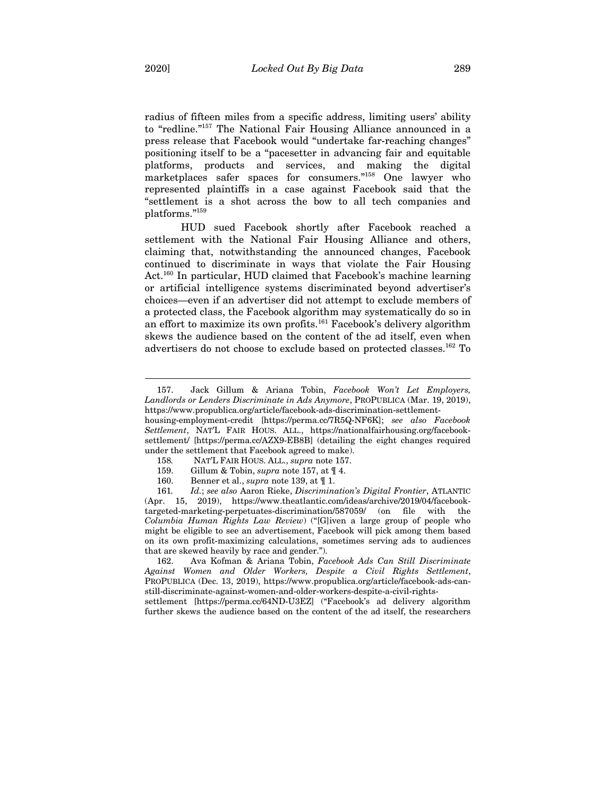radius of fifteen miles from a specific address, limiting users' ability to "redline."157 The National Fair Housing Alliance announced in a press release that Facebook would "undertake far-reaching changes" positioning itself to be a "pacesetter in advancing fair and equitable platforms, products and services, and making the digital marketplaces safer spaces for consumers."158 One lawyer who represented plaintiffs in a case against Facebook said that the "settlement is a shot across the bow to all tech companies and platforms."159

HUD sued Facebook shortly after Facebook reached a settlement with the National Fair Housing Alliance and others, claiming that, notwithstanding the announced changes, Facebook continued to discriminate in ways that violate the Fair Housing Act.<sup>160</sup> In particular, HUD claimed that Facebook's machine learning or artificial intelligence systems discriminated beyond advertiser's choices—even if an advertiser did not attempt to exclude members of a protected class, the Facebook algorithm may systematically do so in an effort to maximize its own profits.161 Facebook's delivery algorithm skews the audience based on the content of the ad itself, even when advertisers do not choose to exclude based on protected classes.162 To

settlement [https://perma.cc/64ND-U3EZ] ("Facebook's ad delivery algorithm further skews the audience based on the content of the ad itself, the researchers

<sup>157.</sup> Jack Gillum & Ariana Tobin, *Facebook Won't Let Employers, Landlords or Lenders Discriminate in Ads Anymore*, PROPUBLICA (Mar. 19, 2019), https://www.propublica.org/article/facebook-ads-discrimination-settlement-

housing-employment-credit [https://perma.cc/7R5Q-NF6K]; *see also Facebook Settlement*, NAT'L FAIR HOUS. ALL., https://nationalfairhousing.org/facebooksettlement/ [https://perma.cc/AZX9-EB8B] (detailing the eight changes required under the settlement that Facebook agreed to make).

<sup>158</sup>*.* NAT'L FAIR HOUS. ALL., *supra* note 157.

<sup>159.</sup> Gillum & Tobin, *supra* note 157, at ¶ 4.

<sup>160.</sup> Benner et al., *supra* note 139, at ¶ 1.

<sup>161</sup>*. Id.*; *see also* Aaron Rieke, *Discrimination's Digital Frontier*, ATLANTIC (Apr. 15, 2019), https://www.theatlantic.com/ideas/archive/2019/04/facebooktargeted-marketing-perpetuates-discrimination/587059/ (on file with the *Columbia Human Rights Law Review*) ("[G]iven a large group of people who might be eligible to see an advertisement, Facebook will pick among them based on its own profit-maximizing calculations, sometimes serving ads to audiences that are skewed heavily by race and gender.").

<sup>162.</sup> Ava Kofman & Ariana Tobin, *Facebook Ads Can Still Discriminate Against Women and Older Workers, Despite a Civil Rights Settlement*, PROPUBLICA (Dec. 13, 2019), https://www.propublica.org/article/facebook-ads-canstill-discriminate-against-women-and-older-workers-despite-a-civil-rights-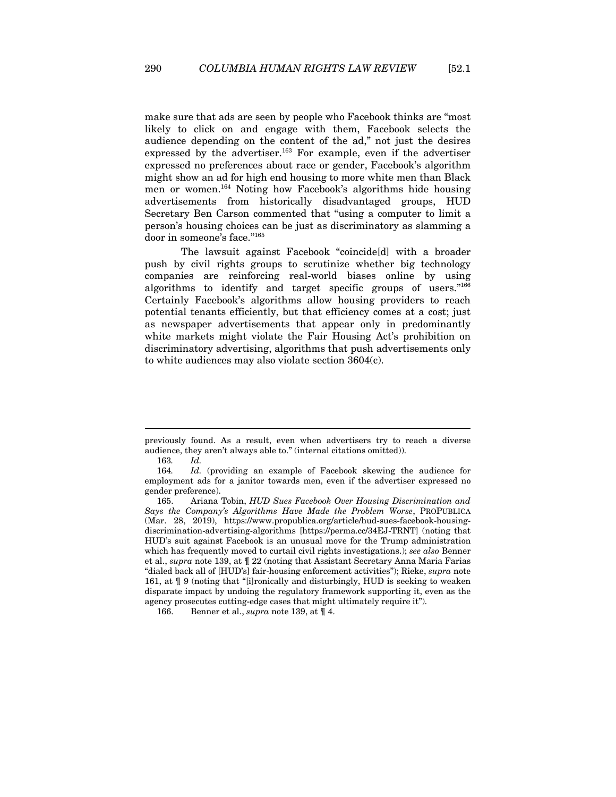make sure that ads are seen by people who Facebook thinks are "most likely to click on and engage with them, Facebook selects the audience depending on the content of the ad," not just the desires expressed by the advertiser.<sup>163</sup> For example, even if the advertiser expressed no preferences about race or gender, Facebook's algorithm might show an ad for high end housing to more white men than Black men or women.164 Noting how Facebook's algorithms hide housing advertisements from historically disadvantaged groups, HUD Secretary Ben Carson commented that "using a computer to limit a person's housing choices can be just as discriminatory as slamming a door in someone's face."165

The lawsuit against Facebook "coincide[d] with a broader push by civil rights groups to scrutinize whether big technology companies are reinforcing real-world biases online by using algorithms to identify and target specific groups of users."166 Certainly Facebook's algorithms allow housing providers to reach potential tenants efficiently, but that efficiency comes at a cost; just as newspaper advertisements that appear only in predominantly white markets might violate the Fair Housing Act's prohibition on discriminatory advertising, algorithms that push advertisements only to white audiences may also violate section 3604(c).

previously found. As a result, even when advertisers try to reach a diverse audience, they aren't always able to." (internal citations omitted)).

<sup>163</sup>*. Id.*

<sup>164</sup>*. Id.* (providing an example of Facebook skewing the audience for employment ads for a janitor towards men, even if the advertiser expressed no gender preference).

<sup>165.</sup> Ariana Tobin, *HUD Sues Facebook Over Housing Discrimination and Says the Company's Algorithms Have Made the Problem Worse*, PROPUBLICA (Mar. 28, 2019), https://www.propublica.org/article/hud-sues-facebook-housingdiscrimination-advertising-algorithms [https://perma.cc/34EJ-TRNT] (noting that HUD's suit against Facebook is an unusual move for the Trump administration which has frequently moved to curtail civil rights investigations.); *see also* Benner et al., *supra* note 139, at ¶ 22 (noting that Assistant Secretary Anna Maria Farias "dialed back all of [HUD's] fair-housing enforcement activities"); Rieke, *supra* note 161, at ¶ 9 (noting that "[i]ronically and disturbingly, HUD is seeking to weaken disparate impact by undoing the regulatory framework supporting it, even as the agency prosecutes cutting-edge cases that might ultimately require it").

<sup>166.</sup> Benner et al., *supra* note 139, at ¶ 4.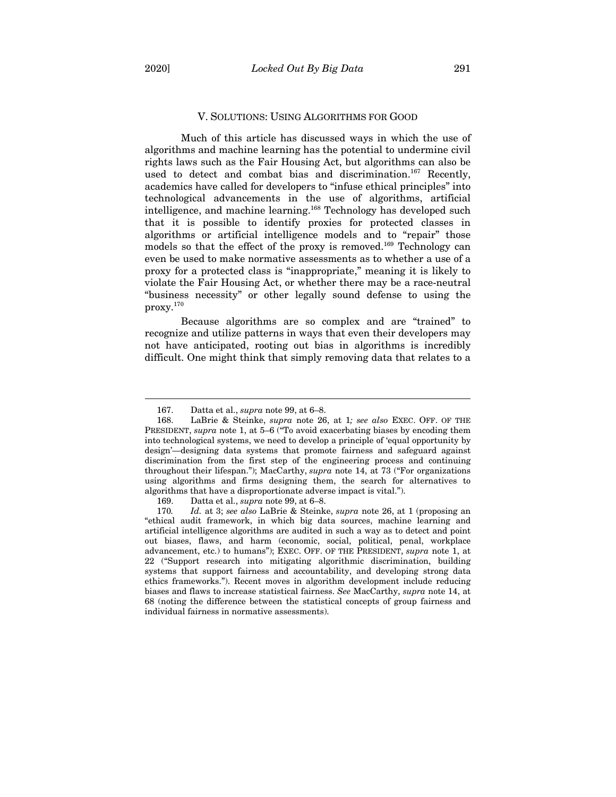#### V. SOLUTIONS: USING ALGORITHMS FOR GOOD

Much of this article has discussed ways in which the use of algorithms and machine learning has the potential to undermine civil rights laws such as the Fair Housing Act, but algorithms can also be used to detect and combat bias and discrimination.<sup>167</sup> Recently, academics have called for developers to "infuse ethical principles" into technological advancements in the use of algorithms, artificial intelligence, and machine learning.168 Technology has developed such that it is possible to identify proxies for protected classes in algorithms or artificial intelligence models and to "repair" those models so that the effect of the proxy is removed.<sup>169</sup> Technology can even be used to make normative assessments as to whether a use of a proxy for a protected class is "inappropriate," meaning it is likely to violate the Fair Housing Act, or whether there may be a race-neutral "business necessity" or other legally sound defense to using the proxy.170

Because algorithms are so complex and are "trained" to recognize and utilize patterns in ways that even their developers may not have anticipated, rooting out bias in algorithms is incredibly difficult. One might think that simply removing data that relates to a

<sup>167.</sup> Datta et al., *supra* note 99, at 6–8.

<sup>168.</sup> LaBrie & Steinke, *supra* note 26, at 1*; see also* EXEC. OFF. OF THE PRESIDENT, *supra* note 1, at 5–6 ("To avoid exacerbating biases by encoding them into technological systems, we need to develop a principle of 'equal opportunity by design'—designing data systems that promote fairness and safeguard against discrimination from the first step of the engineering process and continuing throughout their lifespan."); MacCarthy, *supra* note 14, at 73 ("For organizations using algorithms and firms designing them, the search for alternatives to algorithms that have a disproportionate adverse impact is vital.").

<sup>169.</sup> Datta et al., *supra* note 99, at 6–8.

<sup>170</sup>*. Id.* at 3; *see also* LaBrie & Steinke, *supra* note 26, at 1 (proposing an "ethical audit framework, in which big data sources, machine learning and artificial intelligence algorithms are audited in such a way as to detect and point out biases, flaws, and harm (economic, social, political, penal, workplace advancement, etc.) to humans"); EXEC. OFF. OF THE PRESIDENT, *supra* note 1, at 22 ("Support research into mitigating algorithmic discrimination, building systems that support fairness and accountability, and developing strong data ethics frameworks."). Recent moves in algorithm development include reducing biases and flaws to increase statistical fairness. *See* MacCarthy, *supra* note 14, at 68 (noting the difference between the statistical concepts of group fairness and individual fairness in normative assessments).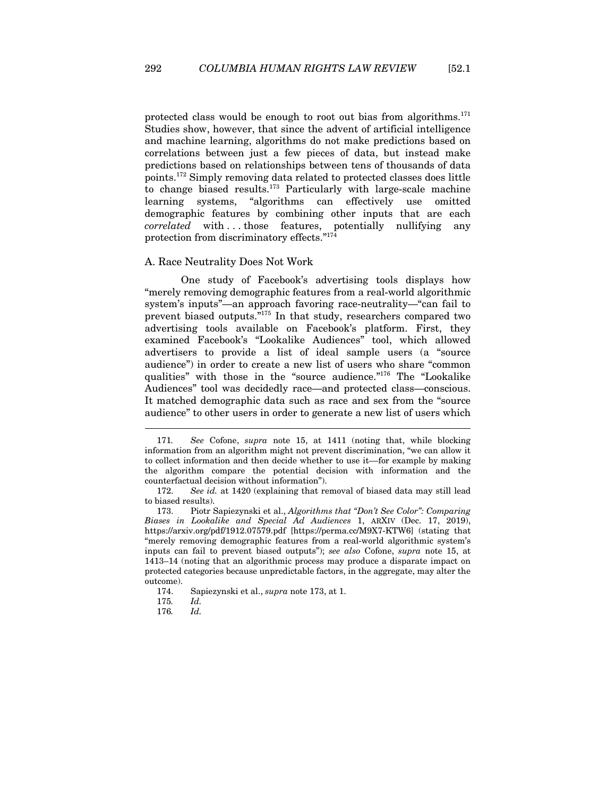protected class would be enough to root out bias from algorithms. $171$ Studies show, however, that since the advent of artificial intelligence and machine learning, algorithms do not make predictions based on correlations between just a few pieces of data, but instead make predictions based on relationships between tens of thousands of data points.172 Simply removing data related to protected classes does little to change biased results.<sup>173</sup> Particularly with large-scale machine learning systems, "algorithms can effectively use omitted demographic features by combining other inputs that are each *correlated* with . . . those features, potentially nullifying any protection from discriminatory effects."<sup>174</sup>

#### A. Race Neutrality Does Not Work

One study of Facebook's advertising tools displays how "merely removing demographic features from a real-world algorithmic system's inputs"—an approach favoring race-neutrality—"can fail to prevent biased outputs."175 In that study, researchers compared two advertising tools available on Facebook's platform. First, they examined Facebook's "Lookalike Audiences" tool, which allowed advertisers to provide a list of ideal sample users (a "source audience") in order to create a new list of users who share "common qualities" with those in the "source audience."176 The "Lookalike Audiences" tool was decidedly race—and protected class—conscious. It matched demographic data such as race and sex from the "source audience" to other users in order to generate a new list of users which

<sup>171</sup>*. See* Cofone, *supra* note 15, at 1411 (noting that, while blocking information from an algorithm might not prevent discrimination, "we can allow it to collect information and then decide whether to use it––for example by making the algorithm compare the potential decision with information and the counterfactual decision without information").

<sup>172.</sup> *See id.* at 1420 (explaining that removal of biased data may still lead to biased results).

<sup>173.</sup> Piotr Sapiezynski et al., *Algorithms that "Don't See Color": Comparing Biases in Lookalike and Special Ad Audiences* 1, ARXIV (Dec. 17, 2019), https://arxiv.org/pdf/1912.07579.pdf [https://perma.cc/M9X7-KTW6] (stating that "merely removing demographic features from a real-world algorithmic system's inputs can fail to prevent biased outputs"); *see also* Cofone, *supra* note 15, at 1413–14 (noting that an algorithmic process may produce a disparate impact on protected categories because unpredictable factors, in the aggregate, may alter the outcome).

<sup>174.</sup> Sapiezynski et al., *supra* note 173, at 1.

<sup>175</sup>*. Id.*

<sup>176</sup>*. Id.*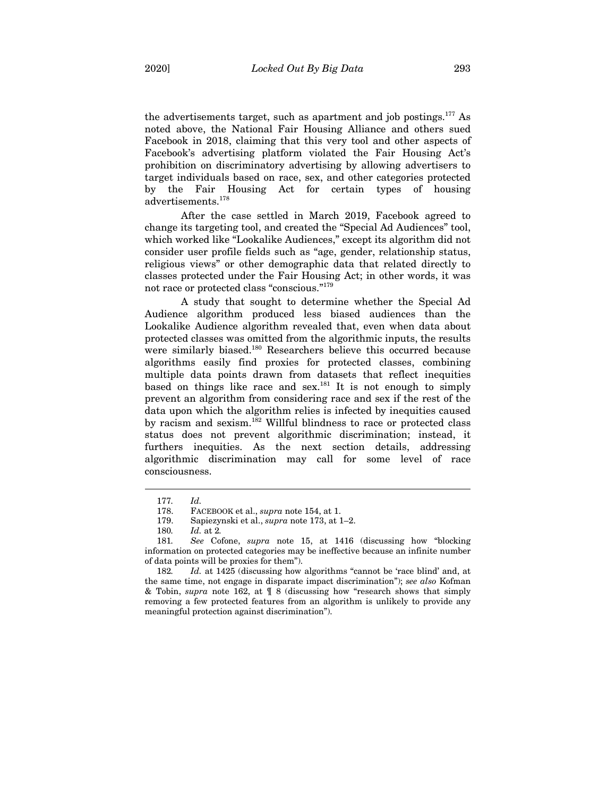the advertisements target, such as apartment and job postings.<sup>177</sup> As noted above, the National Fair Housing Alliance and others sued Facebook in 2018, claiming that this very tool and other aspects of Facebook's advertising platform violated the Fair Housing Act's prohibition on discriminatory advertising by allowing advertisers to target individuals based on race, sex, and other categories protected by the Fair Housing Act for certain types of housing advertisements.178

After the case settled in March 2019, Facebook agreed to change its targeting tool, and created the "Special Ad Audiences" tool, which worked like "Lookalike Audiences," except its algorithm did not consider user profile fields such as "age, gender, relationship status, religious views" or other demographic data that related directly to classes protected under the Fair Housing Act; in other words, it was not race or protected class "conscious."179

A study that sought to determine whether the Special Ad Audience algorithm produced less biased audiences than the Lookalike Audience algorithm revealed that, even when data about protected classes was omitted from the algorithmic inputs, the results were similarly biased.<sup>180</sup> Researchers believe this occurred because algorithms easily find proxies for protected classes, combining multiple data points drawn from datasets that reflect inequities based on things like race and sex.<sup>181</sup> It is not enough to simply prevent an algorithm from considering race and sex if the rest of the data upon which the algorithm relies is infected by inequities caused by racism and sexism.<sup>182</sup> Willful blindness to race or protected class status does not prevent algorithmic discrimination; instead, it furthers inequities. As the next section details, addressing algorithmic discrimination may call for some level of race consciousness.

<sup>177</sup>*. Id.* 

<sup>178.</sup> FACEBOOK et al., *supra* note 154, at 1.

<sup>179.</sup> Sapiezynski et al., *supra* note 173, at 1–2.

<sup>180</sup>*. Id.* at 2*.*

<sup>181</sup>*. See* Cofone, *supra* note 15, at 1416 (discussing how "blocking information on protected categories may be ineffective because an infinite number of data points will be proxies for them").

<sup>182</sup>*. Id.* at 1425 (discussing how algorithms "cannot be 'race blind' and, at the same time, not engage in disparate impact discrimination"); *see also* Kofman & Tobin, *supra* note 162, at ¶ 8 (discussing how "research shows that simply removing a few protected features from an algorithm is unlikely to provide any meaningful protection against discrimination").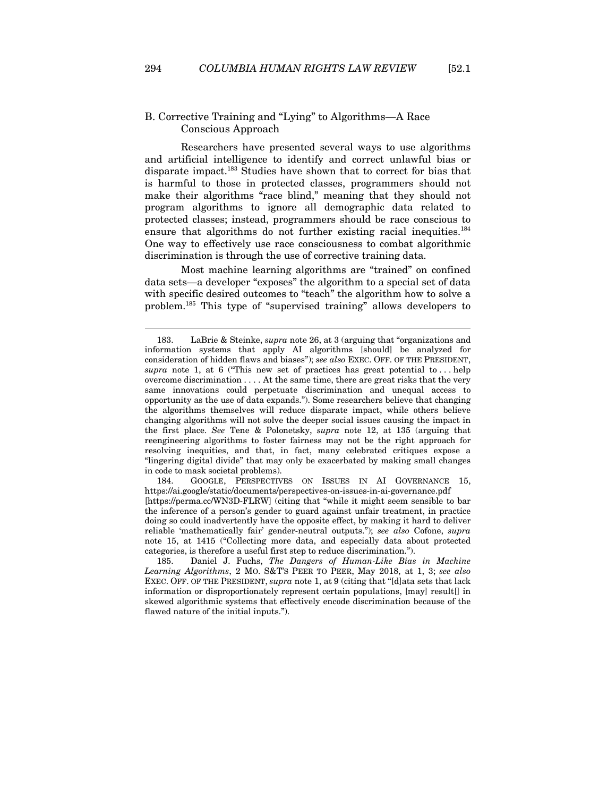# B. Corrective Training and "Lying" to Algorithms—A Race Conscious Approach

Researchers have presented several ways to use algorithms and artificial intelligence to identify and correct unlawful bias or disparate impact.<sup>183</sup> Studies have shown that to correct for bias that is harmful to those in protected classes, programmers should not make their algorithms "race blind," meaning that they should not program algorithms to ignore all demographic data related to protected classes; instead, programmers should be race conscious to ensure that algorithms do not further existing racial inequities. $^{184}$ One way to effectively use race consciousness to combat algorithmic discrimination is through the use of corrective training data.

Most machine learning algorithms are "trained" on confined data sets—a developer "exposes" the algorithm to a special set of data with specific desired outcomes to "teach" the algorithm how to solve a problem.185 This type of "supervised training" allows developers to

184. GOOGLE, PERSPECTIVES ON ISSUES IN AI GOVERNANCE 15, https://ai.google/static/documents/perspectives-on-issues-in-ai-governance.pdf [https://perma.cc/WN3D-FLRW] (citing that "while it might seem sensible to bar the inference of a person's gender to guard against unfair treatment, in practice doing so could inadvertently have the opposite effect, by making it hard to deliver reliable 'mathematically fair' gender-neutral outputs."); *see also* Cofone, *supra*  note 15, at 1415 ("Collecting more data, and especially data about protected categories, is therefore a useful first step to reduce discrimination.").

185. Daniel J. Fuchs, *The Dangers of Human-Like Bias in Machine Learning Algorithms*, 2 MO. S&T'S PEER TO PEER, May 2018, at 1, 3; *see also*  EXEC. OFF. OF THE PRESIDENT, *supra* note 1, at 9 (citing that "[d]ata sets that lack information or disproportionately represent certain populations, [may] result[] in skewed algorithmic systems that effectively encode discrimination because of the flawed nature of the initial inputs.").

<sup>183.</sup> LaBrie & Steinke, *supra* note 26, at 3 (arguing that "organizations and information systems that apply AI algorithms [should] be analyzed for consideration of hidden flaws and biases"); *see also* EXEC. OFF. OF THE PRESIDENT, *supra* note 1, at 6 ("This new set of practices has great potential to . . . help overcome discrimination . . . . At the same time, there are great risks that the very same innovations could perpetuate discrimination and unequal access to opportunity as the use of data expands."). Some researchers believe that changing the algorithms themselves will reduce disparate impact, while others believe changing algorithms will not solve the deeper social issues causing the impact in the first place. *See* Tene & Polonetsky, *supra* note 12, at 135 (arguing that reengineering algorithms to foster fairness may not be the right approach for resolving inequities, and that, in fact, many celebrated critiques expose a "lingering digital divide" that may only be exacerbated by making small changes in code to mask societal problems).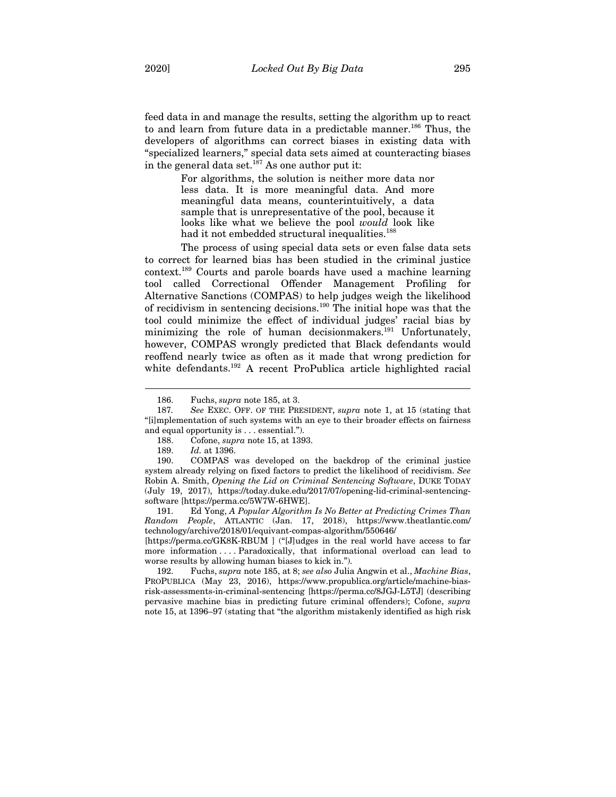feed data in and manage the results, setting the algorithm up to react to and learn from future data in a predictable manner.<sup>186</sup> Thus, the developers of algorithms can correct biases in existing data with "specialized learners," special data sets aimed at counteracting biases in the general data set.<sup>187</sup> As one author put it:

> For algorithms, the solution is neither more data nor less data. It is more meaningful data. And more meaningful data means, counterintuitively, a data sample that is unrepresentative of the pool, because it looks like what we believe the pool *would* look like had it not embedded structural inequalities.<sup>188</sup>

The process of using special data sets or even false data sets to correct for learned bias has been studied in the criminal justice context.189 Courts and parole boards have used a machine learning tool called Correctional Offender Management Profiling for Alternative Sanctions (COMPAS) to help judges weigh the likelihood of recidivism in sentencing decisions.190 The initial hope was that the tool could minimize the effect of individual judges' racial bias by minimizing the role of human decisionmakers.<sup>191</sup> Unfortunately, however, COMPAS wrongly predicted that Black defendants would reoffend nearly twice as often as it made that wrong prediction for white defendants.<sup>192</sup> A recent ProPublica article highlighted racial

189. *Id.* at 1396.

 $\overline{a}$ 

190. COMPAS was developed on the backdrop of the criminal justice system already relying on fixed factors to predict the likelihood of recidivism. *See*  Robin A. Smith, *Opening the Lid on Criminal Sentencing Software*, DUKE TODAY (July 19, 2017), https://today.duke.edu/2017/07/opening-lid-criminal-sentencingsoftware [https://perma.cc/5W7W-6HWE].

191. Ed Yong, *A Popular Algorithm Is No Better at Predicting Crimes Than Random People*, ATLANTIC (Jan. 17, 2018), https://www.theatlantic.com/ technology/archive/2018/01/equivant-compas-algorithm/550646/

[https://perma.cc/GK8K-RBUM ] ("[J]udges in the real world have access to far more information . . . . Paradoxically, that informational overload can lead to worse results by allowing human biases to kick in.").

192. Fuchs, *supra* note 185, at 8; *see also* Julia Angwin et al., *Machine Bias*, PROPUBLICA (May 23, 2016), https://www.propublica.org/article/machine-biasrisk-assessments-in-criminal-sentencing [https://perma.cc/8JGJ-L5TJ] (describing pervasive machine bias in predicting future criminal offenders); Cofone, *supra*  note 15, at 1396–97 (stating that "the algorithm mistakenly identified as high risk

<sup>186.</sup> Fuchs, *supra* note 185, at 3.

<sup>187</sup>*. See* EXEC. OFF. OF THE PRESIDENT, *supra* note 1, at 15 (stating that "[i]mplementation of such systems with an eye to their broader effects on fairness and equal opportunity is . . . essential.").

<sup>188.</sup> Cofone, *supra* note 15, at 1393.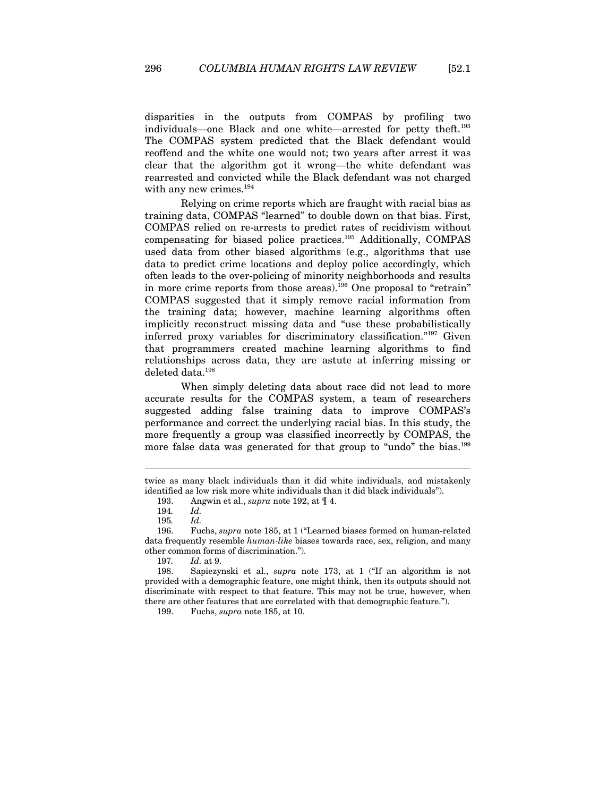disparities in the outputs from COMPAS by profiling two individuals—one Black and one white—arrested for petty theft.193 The COMPAS system predicted that the Black defendant would reoffend and the white one would not; two years after arrest it was clear that the algorithm got it wrong—the white defendant was rearrested and convicted while the Black defendant was not charged with any new crimes.<sup>194</sup>

Relying on crime reports which are fraught with racial bias as training data, COMPAS "learned" to double down on that bias. First, COMPAS relied on re-arrests to predict rates of recidivism without compensating for biased police practices.195 Additionally, COMPAS used data from other biased algorithms (e.g., algorithms that use data to predict crime locations and deploy police accordingly, which often leads to the over-policing of minority neighborhoods and results in more crime reports from those areas).196 One proposal to "retrain" COMPAS suggested that it simply remove racial information from the training data; however, machine learning algorithms often implicitly reconstruct missing data and "use these probabilistically inferred proxy variables for discriminatory classification."197 Given that programmers created machine learning algorithms to find relationships across data, they are astute at inferring missing or deleted data.198

When simply deleting data about race did not lead to more accurate results for the COMPAS system, a team of researchers suggested adding false training data to improve COMPAS's performance and correct the underlying racial bias. In this study, the more frequently a group was classified incorrectly by COMPAS, the more false data was generated for that group to "undo" the bias.<sup>199</sup>

twice as many black individuals than it did white individuals, and mistakenly identified as low risk more white individuals than it did black individuals").

<sup>193.</sup> Angwin et al., *supra* note 192, at ¶ 4.

<sup>194</sup>*. Id.*

<sup>195</sup>*. Id.*

<sup>196.</sup> Fuchs, *supra* note 185, at 1 ("Learned biases formed on human-related data frequently resemble *human-like* biases towards race, sex, religion, and many other common forms of discrimination.").

<sup>197</sup>*. Id.* at 9.

<sup>198.</sup> Sapiezynski et al., *supra* note 173, at 1 ("If an algorithm is not provided with a demographic feature, one might think, then its outputs should not discriminate with respect to that feature. This may not be true, however, when there are other features that are correlated with that demographic feature.").

<sup>199.</sup> Fuchs, *supra* note 185, at 10.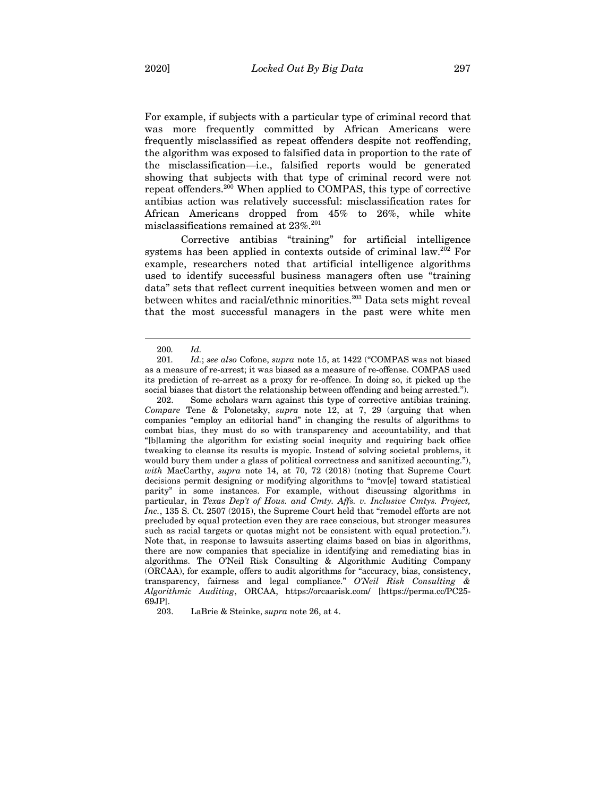For example, if subjects with a particular type of criminal record that was more frequently committed by African Americans were frequently misclassified as repeat offenders despite not reoffending, the algorithm was exposed to falsified data in proportion to the rate of the misclassification—i.e., falsified reports would be generated showing that subjects with that type of criminal record were not repeat offenders.200 When applied to COMPAS, this type of corrective antibias action was relatively successful: misclassification rates for African Americans dropped from 45% to 26%, while white misclassifications remained at 23%.201

Corrective antibias "training" for artificial intelligence systems has been applied in contexts outside of criminal law.202 For example, researchers noted that artificial intelligence algorithms used to identify successful business managers often use "training data" sets that reflect current inequities between women and men or between whites and racial/ethnic minorities.<sup>203</sup> Data sets might reveal that the most successful managers in the past were white men

<sup>200</sup>*. Id.*

<sup>201</sup>*. Id.*; *see also* Cofone, *supra* note 15, at 1422 ("COMPAS was not biased as a measure of re-arrest; it was biased as a measure of re-offense. COMPAS used its prediction of re-arrest as a proxy for re-offence. In doing so, it picked up the social biases that distort the relationship between offending and being arrested.").

<sup>202.</sup> Some scholars warn against this type of corrective antibias training. *Compare* Tene & Polonetsky, *supra* note 12, at 7, 29 (arguing that when companies "employ an editorial hand" in changing the results of algorithms to combat bias, they must do so with transparency and accountability, and that "[b]laming the algorithm for existing social inequity and requiring back office tweaking to cleanse its results is myopic. Instead of solving societal problems, it would bury them under a glass of political correctness and sanitized accounting."), *with* MacCarthy, *supra* note 14, at 70, 72 (2018) (noting that Supreme Court decisions permit designing or modifying algorithms to "mov[e] toward statistical parity" in some instances. For example, without discussing algorithms in particular, in *Texas Dep't of Hous. and Cmty. Affs. v. Inclusive Cmtys. Project,*  Inc., 135 S. Ct. 2507 (2015), the Supreme Court held that "remodel efforts are not precluded by equal protection even they are race conscious, but stronger measures such as racial targets or quotas might not be consistent with equal protection."). Note that, in response to lawsuits asserting claims based on bias in algorithms, there are now companies that specialize in identifying and remediating bias in algorithms. The O'Neil Risk Consulting & Algorithmic Auditing Company (ORCAA), for example, offers to audit algorithms for "accuracy, bias, consistency, transparency, fairness and legal compliance." *O'Neil Risk Consulting & Algorithmic Auditing*, ORCAA, https://orcaarisk.com/ [https://perma.cc/PC25- 69JP].

<sup>203.</sup> LaBrie & Steinke, *supra* note 26, at 4.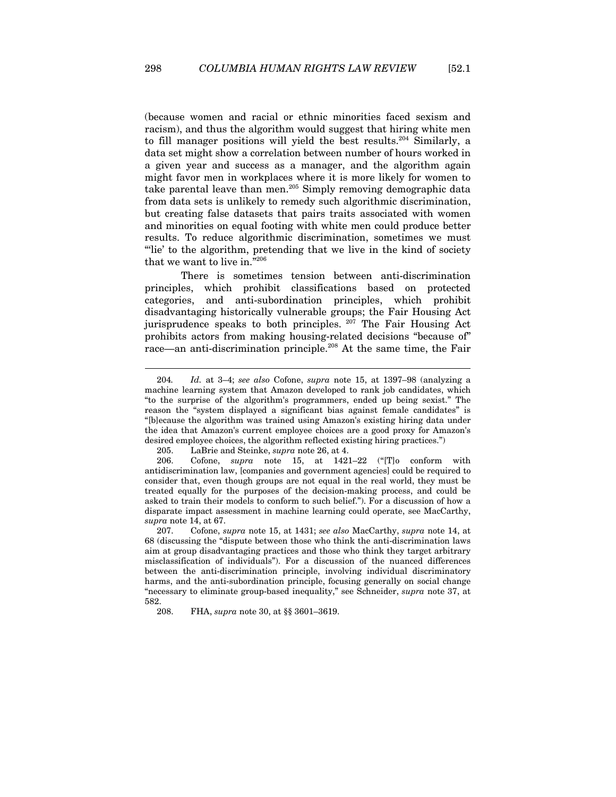(because women and racial or ethnic minorities faced sexism and racism), and thus the algorithm would suggest that hiring white men to fill manager positions will yield the best results.<sup>204</sup> Similarly, a data set might show a correlation between number of hours worked in a given year and success as a manager, and the algorithm again might favor men in workplaces where it is more likely for women to take parental leave than men.205 Simply removing demographic data from data sets is unlikely to remedy such algorithmic discrimination, but creating false datasets that pairs traits associated with women and minorities on equal footing with white men could produce better results. To reduce algorithmic discrimination, sometimes we must "lie' to the algorithm, pretending that we live in the kind of society that we want to live in."206

There is sometimes tension between anti-discrimination principles, which prohibit classifications based on protected categories, and anti-subordination principles, which prohibit disadvantaging historically vulnerable groups; the Fair Housing Act jurisprudence speaks to both principles. 207 The Fair Housing Act prohibits actors from making housing-related decisions "because of" race—an anti-discrimination principle.208 At the same time, the Fair

<sup>204</sup>*. Id.* at 3–4; *see also* Cofone, *supra* note 15, at 1397–98 (analyzing a machine learning system that Amazon developed to rank job candidates, which "to the surprise of the algorithm's programmers, ended up being sexist." The reason the "system displayed a significant bias against female candidates" is "[b]ecause the algorithm was trained using Amazon's existing hiring data under the idea that Amazon's current employee choices are a good proxy for Amazon's desired employee choices, the algorithm reflected existing hiring practices.")

<sup>205.</sup> LaBrie and Steinke, *supra* note 26, at 4.

<sup>206.</sup> Cofone, *supra* note 15, at 1421–22 ("[T]o conform with antidiscrimination law, [companies and government agencies] could be required to consider that, even though groups are not equal in the real world, they must be treated equally for the purposes of the decision-making process, and could be asked to train their models to conform to such belief."). For a discussion of how a disparate impact assessment in machine learning could operate, see MacCarthy, *supra* note 14, at 67.

<sup>207.</sup> Cofone, *supra* note 15, at 1431; *see also* MacCarthy, *supra* note 14, at 68 (discussing the "dispute between those who think the anti-discrimination laws aim at group disadvantaging practices and those who think they target arbitrary misclassification of individuals"). For a discussion of the nuanced differences between the anti-discrimination principle, involving individual discriminatory harms, and the anti-subordination principle, focusing generally on social change "necessary to eliminate group-based inequality," see Schneider, *supra* note 37, at 582.

<sup>208.</sup> FHA, *supra* note 30, at §§ 3601–3619.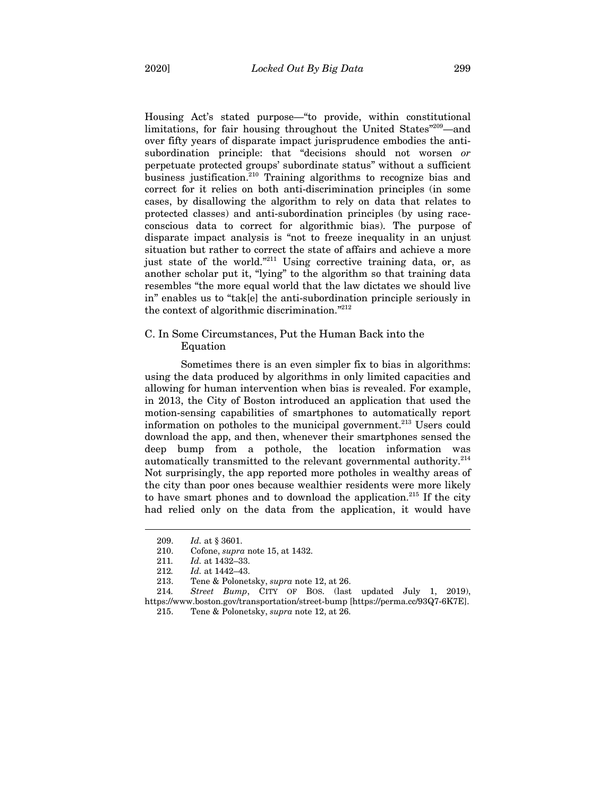Housing Act's stated purpose—"to provide, within constitutional limitations, for fair housing throughout the United States"209—and over fifty years of disparate impact jurisprudence embodies the antisubordination principle: that "decisions should not worsen *or* perpetuate protected groups' subordinate status" without a sufficient business justification.<sup>210</sup> Training algorithms to recognize bias and correct for it relies on both anti-discrimination principles (in some cases, by disallowing the algorithm to rely on data that relates to protected classes) and anti-subordination principles (by using raceconscious data to correct for algorithmic bias). The purpose of disparate impact analysis is "not to freeze inequality in an unjust situation but rather to correct the state of affairs and achieve a more just state of the world."<sup>211</sup> Using corrective training data, or, as another scholar put it, "lying" to the algorithm so that training data resembles "the more equal world that the law dictates we should live in" enables us to "tak[e] the anti-subordination principle seriously in the context of algorithmic discrimination."212

# C. In Some Circumstances, Put the Human Back into the Equation

Sometimes there is an even simpler fix to bias in algorithms: using the data produced by algorithms in only limited capacities and allowing for human intervention when bias is revealed. For example, in 2013, the City of Boston introduced an application that used the motion-sensing capabilities of smartphones to automatically report information on potholes to the municipal government.<sup>213</sup> Users could download the app, and then, whenever their smartphones sensed the deep bump from a pothole, the location information was automatically transmitted to the relevant governmental authority.<sup>214</sup> Not surprisingly, the app reported more potholes in wealthy areas of the city than poor ones because wealthier residents were more likely to have smart phones and to download the application. $215$  If the city had relied only on the data from the application, it would have

<sup>209.</sup> *Id.* at § 3601.

<sup>210.</sup> Cofone, *supra* note 15, at 1432.

<sup>211</sup>*. Id.* at 1432–33.

<sup>212</sup>*. Id.* at 1442–43.

<sup>213.</sup> Tene & Polonetsky, *supra* note 12, at 26.

<sup>214</sup>*. Street Bump*, CITY OF BOS. (last updated July 1, 2019), https://www.boston.gov/transportation/street-bump [https://perma.cc/93Q7-6K7E].

<sup>215.</sup> Tene & Polonetsky, *supra* note 12, at 26.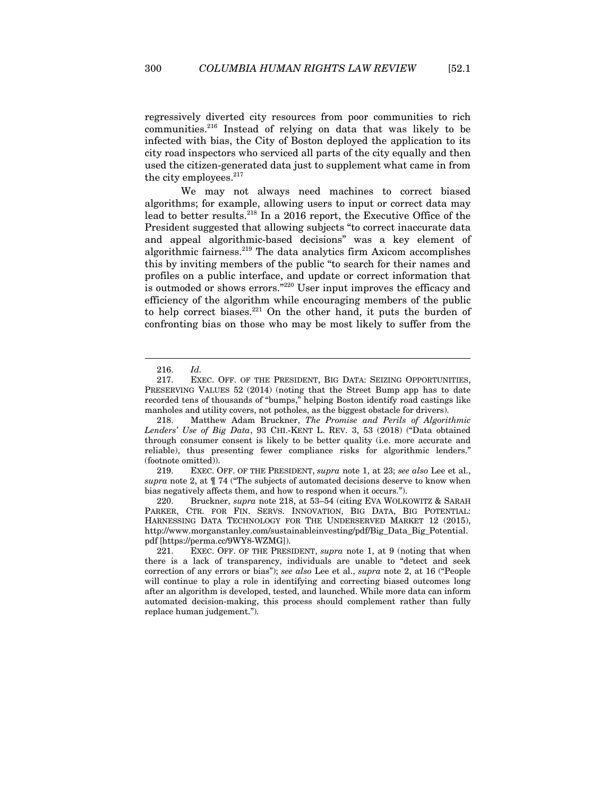regressively diverted city resources from poor communities to rich communities.216 Instead of relying on data that was likely to be infected with bias, the City of Boston deployed the application to its city road inspectors who serviced all parts of the city equally and then used the citizen-generated data just to supplement what came in from the city employees.<sup>217</sup>

We may not always need machines to correct biased algorithms; for example, allowing users to input or correct data may lead to better results.218 In a 2016 report, the Executive Office of the President suggested that allowing subjects "to correct inaccurate data and appeal algorithmic-based decisions" was a key element of algorithmic fairness.<sup>219</sup> The data analytics firm Axicom accomplishes this by inviting members of the public "to search for their names and profiles on a public interface, and update or correct information that is outmoded or shows errors."<sup>220</sup> User input improves the efficacy and efficiency of the algorithm while encouraging members of the public to help correct biases. $221$  On the other hand, it puts the burden of confronting bias on those who may be most likely to suffer from the

<sup>216.</sup> *Id.*

<sup>217.</sup> EXEC. OFF. OF THE PRESIDENT, BIG DATA: SEIZING OPPORTUNITIES, PRESERVING VALUES 52 (2014) (noting that the Street Bump app has to date recorded tens of thousands of "bumps," helping Boston identify road castings like manholes and utility covers, not potholes, as the biggest obstacle for drivers).

<sup>218.</sup> Matthew Adam Bruckner, *The Promise and Perils of Algorithmic Lenders' Use of Big Data*, 93 CHI.-KENT L. REV. 3, 53 (2018) ("Data obtained through consumer consent is likely to be better quality (i.e. more accurate and reliable), thus presenting fewer compliance risks for algorithmic lenders." (footnote omitted)).

<sup>219.</sup> EXEC. OFF. OF THE PRESIDENT, *supra* note 1, at 23; *see also* Lee et al., *supra* note 2, at ¶ 74 ("The subjects of automated decisions deserve to know when bias negatively affects them, and how to respond when it occurs.").

<sup>220.</sup> Bruckner, *supra* note 218, at 53–54 (citing EVA WOLKOWITZ & SARAH PARKER, CTR. FOR FIN. SERVS. INNOVATION, BIG DATA, BIG POTENTIAL: HARNESSING DATA TECHNOLOGY FOR THE UNDERSERVED MARKET 12 (2015), http://www.morganstanley.com/sustainableinvesting/pdf/Big\_Data\_Big\_Potential. pdf [https://perma.cc/9WY8-WZMG]).

<sup>221.</sup> EXEC. OFF. OF THE PRESIDENT, *supra* note 1, at 9 (noting that when there is a lack of transparency, individuals are unable to "detect and seek correction of any errors or bias"); *see also* Lee et al., *supra* note 2, at 16 ("People will continue to play a role in identifying and correcting biased outcomes long after an algorithm is developed, tested, and launched. While more data can inform automated decision-making, this process should complement rather than fully replace human judgement.").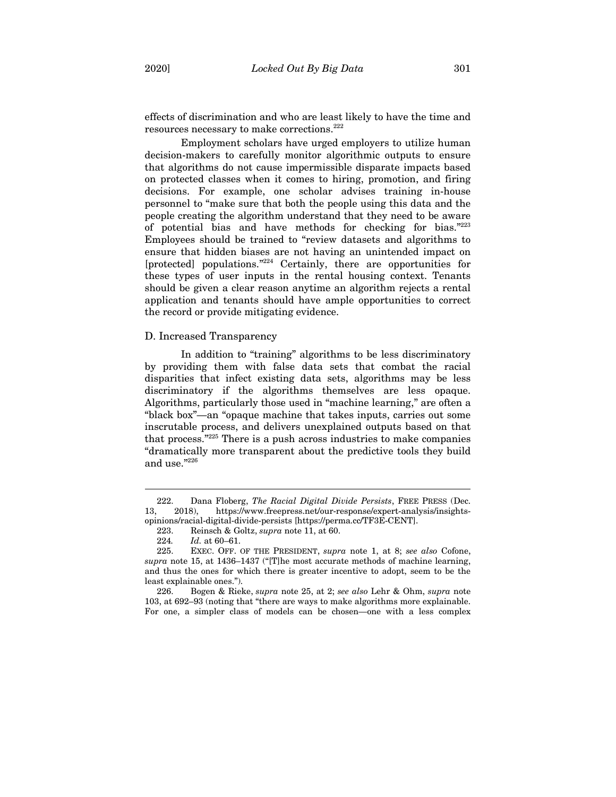effects of discrimination and who are least likely to have the time and resources necessary to make corrections.222

Employment scholars have urged employers to utilize human decision-makers to carefully monitor algorithmic outputs to ensure that algorithms do not cause impermissible disparate impacts based on protected classes when it comes to hiring, promotion, and firing decisions. For example, one scholar advises training in-house personnel to "make sure that both the people using this data and the people creating the algorithm understand that they need to be aware of potential bias and have methods for checking for bias."223 Employees should be trained to "review datasets and algorithms to ensure that hidden biases are not having an unintended impact on [protected] populations."<sup>224</sup> Certainly, there are opportunities for these types of user inputs in the rental housing context. Tenants should be given a clear reason anytime an algorithm rejects a rental application and tenants should have ample opportunities to correct the record or provide mitigating evidence.

#### D. Increased Transparency

In addition to "training" algorithms to be less discriminatory by providing them with false data sets that combat the racial disparities that infect existing data sets, algorithms may be less discriminatory if the algorithms themselves are less opaque. Algorithms, particularly those used in "machine learning," are often a "black box"—an "opaque machine that takes inputs, carries out some inscrutable process, and delivers unexplained outputs based on that that process."225 There is a push across industries to make companies "dramatically more transparent about the predictive tools they build and use."226

<sup>222.</sup> Dana Floberg, *The Racial Digital Divide Persists*, FREE PRESS (Dec. 13, 2018), https://www.freepress.net/our-response/expert-analysis/insightsopinions/racial-digital-divide-persists [https://perma.cc/TF3E-CENT].

<sup>223.</sup> Reinsch & Goltz, *supra* note 11, at 60.

<sup>224</sup>*. Id.* at 60–61.

<sup>225.</sup> EXEC. OFF. OF THE PRESIDENT, *supra* note 1, at 8; *see also* Cofone, *supra* note 15, at 1436–1437 ("[T]he most accurate methods of machine learning, and thus the ones for which there is greater incentive to adopt, seem to be the least explainable ones.").

<sup>226.</sup> Bogen & Rieke, *supra* note 25, at 2; *see also* Lehr & Ohm, *supra* note 103, at 692–93 (noting that "there are ways to make algorithms more explainable. For one, a simpler class of models can be chosen—one with a less complex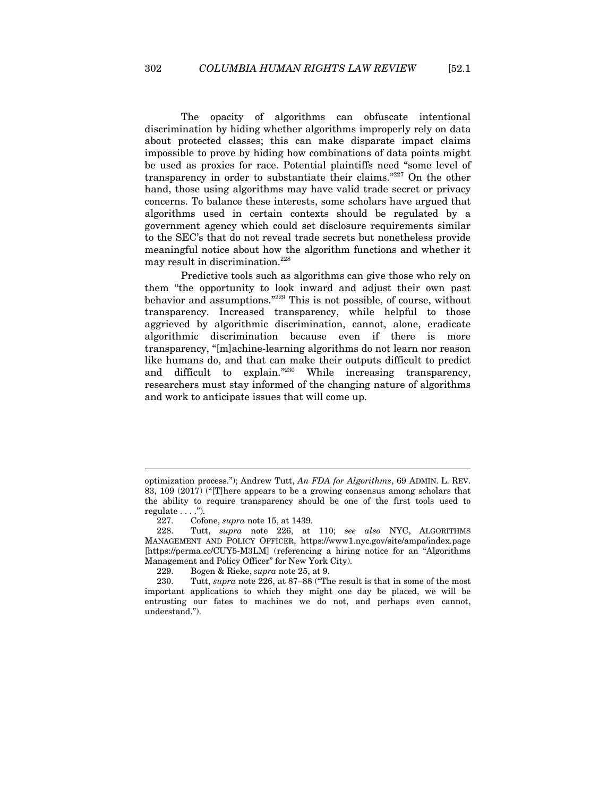The opacity of algorithms can obfuscate intentional discrimination by hiding whether algorithms improperly rely on data about protected classes; this can make disparate impact claims impossible to prove by hiding how combinations of data points might be used as proxies for race. Potential plaintiffs need "some level of transparency in order to substantiate their claims."227 On the other hand, those using algorithms may have valid trade secret or privacy concerns. To balance these interests, some scholars have argued that algorithms used in certain contexts should be regulated by a government agency which could set disclosure requirements similar to the SEC's that do not reveal trade secrets but nonetheless provide meaningful notice about how the algorithm functions and whether it may result in discrimination.<sup>228</sup>

Predictive tools such as algorithms can give those who rely on them "the opportunity to look inward and adjust their own past behavior and assumptions."229 This is not possible, of course, without transparency. Increased transparency, while helpful to those aggrieved by algorithmic discrimination, cannot, alone, eradicate algorithmic discrimination because even if there is more transparency, "[m]achine-learning algorithms do not learn nor reason like humans do, and that can make their outputs difficult to predict and difficult to explain."230 While increasing transparency, researchers must stay informed of the changing nature of algorithms and work to anticipate issues that will come up.

optimization process."); Andrew Tutt, *An FDA for Algorithms*, 69 ADMIN. L. REV. 83, 109 (2017) ("[T]here appears to be a growing consensus among scholars that the ability to require transparency should be one of the first tools used to regulate . . . .").

<sup>227.</sup> Cofone, *supra* note 15, at 1439.

<sup>228.</sup> Tutt, *supra* note 226, at 110; *see also* NYC, ALGORITHMS MANAGEMENT AND POLICY OFFICER, https://www1.nyc.gov/site/ampo/index.page [https://perma.cc/CUY5-M3LM] (referencing a hiring notice for an "Algorithms Management and Policy Officer" for New York City).

<sup>229.</sup> Bogen & Rieke, *supra* note 25, at 9.

<sup>230.</sup> Tutt, *supra* note 226, at 87–88 ("The result is that in some of the most important applications to which they might one day be placed, we will be entrusting our fates to machines we do not, and perhaps even cannot, understand.").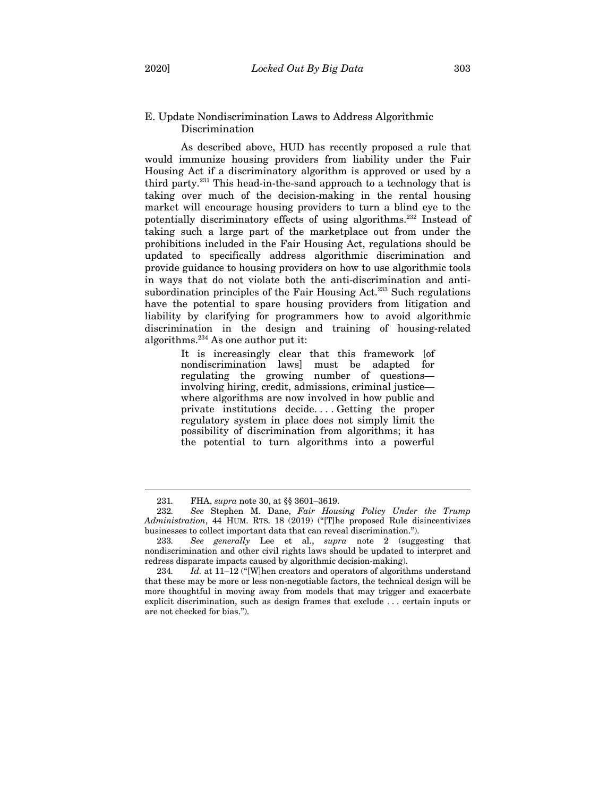# E. Update Nondiscrimination Laws to Address Algorithmic Discrimination

As described above, HUD has recently proposed a rule that would immunize housing providers from liability under the Fair Housing Act if a discriminatory algorithm is approved or used by a third party.231 This head-in-the-sand approach to a technology that is taking over much of the decision-making in the rental housing market will encourage housing providers to turn a blind eye to the potentially discriminatory effects of using algorithms.232 Instead of taking such a large part of the marketplace out from under the prohibitions included in the Fair Housing Act, regulations should be updated to specifically address algorithmic discrimination and provide guidance to housing providers on how to use algorithmic tools in ways that do not violate both the anti-discrimination and antisubordination principles of the Fair Housing Act.<sup>233</sup> Such regulations have the potential to spare housing providers from litigation and liability by clarifying for programmers how to avoid algorithmic discrimination in the design and training of housing-related algorithms.234 As one author put it:

> It is increasingly clear that this framework [of nondiscrimination laws] must be adapted for regulating the growing number of questions involving hiring, credit, admissions, criminal justice where algorithms are now involved in how public and private institutions decide. . . . Getting the proper regulatory system in place does not simply limit the possibility of discrimination from algorithms; it has the potential to turn algorithms into a powerful

<sup>231</sup>*.* FHA, *supra* note 30, at §§ 3601–3619.

<sup>232</sup>*. See* Stephen M. Dane, *Fair Housing Policy Under the Trump Administration*, 44 HUM. RTS. 18 (2019) ("[T]he proposed Rule disincentivizes businesses to collect important data that can reveal discrimination.").

<sup>233</sup>*. See generally* Lee et al., *supra* note 2 (suggesting that nondiscrimination and other civil rights laws should be updated to interpret and redress disparate impacts caused by algorithmic decision-making).

<sup>234</sup>*. Id.* at 11–12 ("[W]hen creators and operators of algorithms understand that these may be more or less non-negotiable factors, the technical design will be more thoughtful in moving away from models that may trigger and exacerbate explicit discrimination, such as design frames that exclude . . . certain inputs or are not checked for bias.").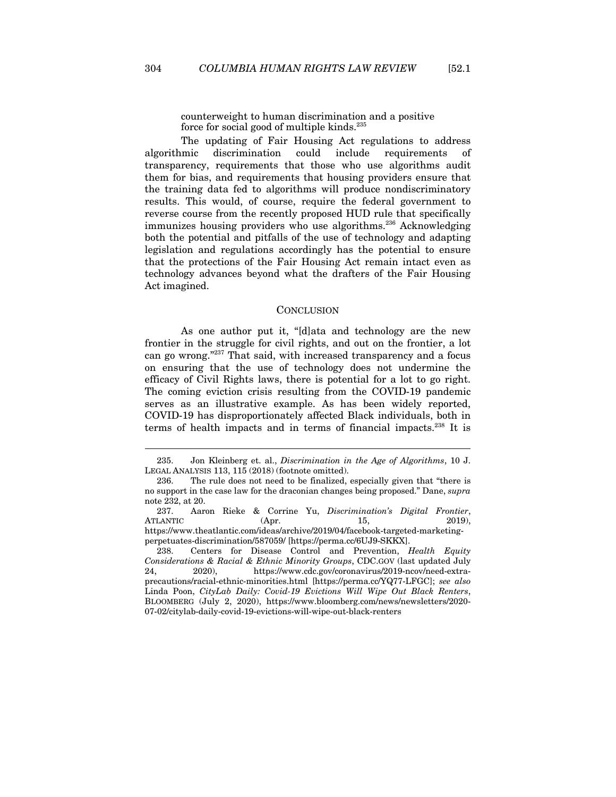counterweight to human discrimination and a positive force for social good of multiple kinds.<sup>235</sup>

The updating of Fair Housing Act regulations to address algorithmic discrimination could include requirements of transparency, requirements that those who use algorithms audit them for bias, and requirements that housing providers ensure that the training data fed to algorithms will produce nondiscriminatory results. This would, of course, require the federal government to reverse course from the recently proposed HUD rule that specifically immunizes housing providers who use algorithms.<sup>236</sup> Acknowledging both the potential and pitfalls of the use of technology and adapting legislation and regulations accordingly has the potential to ensure that the protections of the Fair Housing Act remain intact even as technology advances beyond what the drafters of the Fair Housing Act imagined.

#### **CONCLUSION**

As one author put it, "[d]ata and technology are the new frontier in the struggle for civil rights, and out on the frontier, a lot can go wrong."237 That said, with increased transparency and a focus on ensuring that the use of technology does not undermine the efficacy of Civil Rights laws, there is potential for a lot to go right. The coming eviction crisis resulting from the COVID-19 pandemic serves as an illustrative example. As has been widely reported, COVID-19 has disproportionately affected Black individuals, both in terms of health impacts and in terms of financial impacts.238 It is

<sup>235.</sup> Jon Kleinberg et. al., *Discrimination in the Age of Algorithms*, 10 J. LEGAL ANALYSIS 113, 115 (2018) (footnote omitted).

<sup>236.</sup> The rule does not need to be finalized, especially given that "there is no support in the case law for the draconian changes being proposed." Dane, *supra*  note 232, at 20.

<sup>237.</sup> Aaron Rieke & Corrine Yu, *Discrimination's Digital Frontier*, ATLANTIC (Apr. 15, 2019), https://www.theatlantic.com/ideas/archive/2019/04/facebook-targeted-marketingperpetuates-discrimination/587059/ [https://perma.cc/6UJ9-SKKX].

<sup>238.</sup> Centers for Disease Control and Prevention, *Health Equity Considerations & Racial & Ethnic Minority Groups*, CDC.GOV (last updated July 24, 2020), https://www.cdc.gov/coronavirus/2019-ncov/need-extraprecautions/racial-ethnic-minorities.html [https://perma.cc/YQ77-LFGC]; *see also*  Linda Poon, *CityLab Daily: Covid-19 Evictions Will Wipe Out Black Renters*, BLOOMBERG (July 2, 2020), https://www.bloomberg.com/news/newsletters/2020- 07-02/citylab-daily-covid-19-evictions-will-wipe-out-black-renters